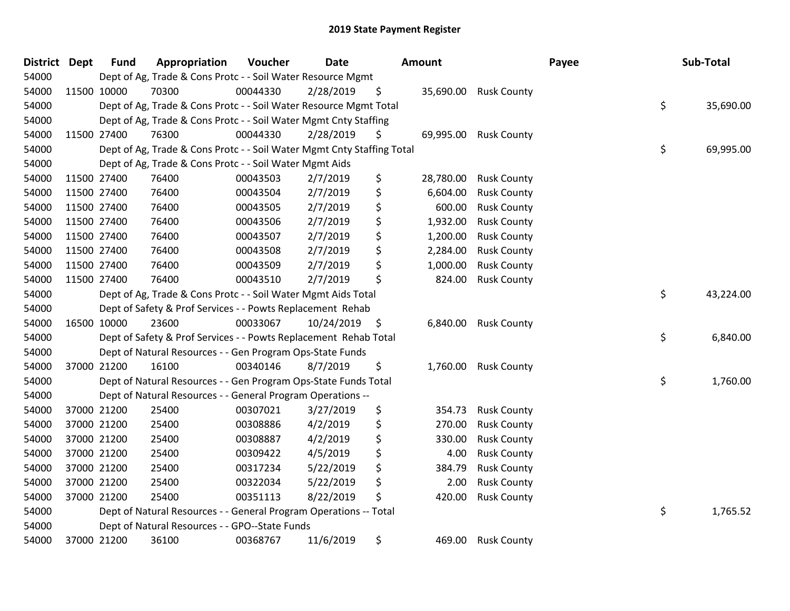| District Dept | <b>Fund</b> | Appropriation                                                          | Voucher  | <b>Date</b>   | <b>Amount</b>   |                    | Payee | Sub-Total       |
|---------------|-------------|------------------------------------------------------------------------|----------|---------------|-----------------|--------------------|-------|-----------------|
| 54000         |             | Dept of Ag, Trade & Cons Protc - - Soil Water Resource Mgmt            |          |               |                 |                    |       |                 |
| 54000         | 11500 10000 | 70300                                                                  | 00044330 | 2/28/2019     | \$<br>35,690.00 | <b>Rusk County</b> |       |                 |
| 54000         |             | Dept of Ag, Trade & Cons Protc - - Soil Water Resource Mgmt Total      |          |               |                 |                    |       | \$<br>35,690.00 |
| 54000         |             | Dept of Ag, Trade & Cons Protc - - Soil Water Mgmt Cnty Staffing       |          |               |                 |                    |       |                 |
| 54000         | 11500 27400 | 76300                                                                  | 00044330 | 2/28/2019     | \$<br>69,995.00 | <b>Rusk County</b> |       |                 |
| 54000         |             | Dept of Ag, Trade & Cons Protc - - Soil Water Mgmt Cnty Staffing Total |          |               |                 |                    |       | \$<br>69,995.00 |
| 54000         |             | Dept of Ag, Trade & Cons Protc - - Soil Water Mgmt Aids                |          |               |                 |                    |       |                 |
| 54000         | 11500 27400 | 76400                                                                  | 00043503 | 2/7/2019      | \$<br>28,780.00 | <b>Rusk County</b> |       |                 |
| 54000         | 11500 27400 | 76400                                                                  | 00043504 | 2/7/2019      | \$<br>6,604.00  | <b>Rusk County</b> |       |                 |
| 54000         | 11500 27400 | 76400                                                                  | 00043505 | 2/7/2019      | \$<br>600.00    | <b>Rusk County</b> |       |                 |
| 54000         | 11500 27400 | 76400                                                                  | 00043506 | 2/7/2019      | \$<br>1,932.00  | <b>Rusk County</b> |       |                 |
| 54000         | 11500 27400 | 76400                                                                  | 00043507 | 2/7/2019      | \$<br>1,200.00  | <b>Rusk County</b> |       |                 |
| 54000         | 11500 27400 | 76400                                                                  | 00043508 | 2/7/2019      | \$<br>2,284.00  | <b>Rusk County</b> |       |                 |
| 54000         | 11500 27400 | 76400                                                                  | 00043509 | 2/7/2019      | \$<br>1,000.00  | <b>Rusk County</b> |       |                 |
| 54000         | 11500 27400 | 76400                                                                  | 00043510 | 2/7/2019      | \$<br>824.00    | <b>Rusk County</b> |       |                 |
| 54000         |             | Dept of Ag, Trade & Cons Protc - - Soil Water Mgmt Aids Total          |          |               |                 |                    |       | \$<br>43,224.00 |
| 54000         |             | Dept of Safety & Prof Services - - Powts Replacement Rehab             |          |               |                 |                    |       |                 |
| 54000         | 16500 10000 | 23600                                                                  | 00033067 | 10/24/2019 \$ | 6,840.00        | <b>Rusk County</b> |       |                 |
| 54000         |             | Dept of Safety & Prof Services - - Powts Replacement Rehab Total       |          |               |                 |                    |       | \$<br>6,840.00  |
| 54000         |             | Dept of Natural Resources - - Gen Program Ops-State Funds              |          |               |                 |                    |       |                 |
| 54000         | 37000 21200 | 16100                                                                  | 00340146 | 8/7/2019      | \$<br>1,760.00  | <b>Rusk County</b> |       |                 |
| 54000         |             | Dept of Natural Resources - - Gen Program Ops-State Funds Total        |          |               |                 |                    |       | \$<br>1,760.00  |
| 54000         |             | Dept of Natural Resources - - General Program Operations --            |          |               |                 |                    |       |                 |
| 54000         | 37000 21200 | 25400                                                                  | 00307021 | 3/27/2019     | \$<br>354.73    | <b>Rusk County</b> |       |                 |
| 54000         | 37000 21200 | 25400                                                                  | 00308886 | 4/2/2019      | \$<br>270.00    | <b>Rusk County</b> |       |                 |
| 54000         | 37000 21200 | 25400                                                                  | 00308887 | 4/2/2019      | \$<br>330.00    | <b>Rusk County</b> |       |                 |
| 54000         | 37000 21200 | 25400                                                                  | 00309422 | 4/5/2019      | \$<br>4.00      | <b>Rusk County</b> |       |                 |
| 54000         | 37000 21200 | 25400                                                                  | 00317234 | 5/22/2019     | \$<br>384.79    | <b>Rusk County</b> |       |                 |
| 54000         | 37000 21200 | 25400                                                                  | 00322034 | 5/22/2019     | \$<br>2.00      | <b>Rusk County</b> |       |                 |
| 54000         | 37000 21200 | 25400                                                                  | 00351113 | 8/22/2019     | \$<br>420.00    | <b>Rusk County</b> |       |                 |
| 54000         |             | Dept of Natural Resources - - General Program Operations -- Total      |          |               |                 |                    |       | \$<br>1,765.52  |
| 54000         |             | Dept of Natural Resources - - GPO--State Funds                         |          |               |                 |                    |       |                 |
| 54000         | 37000 21200 | 36100                                                                  | 00368767 | 11/6/2019     | \$<br>469.00    | <b>Rusk County</b> |       |                 |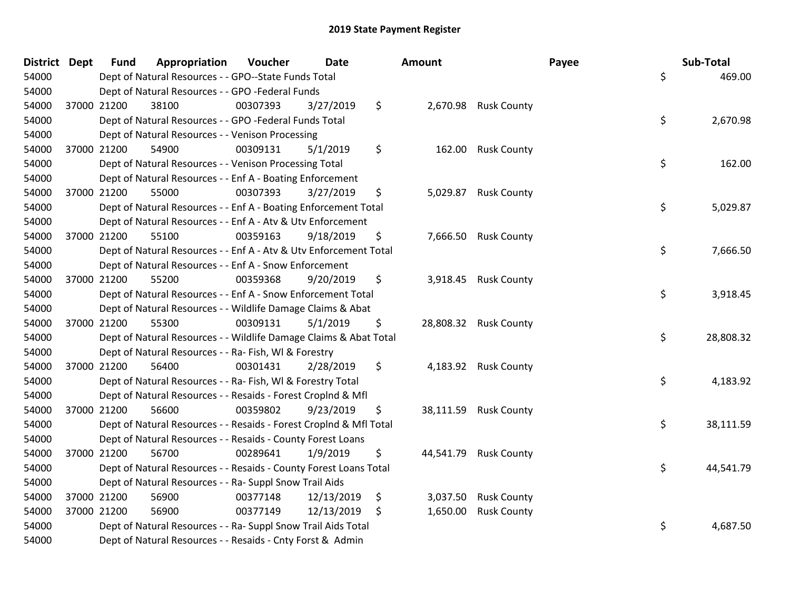| District Dept | <b>Fund</b> | Appropriation                                                      | Voucher  | <b>Date</b> | <b>Amount</b>   |                       | Payee | Sub-Total |
|---------------|-------------|--------------------------------------------------------------------|----------|-------------|-----------------|-----------------------|-------|-----------|
| 54000         |             | Dept of Natural Resources - - GPO--State Funds Total               |          |             |                 |                       | \$    | 469.00    |
| 54000         |             | Dept of Natural Resources - - GPO -Federal Funds                   |          |             |                 |                       |       |           |
| 54000         | 37000 21200 | 38100                                                              | 00307393 | 3/27/2019   | \$              | 2,670.98 Rusk County  |       |           |
| 54000         |             | Dept of Natural Resources - - GPO -Federal Funds Total             |          |             |                 |                       | \$    | 2,670.98  |
| 54000         |             | Dept of Natural Resources - - Venison Processing                   |          |             |                 |                       |       |           |
| 54000         | 37000 21200 | 54900                                                              | 00309131 | 5/1/2019    | \$<br>162.00    | <b>Rusk County</b>    |       |           |
| 54000         |             | Dept of Natural Resources - - Venison Processing Total             |          |             |                 |                       | \$    | 162.00    |
| 54000         |             | Dept of Natural Resources - - Enf A - Boating Enforcement          |          |             |                 |                       |       |           |
| 54000         | 37000 21200 | 55000                                                              | 00307393 | 3/27/2019   | \$              | 5,029.87 Rusk County  |       |           |
| 54000         |             | Dept of Natural Resources - - Enf A - Boating Enforcement Total    |          |             |                 |                       | \$    | 5,029.87  |
| 54000         |             | Dept of Natural Resources - - Enf A - Atv & Utv Enforcement        |          |             |                 |                       |       |           |
| 54000         | 37000 21200 | 55100                                                              | 00359163 | 9/18/2019   | \$              | 7,666.50 Rusk County  |       |           |
| 54000         |             | Dept of Natural Resources - - Enf A - Atv & Utv Enforcement Total  |          |             |                 |                       | \$    | 7,666.50  |
| 54000         |             | Dept of Natural Resources - - Enf A - Snow Enforcement             |          |             |                 |                       |       |           |
| 54000         | 37000 21200 | 55200                                                              | 00359368 | 9/20/2019   | \$<br>3,918.45  | <b>Rusk County</b>    |       |           |
| 54000         |             | Dept of Natural Resources - - Enf A - Snow Enforcement Total       |          |             |                 |                       | \$    | 3,918.45  |
| 54000         |             | Dept of Natural Resources - - Wildlife Damage Claims & Abat        |          |             |                 |                       |       |           |
| 54000         | 37000 21200 | 55300                                                              | 00309131 | 5/1/2019    | \$              | 28,808.32 Rusk County |       |           |
| 54000         |             | Dept of Natural Resources - - Wildlife Damage Claims & Abat Total  |          |             |                 |                       | \$    | 28,808.32 |
| 54000         |             | Dept of Natural Resources - - Ra- Fish, WI & Forestry              |          |             |                 |                       |       |           |
| 54000         | 37000 21200 | 56400                                                              | 00301431 | 2/28/2019   | \$              | 4,183.92 Rusk County  |       |           |
| 54000         |             | Dept of Natural Resources - - Ra- Fish, WI & Forestry Total        |          |             |                 |                       | \$    | 4,183.92  |
| 54000         |             | Dept of Natural Resources - - Resaids - Forest Croplnd & Mfl       |          |             |                 |                       |       |           |
| 54000         | 37000 21200 | 56600                                                              | 00359802 | 9/23/2019   | \$              | 38,111.59 Rusk County |       |           |
| 54000         |             | Dept of Natural Resources - - Resaids - Forest Croplnd & Mfl Total |          |             |                 |                       | \$    | 38,111.59 |
| 54000         |             | Dept of Natural Resources - - Resaids - County Forest Loans        |          |             |                 |                       |       |           |
| 54000         | 37000 21200 | 56700                                                              | 00289641 | 1/9/2019    | \$<br>44,541.79 | <b>Rusk County</b>    |       |           |
| 54000         |             | Dept of Natural Resources - - Resaids - County Forest Loans Total  |          |             |                 |                       | \$    | 44,541.79 |
| 54000         |             | Dept of Natural Resources - - Ra- Suppl Snow Trail Aids            |          |             |                 |                       |       |           |
| 54000         | 37000 21200 | 56900                                                              | 00377148 | 12/13/2019  | \$<br>3,037.50  | <b>Rusk County</b>    |       |           |
| 54000         | 37000 21200 | 56900                                                              | 00377149 | 12/13/2019  | \$<br>1,650.00  | <b>Rusk County</b>    |       |           |
| 54000         |             | Dept of Natural Resources - - Ra- Suppl Snow Trail Aids Total      |          |             |                 |                       | \$    | 4,687.50  |
| 54000         |             | Dept of Natural Resources - - Resaids - Cnty Forst & Admin         |          |             |                 |                       |       |           |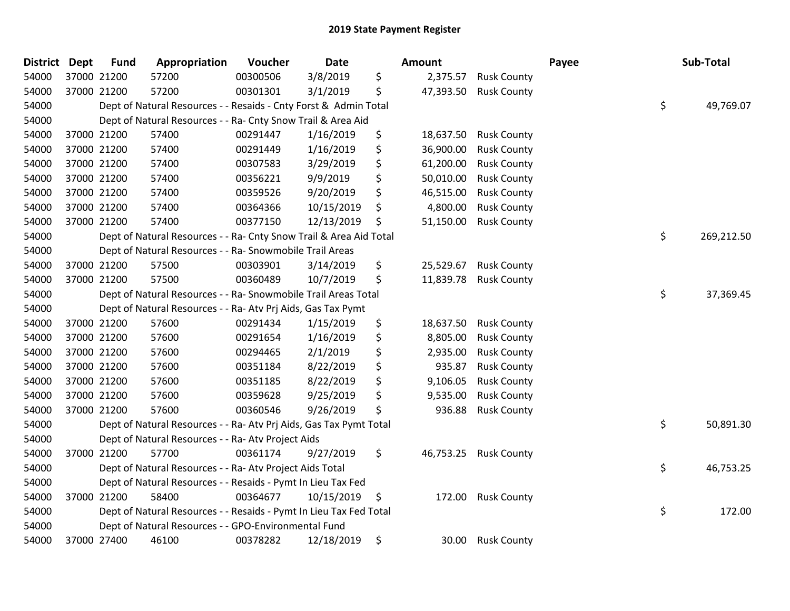| District | <b>Dept</b> | <b>Fund</b> | Appropriation                                                      | Voucher  | <b>Date</b> | Amount          |                    | Payee | Sub-Total        |
|----------|-------------|-------------|--------------------------------------------------------------------|----------|-------------|-----------------|--------------------|-------|------------------|
| 54000    | 37000 21200 |             | 57200                                                              | 00300506 | 3/8/2019    | \$<br>2,375.57  | <b>Rusk County</b> |       |                  |
| 54000    |             | 37000 21200 | 57200                                                              | 00301301 | 3/1/2019    | \$<br>47,393.50 | <b>Rusk County</b> |       |                  |
| 54000    |             |             | Dept of Natural Resources - - Resaids - Cnty Forst & Admin Total   |          |             |                 |                    |       | \$<br>49,769.07  |
| 54000    |             |             | Dept of Natural Resources - - Ra- Cnty Snow Trail & Area Aid       |          |             |                 |                    |       |                  |
| 54000    |             | 37000 21200 | 57400                                                              | 00291447 | 1/16/2019   | \$<br>18,637.50 | <b>Rusk County</b> |       |                  |
| 54000    |             | 37000 21200 | 57400                                                              | 00291449 | 1/16/2019   | \$<br>36,900.00 | <b>Rusk County</b> |       |                  |
| 54000    |             | 37000 21200 | 57400                                                              | 00307583 | 3/29/2019   | \$<br>61,200.00 | <b>Rusk County</b> |       |                  |
| 54000    |             | 37000 21200 | 57400                                                              | 00356221 | 9/9/2019    | \$<br>50,010.00 | <b>Rusk County</b> |       |                  |
| 54000    |             | 37000 21200 | 57400                                                              | 00359526 | 9/20/2019   | \$<br>46,515.00 | <b>Rusk County</b> |       |                  |
| 54000    |             | 37000 21200 | 57400                                                              | 00364366 | 10/15/2019  | \$<br>4,800.00  | <b>Rusk County</b> |       |                  |
| 54000    |             | 37000 21200 | 57400                                                              | 00377150 | 12/13/2019  | \$<br>51,150.00 | <b>Rusk County</b> |       |                  |
| 54000    |             |             | Dept of Natural Resources - - Ra- Cnty Snow Trail & Area Aid Total |          |             |                 |                    |       | \$<br>269,212.50 |
| 54000    |             |             | Dept of Natural Resources - - Ra- Snowmobile Trail Areas           |          |             |                 |                    |       |                  |
| 54000    |             | 37000 21200 | 57500                                                              | 00303901 | 3/14/2019   | \$<br>25,529.67 | <b>Rusk County</b> |       |                  |
| 54000    |             | 37000 21200 | 57500                                                              | 00360489 | 10/7/2019   | \$<br>11,839.78 | <b>Rusk County</b> |       |                  |
| 54000    |             |             | Dept of Natural Resources - - Ra- Snowmobile Trail Areas Total     |          |             |                 |                    |       | \$<br>37,369.45  |
| 54000    |             |             | Dept of Natural Resources - - Ra- Atv Prj Aids, Gas Tax Pymt       |          |             |                 |                    |       |                  |
| 54000    |             | 37000 21200 | 57600                                                              | 00291434 | 1/15/2019   | \$<br>18,637.50 | <b>Rusk County</b> |       |                  |
| 54000    |             | 37000 21200 | 57600                                                              | 00291654 | 1/16/2019   | \$<br>8,805.00  | <b>Rusk County</b> |       |                  |
| 54000    |             | 37000 21200 | 57600                                                              | 00294465 | 2/1/2019    | \$<br>2,935.00  | <b>Rusk County</b> |       |                  |
| 54000    |             | 37000 21200 | 57600                                                              | 00351184 | 8/22/2019   | \$<br>935.87    | <b>Rusk County</b> |       |                  |
| 54000    |             | 37000 21200 | 57600                                                              | 00351185 | 8/22/2019   | \$<br>9,106.05  | <b>Rusk County</b> |       |                  |
| 54000    |             | 37000 21200 | 57600                                                              | 00359628 | 9/25/2019   | \$<br>9,535.00  | <b>Rusk County</b> |       |                  |
| 54000    | 37000 21200 |             | 57600                                                              | 00360546 | 9/26/2019   | \$<br>936.88    | <b>Rusk County</b> |       |                  |
| 54000    |             |             | Dept of Natural Resources - - Ra- Atv Prj Aids, Gas Tax Pymt Total |          |             |                 |                    |       | \$<br>50,891.30  |
| 54000    |             |             | Dept of Natural Resources - - Ra- Atv Project Aids                 |          |             |                 |                    |       |                  |
| 54000    |             | 37000 21200 | 57700                                                              | 00361174 | 9/27/2019   | \$<br>46,753.25 | <b>Rusk County</b> |       |                  |
| 54000    |             |             | Dept of Natural Resources - - Ra- Atv Project Aids Total           |          |             |                 |                    |       | \$<br>46,753.25  |
| 54000    |             |             | Dept of Natural Resources - - Resaids - Pymt In Lieu Tax Fed       |          |             |                 |                    |       |                  |
| 54000    |             | 37000 21200 | 58400                                                              | 00364677 | 10/15/2019  | \$<br>172.00    | <b>Rusk County</b> |       |                  |
| 54000    |             |             | Dept of Natural Resources - - Resaids - Pymt In Lieu Tax Fed Total |          |             |                 |                    |       | \$<br>172.00     |
| 54000    |             |             | Dept of Natural Resources - - GPO-Environmental Fund               |          |             |                 |                    |       |                  |
| 54000    |             | 37000 27400 | 46100                                                              | 00378282 | 12/18/2019  | \$<br>30.00     | <b>Rusk County</b> |       |                  |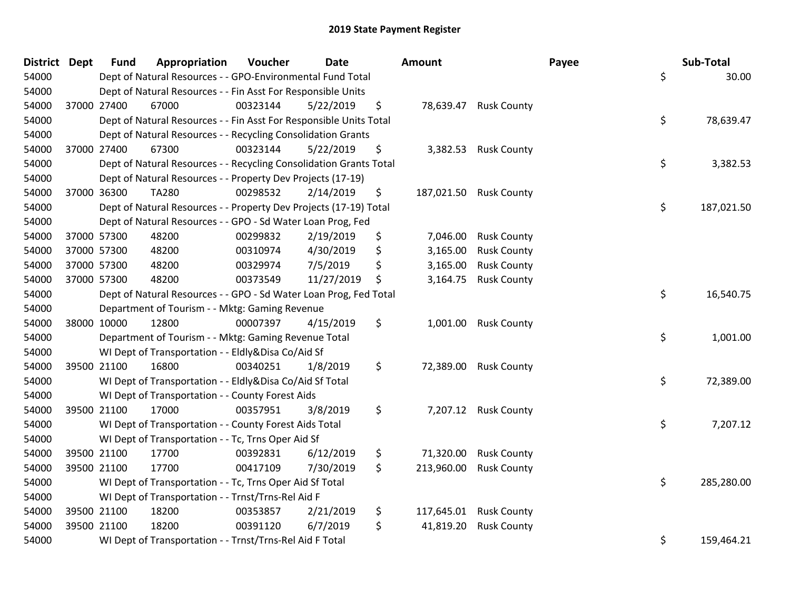| District Dept |             | <b>Fund</b> | Appropriation                                                      | Voucher  | <b>Date</b> | <b>Amount</b>    |                        | Payee | Sub-Total  |
|---------------|-------------|-------------|--------------------------------------------------------------------|----------|-------------|------------------|------------------------|-------|------------|
| 54000         |             |             | Dept of Natural Resources - - GPO-Environmental Fund Total         |          |             |                  |                        | \$    | 30.00      |
| 54000         |             |             | Dept of Natural Resources - - Fin Asst For Responsible Units       |          |             |                  |                        |       |            |
| 54000         |             | 37000 27400 | 67000                                                              | 00323144 | 5/22/2019   | \$               | 78,639.47 Rusk County  |       |            |
| 54000         |             |             | Dept of Natural Resources - - Fin Asst For Responsible Units Total |          |             |                  |                        | \$    | 78,639.47  |
| 54000         |             |             | Dept of Natural Resources - - Recycling Consolidation Grants       |          |             |                  |                        |       |            |
| 54000         | 37000 27400 |             | 67300                                                              | 00323144 | 5/22/2019   | \$<br>3,382.53   | <b>Rusk County</b>     |       |            |
| 54000         |             |             | Dept of Natural Resources - - Recycling Consolidation Grants Total |          |             |                  |                        | \$    | 3,382.53   |
| 54000         |             |             | Dept of Natural Resources - - Property Dev Projects (17-19)        |          |             |                  |                        |       |            |
| 54000         | 37000 36300 |             | <b>TA280</b>                                                       | 00298532 | 2/14/2019   | \$               | 187,021.50 Rusk County |       |            |
| 54000         |             |             | Dept of Natural Resources - - Property Dev Projects (17-19) Total  |          |             |                  |                        | \$    | 187,021.50 |
| 54000         |             |             | Dept of Natural Resources - - GPO - Sd Water Loan Prog, Fed        |          |             |                  |                        |       |            |
| 54000         | 37000 57300 |             | 48200                                                              | 00299832 | 2/19/2019   | \$<br>7,046.00   | <b>Rusk County</b>     |       |            |
| 54000         | 37000 57300 |             | 48200                                                              | 00310974 | 4/30/2019   | \$<br>3,165.00   | <b>Rusk County</b>     |       |            |
| 54000         | 37000 57300 |             | 48200                                                              | 00329974 | 7/5/2019    | \$<br>3,165.00   | <b>Rusk County</b>     |       |            |
| 54000         | 37000 57300 |             | 48200                                                              | 00373549 | 11/27/2019  | \$<br>3,164.75   | <b>Rusk County</b>     |       |            |
| 54000         |             |             | Dept of Natural Resources - - GPO - Sd Water Loan Prog, Fed Total  |          |             |                  |                        | \$    | 16,540.75  |
| 54000         |             |             | Department of Tourism - - Mktg: Gaming Revenue                     |          |             |                  |                        |       |            |
| 54000         | 38000 10000 |             | 12800                                                              | 00007397 | 4/15/2019   | \$<br>1,001.00   | <b>Rusk County</b>     |       |            |
| 54000         |             |             | Department of Tourism - - Mktg: Gaming Revenue Total               |          |             |                  |                        | \$    | 1,001.00   |
| 54000         |             |             | WI Dept of Transportation - - Eldly&Disa Co/Aid Sf                 |          |             |                  |                        |       |            |
| 54000         | 39500 21100 |             | 16800                                                              | 00340251 | 1/8/2019    | \$               | 72,389.00 Rusk County  |       |            |
| 54000         |             |             | WI Dept of Transportation - - Eldly&Disa Co/Aid Sf Total           |          |             |                  |                        | \$    | 72,389.00  |
| 54000         |             |             | WI Dept of Transportation - - County Forest Aids                   |          |             |                  |                        |       |            |
| 54000         | 39500 21100 |             | 17000                                                              | 00357951 | 3/8/2019    | \$               | 7,207.12 Rusk County   |       |            |
| 54000         |             |             | WI Dept of Transportation - - County Forest Aids Total             |          |             |                  |                        | \$    | 7,207.12   |
| 54000         |             |             | WI Dept of Transportation - - Tc, Trns Oper Aid Sf                 |          |             |                  |                        |       |            |
| 54000         | 39500 21100 |             | 17700                                                              | 00392831 | 6/12/2019   | \$<br>71,320.00  | <b>Rusk County</b>     |       |            |
| 54000         | 39500 21100 |             | 17700                                                              | 00417109 | 7/30/2019   | \$<br>213,960.00 | <b>Rusk County</b>     |       |            |
| 54000         |             |             | WI Dept of Transportation - - Tc, Trns Oper Aid Sf Total           |          |             |                  |                        | \$    | 285,280.00 |
| 54000         |             |             | WI Dept of Transportation - - Trnst/Trns-Rel Aid F                 |          |             |                  |                        |       |            |
| 54000         | 39500 21100 |             | 18200                                                              | 00353857 | 2/21/2019   | \$<br>117,645.01 | <b>Rusk County</b>     |       |            |
| 54000         | 39500 21100 |             | 18200                                                              | 00391120 | 6/7/2019    | \$<br>41,819.20  | <b>Rusk County</b>     |       |            |
| 54000         |             |             | WI Dept of Transportation - - Trnst/Trns-Rel Aid F Total           |          |             |                  |                        | \$    | 159,464.21 |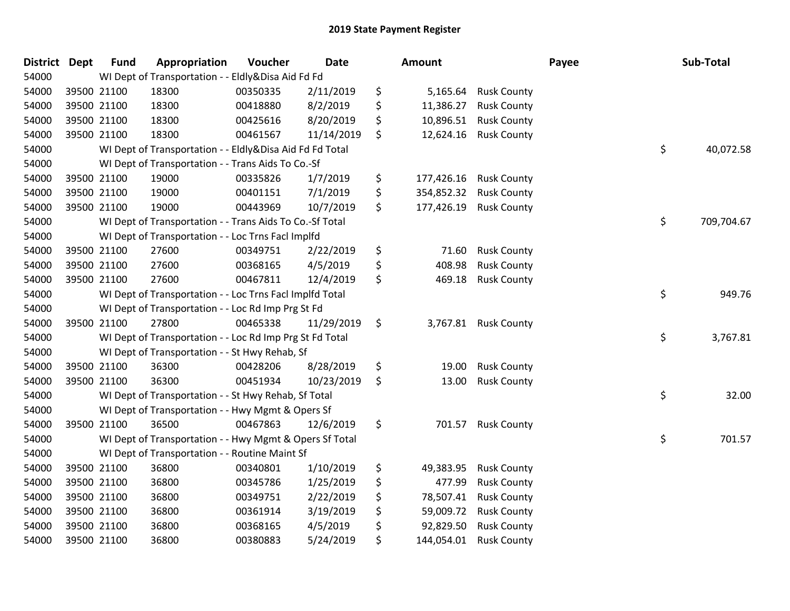| District | Dept        | <b>Fund</b> | Appropriation                                            | Voucher  | <b>Date</b> | Amount           |                    | Payee | Sub-Total  |
|----------|-------------|-------------|----------------------------------------------------------|----------|-------------|------------------|--------------------|-------|------------|
| 54000    |             |             | WI Dept of Transportation - - Eldly&Disa Aid Fd Fd       |          |             |                  |                    |       |            |
| 54000    | 39500 21100 |             | 18300                                                    | 00350335 | 2/11/2019   | \$<br>5,165.64   | <b>Rusk County</b> |       |            |
| 54000    | 39500 21100 |             | 18300                                                    | 00418880 | 8/2/2019    | \$<br>11,386.27  | <b>Rusk County</b> |       |            |
| 54000    | 39500 21100 |             | 18300                                                    | 00425616 | 8/20/2019   | \$<br>10,896.51  | <b>Rusk County</b> |       |            |
| 54000    | 39500 21100 |             | 18300                                                    | 00461567 | 11/14/2019  | \$<br>12,624.16  | <b>Rusk County</b> |       |            |
| 54000    |             |             | WI Dept of Transportation - - Eldly&Disa Aid Fd Fd Total |          |             |                  |                    | \$    | 40,072.58  |
| 54000    |             |             | WI Dept of Transportation - - Trans Aids To Co.-Sf       |          |             |                  |                    |       |            |
| 54000    | 39500 21100 |             | 19000                                                    | 00335826 | 1/7/2019    | \$<br>177,426.16 | <b>Rusk County</b> |       |            |
| 54000    | 39500 21100 |             | 19000                                                    | 00401151 | 7/1/2019    | \$<br>354,852.32 | <b>Rusk County</b> |       |            |
| 54000    | 39500 21100 |             | 19000                                                    | 00443969 | 10/7/2019   | \$<br>177,426.19 | <b>Rusk County</b> |       |            |
| 54000    |             |             | WI Dept of Transportation - - Trans Aids To Co.-Sf Total |          |             |                  |                    | \$    | 709,704.67 |
| 54000    |             |             | WI Dept of Transportation - - Loc Trns Facl Implfd       |          |             |                  |                    |       |            |
| 54000    | 39500 21100 |             | 27600                                                    | 00349751 | 2/22/2019   | \$<br>71.60      | <b>Rusk County</b> |       |            |
| 54000    | 39500 21100 |             | 27600                                                    | 00368165 | 4/5/2019    | \$<br>408.98     | <b>Rusk County</b> |       |            |
| 54000    | 39500 21100 |             | 27600                                                    | 00467811 | 12/4/2019   | \$<br>469.18     | <b>Rusk County</b> |       |            |
| 54000    |             |             | WI Dept of Transportation - - Loc Trns FacI Implfd Total |          |             |                  |                    | \$    | 949.76     |
| 54000    |             |             | WI Dept of Transportation - - Loc Rd Imp Prg St Fd       |          |             |                  |                    |       |            |
| 54000    | 39500 21100 |             | 27800                                                    | 00465338 | 11/29/2019  | \$<br>3,767.81   | <b>Rusk County</b> |       |            |
| 54000    |             |             | WI Dept of Transportation - - Loc Rd Imp Prg St Fd Total |          |             |                  |                    | \$    | 3,767.81   |
| 54000    |             |             | WI Dept of Transportation - - St Hwy Rehab, Sf           |          |             |                  |                    |       |            |
| 54000    | 39500 21100 |             | 36300                                                    | 00428206 | 8/28/2019   | \$<br>19.00      | <b>Rusk County</b> |       |            |
| 54000    | 39500 21100 |             | 36300                                                    | 00451934 | 10/23/2019  | \$<br>13.00      | <b>Rusk County</b> |       |            |
| 54000    |             |             | WI Dept of Transportation - - St Hwy Rehab, Sf Total     |          |             |                  |                    | \$    | 32.00      |
| 54000    |             |             | WI Dept of Transportation - - Hwy Mgmt & Opers Sf        |          |             |                  |                    |       |            |
| 54000    | 39500 21100 |             | 36500                                                    | 00467863 | 12/6/2019   | \$<br>701.57     | <b>Rusk County</b> |       |            |
| 54000    |             |             | WI Dept of Transportation - - Hwy Mgmt & Opers Sf Total  |          |             |                  |                    | \$    | 701.57     |
| 54000    |             |             | WI Dept of Transportation - - Routine Maint Sf           |          |             |                  |                    |       |            |
| 54000    | 39500 21100 |             | 36800                                                    | 00340801 | 1/10/2019   | \$<br>49,383.95  | <b>Rusk County</b> |       |            |
| 54000    | 39500 21100 |             | 36800                                                    | 00345786 | 1/25/2019   | \$<br>477.99     | <b>Rusk County</b> |       |            |
| 54000    | 39500 21100 |             | 36800                                                    | 00349751 | 2/22/2019   | \$<br>78,507.41  | <b>Rusk County</b> |       |            |
| 54000    | 39500 21100 |             | 36800                                                    | 00361914 | 3/19/2019   | \$<br>59,009.72  | <b>Rusk County</b> |       |            |
| 54000    | 39500 21100 |             | 36800                                                    | 00368165 | 4/5/2019    | \$<br>92,829.50  | <b>Rusk County</b> |       |            |
| 54000    | 39500 21100 |             | 36800                                                    | 00380883 | 5/24/2019   | \$<br>144,054.01 | <b>Rusk County</b> |       |            |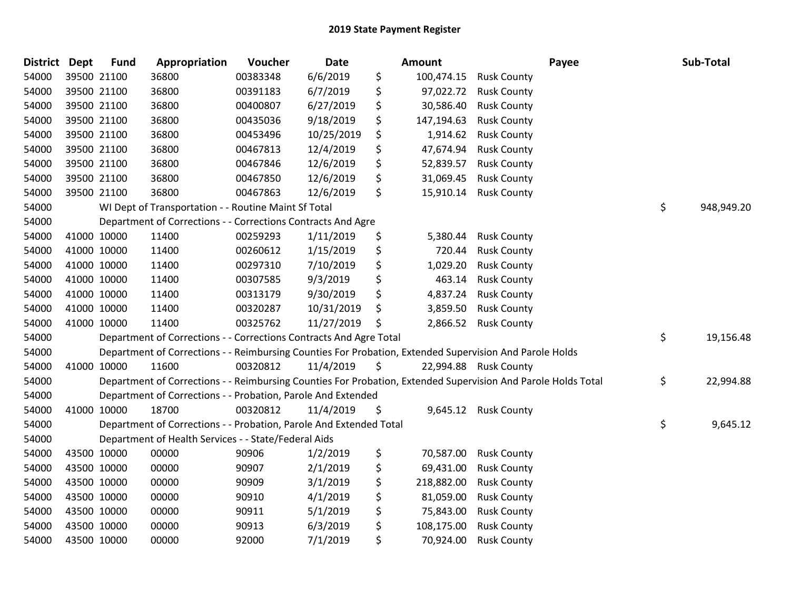| District Dept |             | <b>Fund</b> | Appropriation                                                      | Voucher  | Date       | <b>Amount</b>    | Payee                                                                                                         | Sub-Total        |
|---------------|-------------|-------------|--------------------------------------------------------------------|----------|------------|------------------|---------------------------------------------------------------------------------------------------------------|------------------|
| 54000         | 39500 21100 |             | 36800                                                              | 00383348 | 6/6/2019   | \$<br>100,474.15 | <b>Rusk County</b>                                                                                            |                  |
| 54000         | 39500 21100 |             | 36800                                                              | 00391183 | 6/7/2019   | \$<br>97,022.72  | <b>Rusk County</b>                                                                                            |                  |
| 54000         | 39500 21100 |             | 36800                                                              | 00400807 | 6/27/2019  | \$<br>30,586.40  | <b>Rusk County</b>                                                                                            |                  |
| 54000         | 39500 21100 |             | 36800                                                              | 00435036 | 9/18/2019  | \$<br>147,194.63 | <b>Rusk County</b>                                                                                            |                  |
| 54000         | 39500 21100 |             | 36800                                                              | 00453496 | 10/25/2019 | \$<br>1,914.62   | <b>Rusk County</b>                                                                                            |                  |
| 54000         |             | 39500 21100 | 36800                                                              | 00467813 | 12/4/2019  | \$<br>47,674.94  | <b>Rusk County</b>                                                                                            |                  |
| 54000         | 39500 21100 |             | 36800                                                              | 00467846 | 12/6/2019  | \$<br>52,839.57  | <b>Rusk County</b>                                                                                            |                  |
| 54000         | 39500 21100 |             | 36800                                                              | 00467850 | 12/6/2019  | \$<br>31,069.45  | <b>Rusk County</b>                                                                                            |                  |
| 54000         | 39500 21100 |             | 36800                                                              | 00467863 | 12/6/2019  | \$<br>15,910.14  | <b>Rusk County</b>                                                                                            |                  |
| 54000         |             |             | WI Dept of Transportation - - Routine Maint Sf Total               |          |            |                  |                                                                                                               | \$<br>948,949.20 |
| 54000         |             |             | Department of Corrections - - Corrections Contracts And Agre       |          |            |                  |                                                                                                               |                  |
| 54000         | 41000 10000 |             | 11400                                                              | 00259293 | 1/11/2019  | \$<br>5,380.44   | <b>Rusk County</b>                                                                                            |                  |
| 54000         | 41000 10000 |             | 11400                                                              | 00260612 | 1/15/2019  | \$<br>720.44     | <b>Rusk County</b>                                                                                            |                  |
| 54000         | 41000 10000 |             | 11400                                                              | 00297310 | 7/10/2019  | \$<br>1,029.20   | <b>Rusk County</b>                                                                                            |                  |
| 54000         | 41000 10000 |             | 11400                                                              | 00307585 | 9/3/2019   | \$<br>463.14     | <b>Rusk County</b>                                                                                            |                  |
| 54000         | 41000 10000 |             | 11400                                                              | 00313179 | 9/30/2019  | \$<br>4,837.24   | <b>Rusk County</b>                                                                                            |                  |
| 54000         | 41000 10000 |             | 11400                                                              | 00320287 | 10/31/2019 | \$<br>3,859.50   | <b>Rusk County</b>                                                                                            |                  |
| 54000         | 41000 10000 |             | 11400                                                              | 00325762 | 11/27/2019 | \$<br>2,866.52   | <b>Rusk County</b>                                                                                            |                  |
| 54000         |             |             | Department of Corrections - - Corrections Contracts And Agre Total |          |            |                  |                                                                                                               | \$<br>19,156.48  |
| 54000         |             |             |                                                                    |          |            |                  | Department of Corrections - - Reimbursing Counties For Probation, Extended Supervision And Parole Holds       |                  |
| 54000         | 41000 10000 |             | 11600                                                              | 00320812 | 11/4/2019  | \$               | 22,994.88 Rusk County                                                                                         |                  |
| 54000         |             |             |                                                                    |          |            |                  | Department of Corrections - - Reimbursing Counties For Probation, Extended Supervision And Parole Holds Total | \$<br>22,994.88  |
| 54000         |             |             | Department of Corrections - - Probation, Parole And Extended       |          |            |                  |                                                                                                               |                  |
| 54000         | 41000 10000 |             | 18700                                                              | 00320812 | 11/4/2019  | \$<br>9,645.12   | <b>Rusk County</b>                                                                                            |                  |
| 54000         |             |             | Department of Corrections - - Probation, Parole And Extended Total |          |            |                  |                                                                                                               | \$<br>9,645.12   |
| 54000         |             |             | Department of Health Services - - State/Federal Aids               |          |            |                  |                                                                                                               |                  |
| 54000         | 43500 10000 |             | 00000                                                              | 90906    | 1/2/2019   | \$<br>70,587.00  | <b>Rusk County</b>                                                                                            |                  |
| 54000         | 43500 10000 |             | 00000                                                              | 90907    | 2/1/2019   | \$<br>69,431.00  | <b>Rusk County</b>                                                                                            |                  |
| 54000         | 43500 10000 |             | 00000                                                              | 90909    | 3/1/2019   | \$<br>218,882.00 | <b>Rusk County</b>                                                                                            |                  |
| 54000         | 43500 10000 |             | 00000                                                              | 90910    | 4/1/2019   | \$<br>81,059.00  | <b>Rusk County</b>                                                                                            |                  |
| 54000         | 43500 10000 |             | 00000                                                              | 90911    | 5/1/2019   | \$<br>75,843.00  | <b>Rusk County</b>                                                                                            |                  |
| 54000         | 43500 10000 |             | 00000                                                              | 90913    | 6/3/2019   | \$<br>108,175.00 | <b>Rusk County</b>                                                                                            |                  |
| 54000         | 43500 10000 |             | 00000                                                              | 92000    | 7/1/2019   | \$<br>70,924.00  | <b>Rusk County</b>                                                                                            |                  |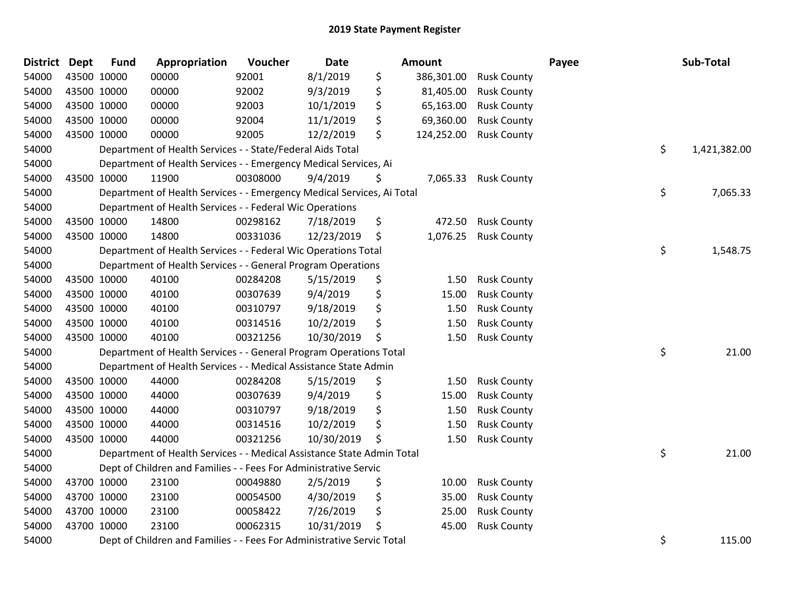| <b>District Dept</b> |             | <b>Fund</b> | Appropriation                                                          | Voucher  | <b>Date</b> | <b>Amount</b>    |                        | Payee | Sub-Total    |
|----------------------|-------------|-------------|------------------------------------------------------------------------|----------|-------------|------------------|------------------------|-------|--------------|
| 54000                |             | 43500 10000 | 00000                                                                  | 92001    | 8/1/2019    | \$               | 386,301.00 Rusk County |       |              |
| 54000                |             | 43500 10000 | 00000                                                                  | 92002    | 9/3/2019    | \$<br>81,405.00  | <b>Rusk County</b>     |       |              |
| 54000                | 43500 10000 |             | 00000                                                                  | 92003    | 10/1/2019   | \$<br>65,163.00  | <b>Rusk County</b>     |       |              |
| 54000                | 43500 10000 |             | 00000                                                                  | 92004    | 11/1/2019   | \$<br>69,360.00  | <b>Rusk County</b>     |       |              |
| 54000                |             | 43500 10000 | 00000                                                                  | 92005    | 12/2/2019   | \$<br>124,252.00 | <b>Rusk County</b>     |       |              |
| 54000                |             |             | Department of Health Services - - State/Federal Aids Total             |          |             |                  |                        | \$    | 1,421,382.00 |
| 54000                |             |             | Department of Health Services - - Emergency Medical Services, Ai       |          |             |                  |                        |       |              |
| 54000                | 43500 10000 |             | 11900                                                                  | 00308000 | 9/4/2019    | \$<br>7,065.33   | <b>Rusk County</b>     |       |              |
| 54000                |             |             | Department of Health Services - - Emergency Medical Services, Ai Total |          |             |                  |                        | \$    | 7,065.33     |
| 54000                |             |             | Department of Health Services - - Federal Wic Operations               |          |             |                  |                        |       |              |
| 54000                |             | 43500 10000 | 14800                                                                  | 00298162 | 7/18/2019   | \$               | 472.50 Rusk County     |       |              |
| 54000                |             | 43500 10000 | 14800                                                                  | 00331036 | 12/23/2019  | \$               | 1,076.25 Rusk County   |       |              |
| 54000                |             |             | Department of Health Services - - Federal Wic Operations Total         |          |             |                  |                        | \$    | 1,548.75     |
| 54000                |             |             | Department of Health Services - - General Program Operations           |          |             |                  |                        |       |              |
| 54000                |             | 43500 10000 | 40100                                                                  | 00284208 | 5/15/2019   | \$<br>1.50       | <b>Rusk County</b>     |       |              |
| 54000                |             | 43500 10000 | 40100                                                                  | 00307639 | 9/4/2019    | \$<br>15.00      | <b>Rusk County</b>     |       |              |
| 54000                | 43500 10000 |             | 40100                                                                  | 00310797 | 9/18/2019   | \$<br>1.50       | <b>Rusk County</b>     |       |              |
| 54000                | 43500 10000 |             | 40100                                                                  | 00314516 | 10/2/2019   | \$<br>1.50       | <b>Rusk County</b>     |       |              |
| 54000                | 43500 10000 |             | 40100                                                                  | 00321256 | 10/30/2019  | \$<br>1.50       | <b>Rusk County</b>     |       |              |
| 54000                |             |             | Department of Health Services - - General Program Operations Total     |          |             |                  |                        | \$    | 21.00        |
| 54000                |             |             | Department of Health Services - - Medical Assistance State Admin       |          |             |                  |                        |       |              |
| 54000                | 43500 10000 |             | 44000                                                                  | 00284208 | 5/15/2019   | \$<br>1.50       | <b>Rusk County</b>     |       |              |
| 54000                |             | 43500 10000 | 44000                                                                  | 00307639 | 9/4/2019    | \$<br>15.00      | <b>Rusk County</b>     |       |              |
| 54000                |             | 43500 10000 | 44000                                                                  | 00310797 | 9/18/2019   | \$<br>1.50       | <b>Rusk County</b>     |       |              |
| 54000                |             | 43500 10000 | 44000                                                                  | 00314516 | 10/2/2019   | \$<br>1.50       | <b>Rusk County</b>     |       |              |
| 54000                |             | 43500 10000 | 44000                                                                  | 00321256 | 10/30/2019  | \$<br>1.50       | <b>Rusk County</b>     |       |              |
| 54000                |             |             | Department of Health Services - - Medical Assistance State Admin Total |          |             |                  |                        | \$    | 21.00        |
| 54000                |             |             | Dept of Children and Families - - Fees For Administrative Servic       |          |             |                  |                        |       |              |
| 54000                |             | 43700 10000 | 23100                                                                  | 00049880 | 2/5/2019    | \$<br>10.00      | <b>Rusk County</b>     |       |              |
| 54000                |             | 43700 10000 | 23100                                                                  | 00054500 | 4/30/2019   | \$<br>35.00      | <b>Rusk County</b>     |       |              |
| 54000                |             | 43700 10000 | 23100                                                                  | 00058422 | 7/26/2019   | \$<br>25.00      | <b>Rusk County</b>     |       |              |
| 54000                | 43700 10000 |             | 23100                                                                  | 00062315 | 10/31/2019  | \$<br>45.00      | <b>Rusk County</b>     |       |              |
| 54000                |             |             | Dept of Children and Families - - Fees For Administrative Servic Total |          |             |                  |                        | \$    | 115.00       |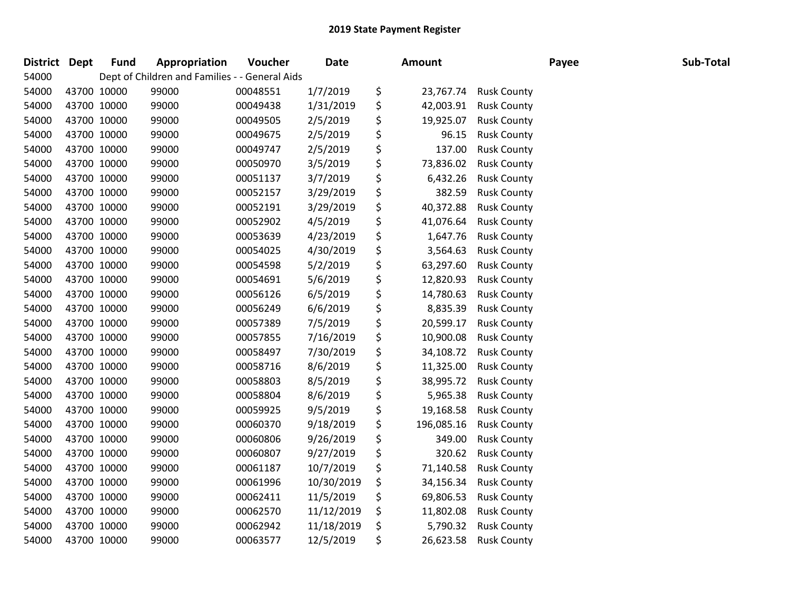| <b>District</b> | Dept        | <b>Fund</b> | Appropriation                                  | Voucher  | Date       | <b>Amount</b>    |                    | Payee | Sub-Total |
|-----------------|-------------|-------------|------------------------------------------------|----------|------------|------------------|--------------------|-------|-----------|
| 54000           |             |             | Dept of Children and Families - - General Aids |          |            |                  |                    |       |           |
| 54000           | 43700 10000 |             | 99000                                          | 00048551 | 1/7/2019   | \$<br>23,767.74  | <b>Rusk County</b> |       |           |
| 54000           | 43700 10000 |             | 99000                                          | 00049438 | 1/31/2019  | \$<br>42,003.91  | <b>Rusk County</b> |       |           |
| 54000           | 43700 10000 |             | 99000                                          | 00049505 | 2/5/2019   | \$<br>19,925.07  | <b>Rusk County</b> |       |           |
| 54000           | 43700 10000 |             | 99000                                          | 00049675 | 2/5/2019   | \$<br>96.15      | <b>Rusk County</b> |       |           |
| 54000           | 43700 10000 |             | 99000                                          | 00049747 | 2/5/2019   | \$<br>137.00     | <b>Rusk County</b> |       |           |
| 54000           | 43700 10000 |             | 99000                                          | 00050970 | 3/5/2019   | \$<br>73,836.02  | <b>Rusk County</b> |       |           |
| 54000           | 43700 10000 |             | 99000                                          | 00051137 | 3/7/2019   | \$<br>6,432.26   | <b>Rusk County</b> |       |           |
| 54000           | 43700 10000 |             | 99000                                          | 00052157 | 3/29/2019  | \$<br>382.59     | <b>Rusk County</b> |       |           |
| 54000           | 43700 10000 |             | 99000                                          | 00052191 | 3/29/2019  | \$<br>40,372.88  | <b>Rusk County</b> |       |           |
| 54000           | 43700 10000 |             | 99000                                          | 00052902 | 4/5/2019   | \$<br>41,076.64  | <b>Rusk County</b> |       |           |
| 54000           | 43700 10000 |             | 99000                                          | 00053639 | 4/23/2019  | \$<br>1,647.76   | <b>Rusk County</b> |       |           |
| 54000           | 43700 10000 |             | 99000                                          | 00054025 | 4/30/2019  | \$<br>3,564.63   | <b>Rusk County</b> |       |           |
| 54000           | 43700 10000 |             | 99000                                          | 00054598 | 5/2/2019   | \$<br>63,297.60  | <b>Rusk County</b> |       |           |
| 54000           | 43700 10000 |             | 99000                                          | 00054691 | 5/6/2019   | \$<br>12,820.93  | <b>Rusk County</b> |       |           |
| 54000           | 43700 10000 |             | 99000                                          | 00056126 | 6/5/2019   | \$<br>14,780.63  | <b>Rusk County</b> |       |           |
| 54000           | 43700 10000 |             | 99000                                          | 00056249 | 6/6/2019   | \$<br>8,835.39   | <b>Rusk County</b> |       |           |
| 54000           | 43700 10000 |             | 99000                                          | 00057389 | 7/5/2019   | \$<br>20,599.17  | <b>Rusk County</b> |       |           |
| 54000           | 43700 10000 |             | 99000                                          | 00057855 | 7/16/2019  | \$<br>10,900.08  | <b>Rusk County</b> |       |           |
| 54000           | 43700 10000 |             | 99000                                          | 00058497 | 7/30/2019  | \$<br>34,108.72  | <b>Rusk County</b> |       |           |
| 54000           | 43700 10000 |             | 99000                                          | 00058716 | 8/6/2019   | \$<br>11,325.00  | <b>Rusk County</b> |       |           |
| 54000           | 43700 10000 |             | 99000                                          | 00058803 | 8/5/2019   | \$<br>38,995.72  | <b>Rusk County</b> |       |           |
| 54000           | 43700 10000 |             | 99000                                          | 00058804 | 8/6/2019   | \$<br>5,965.38   | <b>Rusk County</b> |       |           |
| 54000           | 43700 10000 |             | 99000                                          | 00059925 | 9/5/2019   | \$<br>19,168.58  | <b>Rusk County</b> |       |           |
| 54000           | 43700 10000 |             | 99000                                          | 00060370 | 9/18/2019  | \$<br>196,085.16 | <b>Rusk County</b> |       |           |
| 54000           | 43700 10000 |             | 99000                                          | 00060806 | 9/26/2019  | \$<br>349.00     | <b>Rusk County</b> |       |           |
| 54000           | 43700 10000 |             | 99000                                          | 00060807 | 9/27/2019  | \$<br>320.62     | <b>Rusk County</b> |       |           |
| 54000           | 43700 10000 |             | 99000                                          | 00061187 | 10/7/2019  | \$<br>71,140.58  | <b>Rusk County</b> |       |           |
| 54000           | 43700 10000 |             | 99000                                          | 00061996 | 10/30/2019 | \$<br>34,156.34  | <b>Rusk County</b> |       |           |
| 54000           | 43700 10000 |             | 99000                                          | 00062411 | 11/5/2019  | \$<br>69,806.53  | <b>Rusk County</b> |       |           |
| 54000           | 43700 10000 |             | 99000                                          | 00062570 | 11/12/2019 | \$<br>11,802.08  | <b>Rusk County</b> |       |           |
| 54000           | 43700 10000 |             | 99000                                          | 00062942 | 11/18/2019 | \$<br>5,790.32   | <b>Rusk County</b> |       |           |
| 54000           | 43700 10000 |             | 99000                                          | 00063577 | 12/5/2019  | \$<br>26,623.58  | <b>Rusk County</b> |       |           |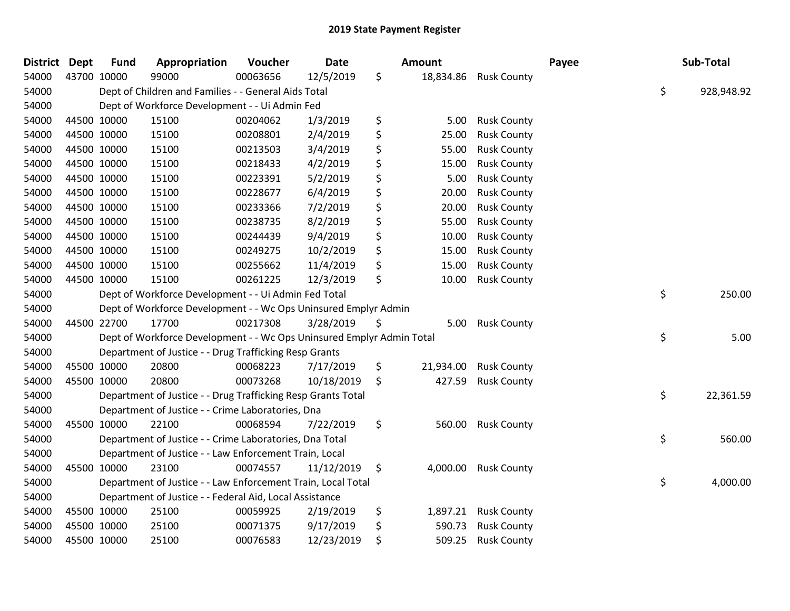| <b>District Dept</b> |             | <b>Fund</b> | Appropriation                                                         | Voucher  | <b>Date</b> | Amount          |                      | Payee | Sub-Total        |
|----------------------|-------------|-------------|-----------------------------------------------------------------------|----------|-------------|-----------------|----------------------|-------|------------------|
| 54000                | 43700 10000 |             | 99000                                                                 | 00063656 | 12/5/2019   | \$<br>18,834.86 | <b>Rusk County</b>   |       |                  |
| 54000                |             |             | Dept of Children and Families - - General Aids Total                  |          |             |                 |                      |       | \$<br>928,948.92 |
| 54000                |             |             | Dept of Workforce Development - - Ui Admin Fed                        |          |             |                 |                      |       |                  |
| 54000                |             | 44500 10000 | 15100                                                                 | 00204062 | 1/3/2019    | \$<br>5.00      | <b>Rusk County</b>   |       |                  |
| 54000                |             | 44500 10000 | 15100                                                                 | 00208801 | 2/4/2019    | \$<br>25.00     | <b>Rusk County</b>   |       |                  |
| 54000                |             | 44500 10000 | 15100                                                                 | 00213503 | 3/4/2019    | \$<br>55.00     | <b>Rusk County</b>   |       |                  |
| 54000                |             | 44500 10000 | 15100                                                                 | 00218433 | 4/2/2019    | \$<br>15.00     | <b>Rusk County</b>   |       |                  |
| 54000                |             | 44500 10000 | 15100                                                                 | 00223391 | 5/2/2019    | \$<br>5.00      | <b>Rusk County</b>   |       |                  |
| 54000                |             | 44500 10000 | 15100                                                                 | 00228677 | 6/4/2019    | \$<br>20.00     | <b>Rusk County</b>   |       |                  |
| 54000                |             | 44500 10000 | 15100                                                                 | 00233366 | 7/2/2019    | \$<br>20.00     | <b>Rusk County</b>   |       |                  |
| 54000                |             | 44500 10000 | 15100                                                                 | 00238735 | 8/2/2019    | \$<br>55.00     | <b>Rusk County</b>   |       |                  |
| 54000                |             | 44500 10000 | 15100                                                                 | 00244439 | 9/4/2019    | \$<br>10.00     | <b>Rusk County</b>   |       |                  |
| 54000                | 44500 10000 |             | 15100                                                                 | 00249275 | 10/2/2019   | \$<br>15.00     | <b>Rusk County</b>   |       |                  |
| 54000                |             | 44500 10000 | 15100                                                                 | 00255662 | 11/4/2019   | \$<br>15.00     | <b>Rusk County</b>   |       |                  |
| 54000                |             | 44500 10000 | 15100                                                                 | 00261225 | 12/3/2019   | \$<br>10.00     | <b>Rusk County</b>   |       |                  |
| 54000                |             |             | Dept of Workforce Development - - Ui Admin Fed Total                  |          |             |                 |                      |       | \$<br>250.00     |
| 54000                |             |             | Dept of Workforce Development - - Wc Ops Uninsured Emplyr Admin       |          |             |                 |                      |       |                  |
| 54000                |             | 44500 22700 | 17700                                                                 | 00217308 | 3/28/2019   | \$<br>5.00      | <b>Rusk County</b>   |       |                  |
| 54000                |             |             | Dept of Workforce Development - - Wc Ops Uninsured Emplyr Admin Total |          |             |                 |                      |       | \$<br>5.00       |
| 54000                |             |             | Department of Justice - - Drug Trafficking Resp Grants                |          |             |                 |                      |       |                  |
| 54000                |             | 45500 10000 | 20800                                                                 | 00068223 | 7/17/2019   | \$<br>21,934.00 | <b>Rusk County</b>   |       |                  |
| 54000                |             | 45500 10000 | 20800                                                                 | 00073268 | 10/18/2019  | \$<br>427.59    | <b>Rusk County</b>   |       |                  |
| 54000                |             |             | Department of Justice - - Drug Trafficking Resp Grants Total          |          |             |                 |                      |       | \$<br>22,361.59  |
| 54000                |             |             | Department of Justice - - Crime Laboratories, Dna                     |          |             |                 |                      |       |                  |
| 54000                |             | 45500 10000 | 22100                                                                 | 00068594 | 7/22/2019   | \$<br>560.00    | <b>Rusk County</b>   |       |                  |
| 54000                |             |             | Department of Justice - - Crime Laboratories, Dna Total               |          |             |                 |                      |       | \$<br>560.00     |
| 54000                |             |             | Department of Justice - - Law Enforcement Train, Local                |          |             |                 |                      |       |                  |
| 54000                |             | 45500 10000 | 23100                                                                 | 00074557 | 11/12/2019  | \$<br>4,000.00  | <b>Rusk County</b>   |       |                  |
| 54000                |             |             | Department of Justice - - Law Enforcement Train, Local Total          |          |             |                 |                      |       | \$<br>4,000.00   |
| 54000                |             |             | Department of Justice - - Federal Aid, Local Assistance               |          |             |                 |                      |       |                  |
| 54000                |             | 45500 10000 | 25100                                                                 | 00059925 | 2/19/2019   | \$              | 1,897.21 Rusk County |       |                  |
| 54000                |             | 45500 10000 | 25100                                                                 | 00071375 | 9/17/2019   | \$<br>590.73    | <b>Rusk County</b>   |       |                  |
| 54000                | 45500 10000 |             | 25100                                                                 | 00076583 | 12/23/2019  | \$<br>509.25    | <b>Rusk County</b>   |       |                  |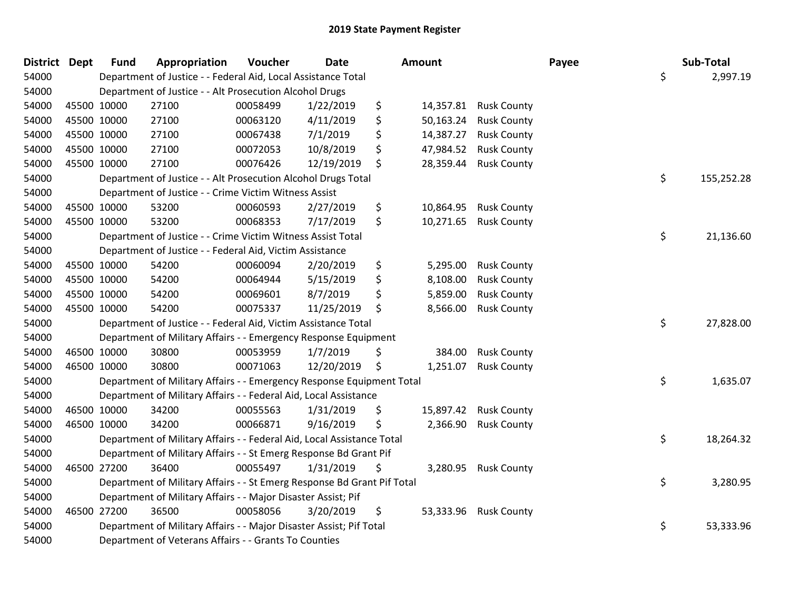| District Dept | <b>Fund</b> | Appropriation                                                           | Voucher  | <b>Date</b> | Amount          |                       | Payee | Sub-Total  |
|---------------|-------------|-------------------------------------------------------------------------|----------|-------------|-----------------|-----------------------|-------|------------|
| 54000         |             | Department of Justice - - Federal Aid, Local Assistance Total           |          |             |                 |                       | \$    | 2,997.19   |
| 54000         |             | Department of Justice - - Alt Prosecution Alcohol Drugs                 |          |             |                 |                       |       |            |
| 54000         | 45500 10000 | 27100                                                                   | 00058499 | 1/22/2019   | \$              | 14,357.81 Rusk County |       |            |
| 54000         | 45500 10000 | 27100                                                                   | 00063120 | 4/11/2019   | \$<br>50,163.24 | <b>Rusk County</b>    |       |            |
| 54000         | 45500 10000 | 27100                                                                   | 00067438 | 7/1/2019    | \$<br>14,387.27 | <b>Rusk County</b>    |       |            |
| 54000         | 45500 10000 | 27100                                                                   | 00072053 | 10/8/2019   | \$<br>47,984.52 | <b>Rusk County</b>    |       |            |
| 54000         | 45500 10000 | 27100                                                                   | 00076426 | 12/19/2019  | \$<br>28,359.44 | <b>Rusk County</b>    |       |            |
| 54000         |             | Department of Justice - - Alt Prosecution Alcohol Drugs Total           |          |             |                 |                       | \$    | 155,252.28 |
| 54000         |             | Department of Justice - - Crime Victim Witness Assist                   |          |             |                 |                       |       |            |
| 54000         | 45500 10000 | 53200                                                                   | 00060593 | 2/27/2019   | \$<br>10,864.95 | <b>Rusk County</b>    |       |            |
| 54000         | 45500 10000 | 53200                                                                   | 00068353 | 7/17/2019   | \$<br>10,271.65 | <b>Rusk County</b>    |       |            |
| 54000         |             | Department of Justice - - Crime Victim Witness Assist Total             |          |             |                 |                       | \$    | 21,136.60  |
| 54000         |             | Department of Justice - - Federal Aid, Victim Assistance                |          |             |                 |                       |       |            |
| 54000         | 45500 10000 | 54200                                                                   | 00060094 | 2/20/2019   | \$<br>5,295.00  | <b>Rusk County</b>    |       |            |
| 54000         | 45500 10000 | 54200                                                                   | 00064944 | 5/15/2019   | \$<br>8,108.00  | <b>Rusk County</b>    |       |            |
| 54000         | 45500 10000 | 54200                                                                   | 00069601 | 8/7/2019    | \$<br>5,859.00  | <b>Rusk County</b>    |       |            |
| 54000         | 45500 10000 | 54200                                                                   | 00075337 | 11/25/2019  | \$<br>8,566.00  | <b>Rusk County</b>    |       |            |
| 54000         |             | Department of Justice - - Federal Aid, Victim Assistance Total          |          |             |                 |                       | \$    | 27,828.00  |
| 54000         |             | Department of Military Affairs - - Emergency Response Equipment         |          |             |                 |                       |       |            |
| 54000         | 46500 10000 | 30800                                                                   | 00053959 | 1/7/2019    | \$<br>384.00    | <b>Rusk County</b>    |       |            |
| 54000         | 46500 10000 | 30800                                                                   | 00071063 | 12/20/2019  | \$<br>1,251.07  | <b>Rusk County</b>    |       |            |
| 54000         |             | Department of Military Affairs - - Emergency Response Equipment Total   |          |             |                 |                       | \$    | 1,635.07   |
| 54000         |             | Department of Military Affairs - - Federal Aid, Local Assistance        |          |             |                 |                       |       |            |
| 54000         | 46500 10000 | 34200                                                                   | 00055563 | 1/31/2019   | \$<br>15,897.42 | <b>Rusk County</b>    |       |            |
| 54000         | 46500 10000 | 34200                                                                   | 00066871 | 9/16/2019   | \$<br>2,366.90  | <b>Rusk County</b>    |       |            |
| 54000         |             | Department of Military Affairs - - Federal Aid, Local Assistance Total  |          |             |                 |                       | \$    | 18,264.32  |
| 54000         |             | Department of Military Affairs - - St Emerg Response Bd Grant Pif       |          |             |                 |                       |       |            |
| 54000         | 46500 27200 | 36400                                                                   | 00055497 | 1/31/2019   | \$<br>3,280.95  | <b>Rusk County</b>    |       |            |
| 54000         |             | Department of Military Affairs - - St Emerg Response Bd Grant Pif Total |          |             |                 |                       | \$    | 3,280.95   |
| 54000         |             | Department of Military Affairs - - Major Disaster Assist; Pif           |          |             |                 |                       |       |            |
| 54000         | 46500 27200 | 36500                                                                   | 00058056 | 3/20/2019   | \$<br>53,333.96 | <b>Rusk County</b>    |       |            |
| 54000         |             | Department of Military Affairs - - Major Disaster Assist; Pif Total     |          |             |                 |                       | \$    | 53,333.96  |
| 54000         |             | Department of Veterans Affairs - - Grants To Counties                   |          |             |                 |                       |       |            |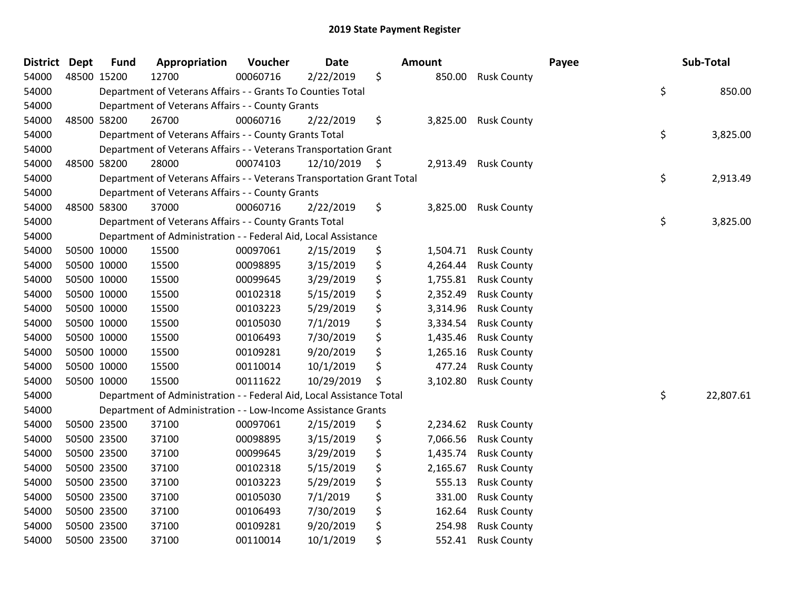| <b>District</b> | <b>Dept</b> | <b>Fund</b> | Appropriation                                                          | Voucher  | <b>Date</b> | Amount         |                    | Payee | Sub-Total       |
|-----------------|-------------|-------------|------------------------------------------------------------------------|----------|-------------|----------------|--------------------|-------|-----------------|
| 54000           | 48500 15200 |             | 12700                                                                  | 00060716 | 2/22/2019   | \$<br>850.00   | <b>Rusk County</b> |       |                 |
| 54000           |             |             | Department of Veterans Affairs - - Grants To Counties Total            |          |             |                |                    |       | \$<br>850.00    |
| 54000           |             |             | Department of Veterans Affairs - - County Grants                       |          |             |                |                    |       |                 |
| 54000           |             | 48500 58200 | 26700                                                                  | 00060716 | 2/22/2019   | \$<br>3,825.00 | <b>Rusk County</b> |       |                 |
| 54000           |             |             | Department of Veterans Affairs - - County Grants Total                 |          |             |                |                    |       | \$<br>3,825.00  |
| 54000           |             |             | Department of Veterans Affairs - - Veterans Transportation Grant       |          |             |                |                    |       |                 |
| 54000           |             | 48500 58200 | 28000                                                                  | 00074103 | 12/10/2019  | \$<br>2,913.49 | <b>Rusk County</b> |       |                 |
| 54000           |             |             | Department of Veterans Affairs - - Veterans Transportation Grant Total |          |             |                |                    |       | \$<br>2,913.49  |
| 54000           |             |             | Department of Veterans Affairs - - County Grants                       |          |             |                |                    |       |                 |
| 54000           |             | 48500 58300 | 37000                                                                  | 00060716 | 2/22/2019   | \$<br>3,825.00 | <b>Rusk County</b> |       |                 |
| 54000           |             |             | Department of Veterans Affairs - - County Grants Total                 |          |             |                |                    |       | \$<br>3,825.00  |
| 54000           |             |             | Department of Administration - - Federal Aid, Local Assistance         |          |             |                |                    |       |                 |
| 54000           |             | 50500 10000 | 15500                                                                  | 00097061 | 2/15/2019   | \$<br>1,504.71 | <b>Rusk County</b> |       |                 |
| 54000           |             | 50500 10000 | 15500                                                                  | 00098895 | 3/15/2019   | \$<br>4,264.44 | <b>Rusk County</b> |       |                 |
| 54000           | 50500 10000 |             | 15500                                                                  | 00099645 | 3/29/2019   | \$<br>1,755.81 | <b>Rusk County</b> |       |                 |
| 54000           |             | 50500 10000 | 15500                                                                  | 00102318 | 5/15/2019   | \$<br>2,352.49 | <b>Rusk County</b> |       |                 |
| 54000           |             | 50500 10000 | 15500                                                                  | 00103223 | 5/29/2019   | \$<br>3,314.96 | <b>Rusk County</b> |       |                 |
| 54000           |             | 50500 10000 | 15500                                                                  | 00105030 | 7/1/2019    | \$<br>3,334.54 | <b>Rusk County</b> |       |                 |
| 54000           | 50500 10000 |             | 15500                                                                  | 00106493 | 7/30/2019   | \$<br>1,435.46 | <b>Rusk County</b> |       |                 |
| 54000           | 50500 10000 |             | 15500                                                                  | 00109281 | 9/20/2019   | \$<br>1,265.16 | <b>Rusk County</b> |       |                 |
| 54000           |             | 50500 10000 | 15500                                                                  | 00110014 | 10/1/2019   | \$<br>477.24   | <b>Rusk County</b> |       |                 |
| 54000           |             | 50500 10000 | 15500                                                                  | 00111622 | 10/29/2019  | \$<br>3,102.80 | <b>Rusk County</b> |       |                 |
| 54000           |             |             | Department of Administration - - Federal Aid, Local Assistance Total   |          |             |                |                    |       | \$<br>22,807.61 |
| 54000           |             |             | Department of Administration - - Low-Income Assistance Grants          |          |             |                |                    |       |                 |
| 54000           |             | 50500 23500 | 37100                                                                  | 00097061 | 2/15/2019   | \$<br>2,234.62 | <b>Rusk County</b> |       |                 |
| 54000           |             | 50500 23500 | 37100                                                                  | 00098895 | 3/15/2019   | \$<br>7,066.56 | <b>Rusk County</b> |       |                 |
| 54000           |             | 50500 23500 | 37100                                                                  | 00099645 | 3/29/2019   | \$<br>1,435.74 | <b>Rusk County</b> |       |                 |
| 54000           |             | 50500 23500 | 37100                                                                  | 00102318 | 5/15/2019   | \$<br>2,165.67 | <b>Rusk County</b> |       |                 |
| 54000           | 50500 23500 |             | 37100                                                                  | 00103223 | 5/29/2019   | \$<br>555.13   | <b>Rusk County</b> |       |                 |
| 54000           | 50500 23500 |             | 37100                                                                  | 00105030 | 7/1/2019    | \$<br>331.00   | <b>Rusk County</b> |       |                 |
| 54000           |             | 50500 23500 | 37100                                                                  | 00106493 | 7/30/2019   | \$<br>162.64   | <b>Rusk County</b> |       |                 |
| 54000           |             | 50500 23500 | 37100                                                                  | 00109281 | 9/20/2019   | \$<br>254.98   | <b>Rusk County</b> |       |                 |
| 54000           |             | 50500 23500 | 37100                                                                  | 00110014 | 10/1/2019   | \$<br>552.41   | <b>Rusk County</b> |       |                 |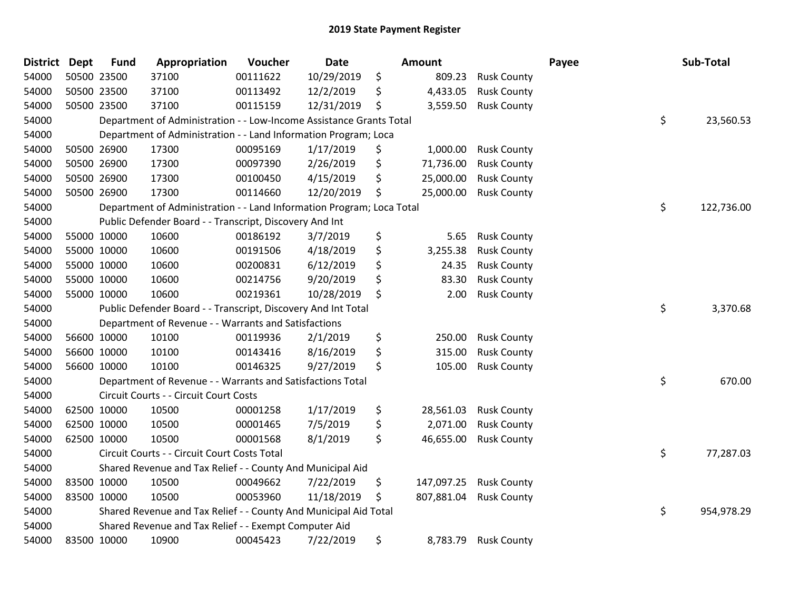| District | <b>Dept</b> | <b>Fund</b> | Appropriation                                                         | Voucher  | <b>Date</b> | <b>Amount</b>    |                    | Payee | Sub-Total        |
|----------|-------------|-------------|-----------------------------------------------------------------------|----------|-------------|------------------|--------------------|-------|------------------|
| 54000    |             | 50500 23500 | 37100                                                                 | 00111622 | 10/29/2019  | \$<br>809.23     | <b>Rusk County</b> |       |                  |
| 54000    |             | 50500 23500 | 37100                                                                 | 00113492 | 12/2/2019   | \$<br>4,433.05   | <b>Rusk County</b> |       |                  |
| 54000    |             | 50500 23500 | 37100                                                                 | 00115159 | 12/31/2019  | \$<br>3,559.50   | <b>Rusk County</b> |       |                  |
| 54000    |             |             | Department of Administration - - Low-Income Assistance Grants Total   |          |             |                  |                    |       | \$<br>23,560.53  |
| 54000    |             |             | Department of Administration - - Land Information Program; Loca       |          |             |                  |                    |       |                  |
| 54000    |             | 50500 26900 | 17300                                                                 | 00095169 | 1/17/2019   | \$<br>1,000.00   | <b>Rusk County</b> |       |                  |
| 54000    |             | 50500 26900 | 17300                                                                 | 00097390 | 2/26/2019   | \$<br>71,736.00  | <b>Rusk County</b> |       |                  |
| 54000    |             | 50500 26900 | 17300                                                                 | 00100450 | 4/15/2019   | \$<br>25,000.00  | <b>Rusk County</b> |       |                  |
| 54000    |             | 50500 26900 | 17300                                                                 | 00114660 | 12/20/2019  | \$<br>25,000.00  | <b>Rusk County</b> |       |                  |
| 54000    |             |             | Department of Administration - - Land Information Program; Loca Total |          |             |                  |                    |       | \$<br>122,736.00 |
| 54000    |             |             | Public Defender Board - - Transcript, Discovery And Int               |          |             |                  |                    |       |                  |
| 54000    |             | 55000 10000 | 10600                                                                 | 00186192 | 3/7/2019    | \$<br>5.65       | <b>Rusk County</b> |       |                  |
| 54000    |             | 55000 10000 | 10600                                                                 | 00191506 | 4/18/2019   | \$<br>3,255.38   | <b>Rusk County</b> |       |                  |
| 54000    |             | 55000 10000 | 10600                                                                 | 00200831 | 6/12/2019   | \$<br>24.35      | <b>Rusk County</b> |       |                  |
| 54000    |             | 55000 10000 | 10600                                                                 | 00214756 | 9/20/2019   | \$<br>83.30      | <b>Rusk County</b> |       |                  |
| 54000    |             | 55000 10000 | 10600                                                                 | 00219361 | 10/28/2019  | \$<br>2.00       | <b>Rusk County</b> |       |                  |
| 54000    |             |             | Public Defender Board - - Transcript, Discovery And Int Total         |          |             |                  |                    |       | \$<br>3,370.68   |
| 54000    |             |             | Department of Revenue - - Warrants and Satisfactions                  |          |             |                  |                    |       |                  |
| 54000    |             | 56600 10000 | 10100                                                                 | 00119936 | 2/1/2019    | \$<br>250.00     | <b>Rusk County</b> |       |                  |
| 54000    |             | 56600 10000 | 10100                                                                 | 00143416 | 8/16/2019   | \$<br>315.00     | <b>Rusk County</b> |       |                  |
| 54000    |             | 56600 10000 | 10100                                                                 | 00146325 | 9/27/2019   | \$<br>105.00     | <b>Rusk County</b> |       |                  |
| 54000    |             |             | Department of Revenue - - Warrants and Satisfactions Total            |          |             |                  |                    |       | \$<br>670.00     |
| 54000    |             |             | Circuit Courts - - Circuit Court Costs                                |          |             |                  |                    |       |                  |
| 54000    |             | 62500 10000 | 10500                                                                 | 00001258 | 1/17/2019   | \$<br>28,561.03  | <b>Rusk County</b> |       |                  |
| 54000    |             | 62500 10000 | 10500                                                                 | 00001465 | 7/5/2019    | \$<br>2,071.00   | <b>Rusk County</b> |       |                  |
| 54000    |             | 62500 10000 | 10500                                                                 | 00001568 | 8/1/2019    | \$<br>46,655.00  | <b>Rusk County</b> |       |                  |
| 54000    |             |             | Circuit Courts - - Circuit Court Costs Total                          |          |             |                  |                    |       | \$<br>77,287.03  |
| 54000    |             |             | Shared Revenue and Tax Relief - - County And Municipal Aid            |          |             |                  |                    |       |                  |
| 54000    |             | 83500 10000 | 10500                                                                 | 00049662 | 7/22/2019   | \$<br>147,097.25 | <b>Rusk County</b> |       |                  |
| 54000    |             | 83500 10000 | 10500                                                                 | 00053960 | 11/18/2019  | \$<br>807,881.04 | <b>Rusk County</b> |       |                  |
| 54000    |             |             | Shared Revenue and Tax Relief - - County And Municipal Aid Total      |          |             |                  |                    |       | \$<br>954,978.29 |
| 54000    |             |             | Shared Revenue and Tax Relief - - Exempt Computer Aid                 |          |             |                  |                    |       |                  |
| 54000    |             | 83500 10000 | 10900                                                                 | 00045423 | 7/22/2019   | \$<br>8,783.79   | <b>Rusk County</b> |       |                  |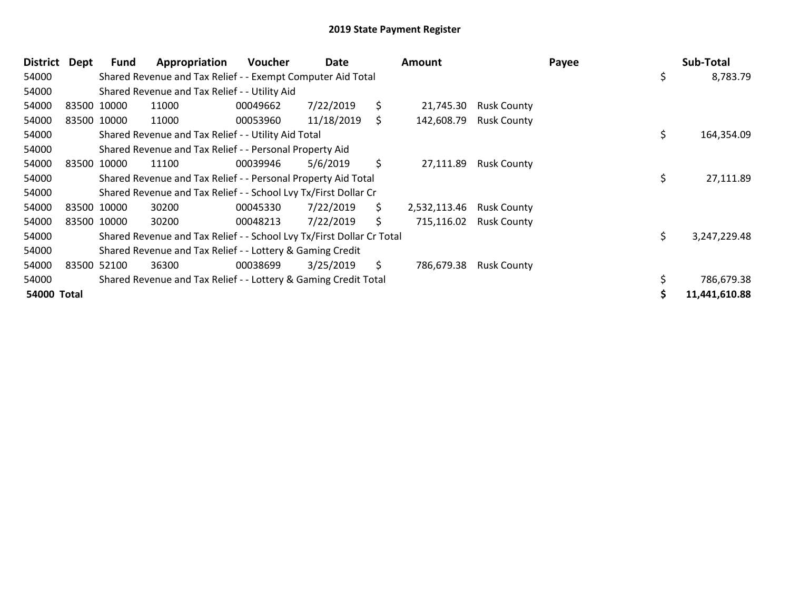| District    | Dept | Fund        | Appropriation                                                         | <b>Voucher</b> | Date       |     | Amount       |                        | Payee |     | Sub-Total     |
|-------------|------|-------------|-----------------------------------------------------------------------|----------------|------------|-----|--------------|------------------------|-------|-----|---------------|
| 54000       |      |             | Shared Revenue and Tax Relief - - Exempt Computer Aid Total           |                |            |     |              |                        |       | \$  | 8,783.79      |
| 54000       |      |             | Shared Revenue and Tax Relief - - Utility Aid                         |                |            |     |              |                        |       |     |               |
| 54000       |      | 83500 10000 | 11000                                                                 | 00049662       | 7/22/2019  | \$  | 21,745.30    | <b>Rusk County</b>     |       |     |               |
| 54000       |      | 83500 10000 | 11000                                                                 | 00053960       | 11/18/2019 | \$  | 142,608.79   | <b>Rusk County</b>     |       |     |               |
| 54000       |      |             | Shared Revenue and Tax Relief - - Utility Aid Total                   |                |            |     |              |                        |       | \$. | 164,354.09    |
| 54000       |      |             | Shared Revenue and Tax Relief - - Personal Property Aid               |                |            |     |              |                        |       |     |               |
| 54000       |      | 83500 10000 | 11100                                                                 | 00039946       | 5/6/2019   | \$  | 27,111.89    | <b>Rusk County</b>     |       |     |               |
| 54000       |      |             | Shared Revenue and Tax Relief - - Personal Property Aid Total         |                |            |     |              |                        |       | \$  | 27,111.89     |
| 54000       |      |             | Shared Revenue and Tax Relief - - School Lvy Tx/First Dollar Cr       |                |            |     |              |                        |       |     |               |
| 54000       |      | 83500 10000 | 30200                                                                 | 00045330       | 7/22/2019  | \$. | 2,532,113.46 | <b>Rusk County</b>     |       |     |               |
| 54000       |      | 83500 10000 | 30200                                                                 | 00048213       | 7/22/2019  | \$  |              | 715,116.02 Rusk County |       |     |               |
| 54000       |      |             | Shared Revenue and Tax Relief - - School Lvy Tx/First Dollar Cr Total |                |            |     |              |                        |       | \$  | 3,247,229.48  |
| 54000       |      |             | Shared Revenue and Tax Relief - - Lottery & Gaming Credit             |                |            |     |              |                        |       |     |               |
| 54000       |      | 83500 52100 | 36300                                                                 | 00038699       | 3/25/2019  | \$. | 786,679.38   | <b>Rusk County</b>     |       |     |               |
| 54000       |      |             | Shared Revenue and Tax Relief - - Lottery & Gaming Credit Total       |                |            |     |              |                        |       |     | 786,679.38    |
| 54000 Total |      |             |                                                                       |                |            |     |              |                        |       |     | 11,441,610.88 |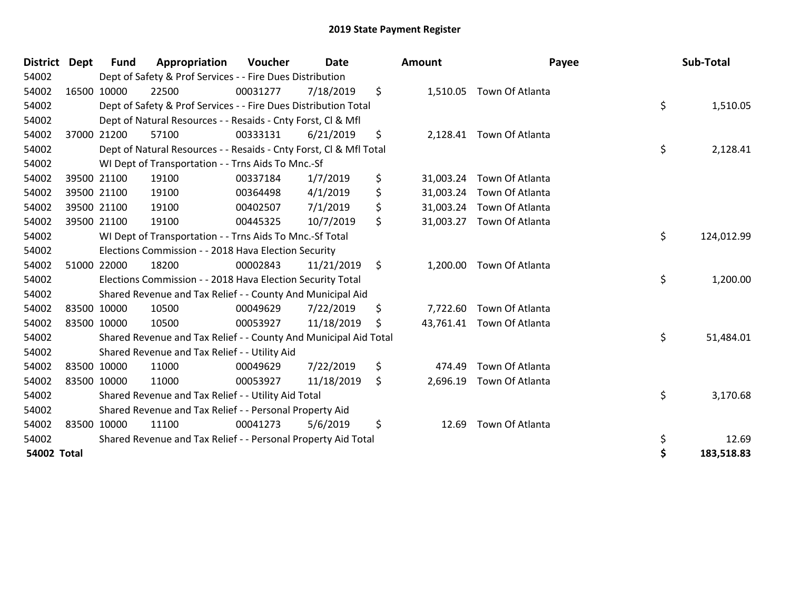| <b>District</b> | <b>Dept</b> | Fund        | Appropriation                                                      | Voucher  | Date       | <b>Amount</b>   | Payee                     | Sub-Total        |
|-----------------|-------------|-------------|--------------------------------------------------------------------|----------|------------|-----------------|---------------------------|------------------|
| 54002           |             |             | Dept of Safety & Prof Services - - Fire Dues Distribution          |          |            |                 |                           |                  |
| 54002           |             | 16500 10000 | 22500                                                              | 00031277 | 7/18/2019  | \$              | 1,510.05 Town Of Atlanta  |                  |
| 54002           |             |             | Dept of Safety & Prof Services - - Fire Dues Distribution Total    |          |            |                 |                           | \$<br>1,510.05   |
| 54002           |             |             | Dept of Natural Resources - - Resaids - Cnty Forst, CI & Mfl       |          |            |                 |                           |                  |
| 54002           |             | 37000 21200 | 57100                                                              | 00333131 | 6/21/2019  | \$              | 2,128.41 Town Of Atlanta  |                  |
| 54002           |             |             | Dept of Natural Resources - - Resaids - Cnty Forst, Cl & Mfl Total |          |            |                 |                           | \$<br>2,128.41   |
| 54002           |             |             | WI Dept of Transportation - - Trns Aids To Mnc.-Sf                 |          |            |                 |                           |                  |
| 54002           |             | 39500 21100 | 19100                                                              | 00337184 | 1/7/2019   | \$<br>31,003.24 | Town Of Atlanta           |                  |
| 54002           |             | 39500 21100 | 19100                                                              | 00364498 | 4/1/2019   | \$<br>31,003.24 | Town Of Atlanta           |                  |
| 54002           |             | 39500 21100 | 19100                                                              | 00402507 | 7/1/2019   | \$<br>31,003.24 | Town Of Atlanta           |                  |
| 54002           |             | 39500 21100 | 19100                                                              | 00445325 | 10/7/2019  | \$              | 31,003.27 Town Of Atlanta |                  |
| 54002           |             |             | WI Dept of Transportation - - Trns Aids To Mnc.-Sf Total           |          |            |                 |                           | \$<br>124,012.99 |
| 54002           |             |             | Elections Commission - - 2018 Hava Election Security               |          |            |                 |                           |                  |
| 54002           |             | 51000 22000 | 18200                                                              | 00002843 | 11/21/2019 | \$<br>1,200.00  | Town Of Atlanta           |                  |
| 54002           |             |             | Elections Commission - - 2018 Hava Election Security Total         |          |            |                 |                           | \$<br>1,200.00   |
| 54002           |             |             | Shared Revenue and Tax Relief - - County And Municipal Aid         |          |            |                 |                           |                  |
| 54002           |             | 83500 10000 | 10500                                                              | 00049629 | 7/22/2019  | \$<br>7,722.60  | Town Of Atlanta           |                  |
| 54002           |             | 83500 10000 | 10500                                                              | 00053927 | 11/18/2019 | \$              | 43,761.41 Town Of Atlanta |                  |
| 54002           |             |             | Shared Revenue and Tax Relief - - County And Municipal Aid Total   |          |            |                 |                           | \$<br>51,484.01  |
| 54002           |             |             | Shared Revenue and Tax Relief - - Utility Aid                      |          |            |                 |                           |                  |
| 54002           |             | 83500 10000 | 11000                                                              | 00049629 | 7/22/2019  | \$<br>474.49    | Town Of Atlanta           |                  |
| 54002           |             | 83500 10000 | 11000                                                              | 00053927 | 11/18/2019 | \$<br>2,696.19  | Town Of Atlanta           |                  |
| 54002           |             |             | Shared Revenue and Tax Relief - - Utility Aid Total                |          |            |                 |                           | \$<br>3,170.68   |
| 54002           |             |             | Shared Revenue and Tax Relief - - Personal Property Aid            |          |            |                 |                           |                  |
| 54002           |             | 83500 10000 | 11100                                                              | 00041273 | 5/6/2019   | \$<br>12.69     | Town Of Atlanta           |                  |
| 54002           |             |             | Shared Revenue and Tax Relief - - Personal Property Aid Total      |          |            |                 |                           | \$<br>12.69      |
| 54002 Total     |             |             |                                                                    |          |            |                 |                           | \$<br>183,518.83 |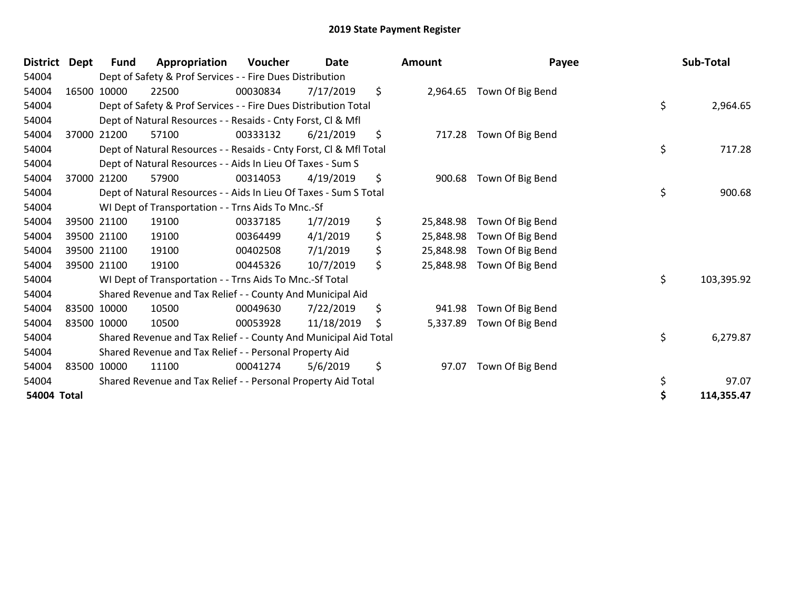| <b>District</b> | <b>Dept</b> | Fund | Appropriation                                                      | Voucher  | <b>Date</b> | <b>Amount</b>   | Payee            | Sub-Total        |
|-----------------|-------------|------|--------------------------------------------------------------------|----------|-------------|-----------------|------------------|------------------|
| 54004           |             |      | Dept of Safety & Prof Services - - Fire Dues Distribution          |          |             |                 |                  |                  |
| 54004           | 16500 10000 |      | 22500                                                              | 00030834 | 7/17/2019   | \$<br>2,964.65  | Town Of Big Bend |                  |
| 54004           |             |      | Dept of Safety & Prof Services - - Fire Dues Distribution Total    |          |             |                 |                  | \$<br>2,964.65   |
| 54004           |             |      | Dept of Natural Resources - - Resaids - Cnty Forst, CI & Mfl       |          |             |                 |                  |                  |
| 54004           | 37000 21200 |      | 57100                                                              | 00333132 | 6/21/2019   | \$<br>717.28    | Town Of Big Bend |                  |
| 54004           |             |      | Dept of Natural Resources - - Resaids - Cnty Forst, Cl & Mfl Total |          |             |                 |                  | \$<br>717.28     |
| 54004           |             |      | Dept of Natural Resources - - Aids In Lieu Of Taxes - Sum S        |          |             |                 |                  |                  |
| 54004           | 37000 21200 |      | 57900                                                              | 00314053 | 4/19/2019   | \$<br>900.68    | Town Of Big Bend |                  |
| 54004           |             |      | Dept of Natural Resources - - Aids In Lieu Of Taxes - Sum S Total  |          |             |                 |                  | \$<br>900.68     |
| 54004           |             |      | WI Dept of Transportation - - Trns Aids To Mnc.-Sf                 |          |             |                 |                  |                  |
| 54004           | 39500 21100 |      | 19100                                                              | 00337185 | 1/7/2019    | \$<br>25,848.98 | Town Of Big Bend |                  |
| 54004           | 39500 21100 |      | 19100                                                              | 00364499 | 4/1/2019    | \$<br>25,848.98 | Town Of Big Bend |                  |
| 54004           | 39500 21100 |      | 19100                                                              | 00402508 | 7/1/2019    | \$<br>25,848.98 | Town Of Big Bend |                  |
| 54004           | 39500 21100 |      | 19100                                                              | 00445326 | 10/7/2019   | \$<br>25,848.98 | Town Of Big Bend |                  |
| 54004           |             |      | WI Dept of Transportation - - Trns Aids To Mnc.-Sf Total           |          |             |                 |                  | \$<br>103,395.92 |
| 54004           |             |      | Shared Revenue and Tax Relief - - County And Municipal Aid         |          |             |                 |                  |                  |
| 54004           | 83500 10000 |      | 10500                                                              | 00049630 | 7/22/2019   | \$<br>941.98    | Town Of Big Bend |                  |
| 54004           | 83500 10000 |      | 10500                                                              | 00053928 | 11/18/2019  | \$<br>5,337.89  | Town Of Big Bend |                  |
| 54004           |             |      | Shared Revenue and Tax Relief - - County And Municipal Aid Total   |          |             |                 |                  | \$<br>6,279.87   |
| 54004           |             |      | Shared Revenue and Tax Relief - - Personal Property Aid            |          |             |                 |                  |                  |
| 54004           | 83500 10000 |      | 11100                                                              | 00041274 | 5/6/2019    | \$<br>97.07     | Town Of Big Bend |                  |
| 54004           |             |      | Shared Revenue and Tax Relief - - Personal Property Aid Total      |          |             |                 |                  | \$<br>97.07      |
| 54004 Total     |             |      |                                                                    |          |             |                 |                  | 114,355.47       |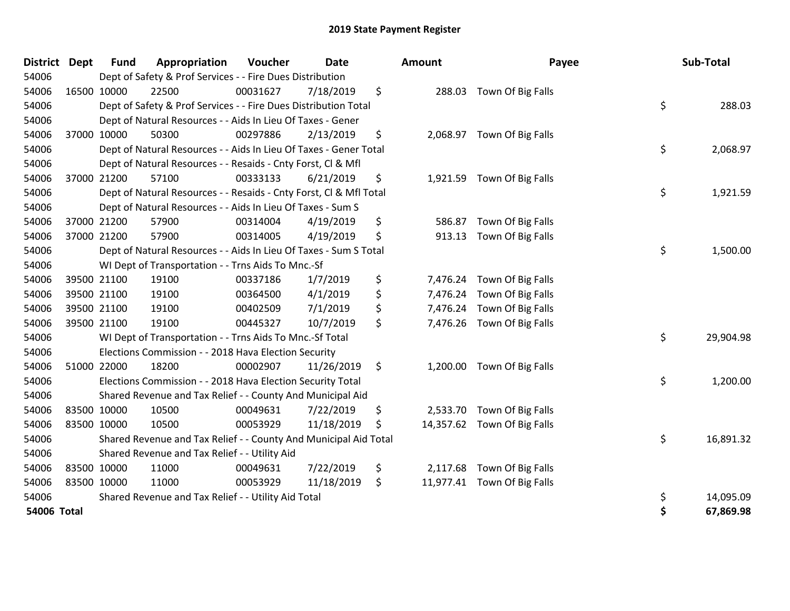| District Dept |             | <b>Fund</b> | Appropriation                                                      | Voucher  | <b>Date</b> | <b>Amount</b>  | Payee                       | Sub-Total       |
|---------------|-------------|-------------|--------------------------------------------------------------------|----------|-------------|----------------|-----------------------------|-----------------|
| 54006         |             |             | Dept of Safety & Prof Services - - Fire Dues Distribution          |          |             |                |                             |                 |
| 54006         |             | 16500 10000 | 22500                                                              | 00031627 | 7/18/2019   | \$             | 288.03 Town Of Big Falls    |                 |
| 54006         |             |             | Dept of Safety & Prof Services - - Fire Dues Distribution Total    |          |             |                |                             | \$<br>288.03    |
| 54006         |             |             | Dept of Natural Resources - - Aids In Lieu Of Taxes - Gener        |          |             |                |                             |                 |
| 54006         |             | 37000 10000 | 50300                                                              | 00297886 | 2/13/2019   | \$             | 2,068.97 Town Of Big Falls  |                 |
| 54006         |             |             | Dept of Natural Resources - - Aids In Lieu Of Taxes - Gener Total  |          |             |                |                             | \$<br>2,068.97  |
| 54006         |             |             | Dept of Natural Resources - - Resaids - Cnty Forst, Cl & Mfl       |          |             |                |                             |                 |
| 54006         |             | 37000 21200 | 57100                                                              | 00333133 | 6/21/2019   | \$             | 1,921.59 Town Of Big Falls  |                 |
| 54006         |             |             | Dept of Natural Resources - - Resaids - Cnty Forst, Cl & Mfl Total |          |             |                |                             | \$<br>1,921.59  |
| 54006         |             |             | Dept of Natural Resources - - Aids In Lieu Of Taxes - Sum S        |          |             |                |                             |                 |
| 54006         |             | 37000 21200 | 57900                                                              | 00314004 | 4/19/2019   | \$<br>586.87   | Town Of Big Falls           |                 |
| 54006         |             | 37000 21200 | 57900                                                              | 00314005 | 4/19/2019   | \$<br>913.13   | Town Of Big Falls           |                 |
| 54006         |             |             | Dept of Natural Resources - - Aids In Lieu Of Taxes - Sum S Total  |          |             |                |                             | \$<br>1,500.00  |
| 54006         |             |             | WI Dept of Transportation - - Trns Aids To Mnc.-Sf                 |          |             |                |                             |                 |
| 54006         |             | 39500 21100 | 19100                                                              | 00337186 | 1/7/2019    | \$<br>7,476.24 | Town Of Big Falls           |                 |
| 54006         |             | 39500 21100 | 19100                                                              | 00364500 | 4/1/2019    | \$             | 7,476.24 Town Of Big Falls  |                 |
| 54006         |             | 39500 21100 | 19100                                                              | 00402509 | 7/1/2019    | \$             | 7,476.24 Town Of Big Falls  |                 |
| 54006         | 39500 21100 |             | 19100                                                              | 00445327 | 10/7/2019   | \$             | 7,476.26 Town Of Big Falls  |                 |
| 54006         |             |             | WI Dept of Transportation - - Trns Aids To Mnc.-Sf Total           |          |             |                |                             | \$<br>29,904.98 |
| 54006         |             |             | Elections Commission - - 2018 Hava Election Security               |          |             |                |                             |                 |
| 54006         |             | 51000 22000 | 18200                                                              | 00002907 | 11/26/2019  | \$             | 1,200.00 Town Of Big Falls  |                 |
| 54006         |             |             | Elections Commission - - 2018 Hava Election Security Total         |          |             |                |                             | \$<br>1,200.00  |
| 54006         |             |             | Shared Revenue and Tax Relief - - County And Municipal Aid         |          |             |                |                             |                 |
| 54006         | 83500 10000 |             | 10500                                                              | 00049631 | 7/22/2019   | \$             | 2,533.70 Town Of Big Falls  |                 |
| 54006         | 83500 10000 |             | 10500                                                              | 00053929 | 11/18/2019  | \$             | 14,357.62 Town Of Big Falls |                 |
| 54006         |             |             | Shared Revenue and Tax Relief - - County And Municipal Aid Total   |          |             |                |                             | \$<br>16,891.32 |
| 54006         |             |             | Shared Revenue and Tax Relief - - Utility Aid                      |          |             |                |                             |                 |
| 54006         |             | 83500 10000 | 11000                                                              | 00049631 | 7/22/2019   | \$             | 2,117.68 Town Of Big Falls  |                 |
| 54006         | 83500 10000 |             | 11000                                                              | 00053929 | 11/18/2019  | \$             | 11,977.41 Town Of Big Falls |                 |
| 54006         |             |             | Shared Revenue and Tax Relief - - Utility Aid Total                |          |             |                |                             | \$<br>14,095.09 |
| 54006 Total   |             |             |                                                                    |          |             |                |                             | \$<br>67,869.98 |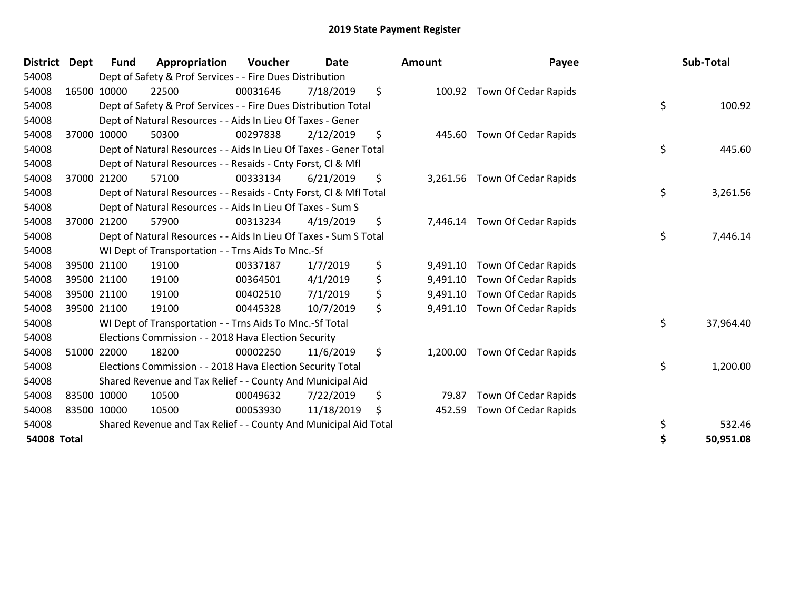| District Dept |       | <b>Fund</b> | Appropriation                                                      | Voucher  | <b>Date</b> | <b>Amount</b>  | Payee                       | Sub-Total       |
|---------------|-------|-------------|--------------------------------------------------------------------|----------|-------------|----------------|-----------------------------|-----------------|
| 54008         |       |             | Dept of Safety & Prof Services - - Fire Dues Distribution          |          |             |                |                             |                 |
| 54008         |       | 16500 10000 | 22500                                                              | 00031646 | 7/18/2019   | \$<br>100.92   | Town Of Cedar Rapids        |                 |
| 54008         |       |             | Dept of Safety & Prof Services - - Fire Dues Distribution Total    |          |             |                |                             | \$<br>100.92    |
| 54008         |       |             | Dept of Natural Resources - - Aids In Lieu Of Taxes - Gener        |          |             |                |                             |                 |
| 54008         | 37000 | 10000       | 50300                                                              | 00297838 | 2/12/2019   | \$<br>445.60   | Town Of Cedar Rapids        |                 |
| 54008         |       |             | Dept of Natural Resources - - Aids In Lieu Of Taxes - Gener Total  |          |             |                |                             | \$<br>445.60    |
| 54008         |       |             | Dept of Natural Resources - - Resaids - Cnty Forst, CI & Mfl       |          |             |                |                             |                 |
| 54008         |       | 37000 21200 | 57100                                                              | 00333134 | 6/21/2019   | \$<br>3,261.56 | Town Of Cedar Rapids        |                 |
| 54008         |       |             | Dept of Natural Resources - - Resaids - Cnty Forst, CI & Mfl Total |          |             |                |                             | \$<br>3,261.56  |
| 54008         |       |             | Dept of Natural Resources - - Aids In Lieu Of Taxes - Sum S        |          |             |                |                             |                 |
| 54008         | 37000 | 21200       | 57900                                                              | 00313234 | 4/19/2019   | \$<br>7,446.14 | Town Of Cedar Rapids        |                 |
| 54008         |       |             | Dept of Natural Resources - - Aids In Lieu Of Taxes - Sum S Total  |          |             |                |                             | \$<br>7,446.14  |
| 54008         |       |             | WI Dept of Transportation - - Trns Aids To Mnc.-Sf                 |          |             |                |                             |                 |
| 54008         |       | 39500 21100 | 19100                                                              | 00337187 | 1/7/2019    | \$<br>9,491.10 | Town Of Cedar Rapids        |                 |
| 54008         |       | 39500 21100 | 19100                                                              | 00364501 | 4/1/2019    | \$<br>9,491.10 | Town Of Cedar Rapids        |                 |
| 54008         |       | 39500 21100 | 19100                                                              | 00402510 | 7/1/2019    | \$<br>9,491.10 | Town Of Cedar Rapids        |                 |
| 54008         |       | 39500 21100 | 19100                                                              | 00445328 | 10/7/2019   | \$<br>9,491.10 | <b>Town Of Cedar Rapids</b> |                 |
| 54008         |       |             | WI Dept of Transportation - - Trns Aids To Mnc.-Sf Total           |          |             |                |                             | \$<br>37,964.40 |
| 54008         |       |             | Elections Commission - - 2018 Hava Election Security               |          |             |                |                             |                 |
| 54008         | 51000 | 22000       | 18200                                                              | 00002250 | 11/6/2019   | \$<br>1,200.00 | Town Of Cedar Rapids        |                 |
| 54008         |       |             | Elections Commission - - 2018 Hava Election Security Total         |          |             |                |                             | \$<br>1,200.00  |
| 54008         |       |             | Shared Revenue and Tax Relief - - County And Municipal Aid         |          |             |                |                             |                 |
| 54008         |       | 83500 10000 | 10500                                                              | 00049632 | 7/22/2019   | \$<br>79.87    | Town Of Cedar Rapids        |                 |
| 54008         |       | 83500 10000 | 10500                                                              | 00053930 | 11/18/2019  | \$<br>452.59   | Town Of Cedar Rapids        |                 |
| 54008         |       |             | Shared Revenue and Tax Relief - - County And Municipal Aid Total   |          |             |                |                             | \$<br>532.46    |
| 54008 Total   |       |             |                                                                    |          |             |                |                             | 50.951.08       |

| District           | <b>Dept</b> | Fund        | Appropriation                                                      | <b>Voucher</b> | Date       | <b>Amount</b>  | Payee                         | Sub-Total       |
|--------------------|-------------|-------------|--------------------------------------------------------------------|----------------|------------|----------------|-------------------------------|-----------------|
| 54008              |             |             | Dept of Safety & Prof Services - - Fire Dues Distribution          |                |            |                |                               |                 |
| 54008              | 16500       | 10000       | 22500                                                              | 00031646       | 7/18/2019  | \$             | 100.92 Town Of Cedar Rapids   |                 |
| 54008              |             |             | Dept of Safety & Prof Services - - Fire Dues Distribution Total    |                |            |                |                               | \$<br>100.92    |
| 54008              |             |             | Dept of Natural Resources - - Aids In Lieu Of Taxes - Gener        |                |            |                |                               |                 |
| 54008              |             | 37000 10000 | 50300                                                              | 00297838       | 2/12/2019  | \$<br>445.60   | Town Of Cedar Rapids          |                 |
| 54008              |             |             | Dept of Natural Resources - - Aids In Lieu Of Taxes - Gener Total  |                |            |                |                               | \$<br>445.60    |
| 54008              |             |             | Dept of Natural Resources - - Resaids - Cnty Forst, CI & Mfl       |                |            |                |                               |                 |
| 54008              |             | 37000 21200 | 57100                                                              | 00333134       | 6/21/2019  | \$             | 3,261.56 Town Of Cedar Rapids |                 |
| 54008              |             |             | Dept of Natural Resources - - Resaids - Cnty Forst, CI & Mfl Total |                |            |                |                               | \$<br>3,261.56  |
| 54008              |             |             | Dept of Natural Resources - - Aids In Lieu Of Taxes - Sum S        |                |            |                |                               |                 |
| 54008              | 37000 21200 |             | 57900                                                              | 00313234       | 4/19/2019  | \$             | 7,446.14 Town Of Cedar Rapids |                 |
| 54008              |             |             | Dept of Natural Resources - - Aids In Lieu Of Taxes - Sum S Total  |                |            |                |                               | \$<br>7,446.14  |
| 54008              |             |             | WI Dept of Transportation - - Trns Aids To Mnc.-Sf                 |                |            |                |                               |                 |
| 54008              |             | 39500 21100 | 19100                                                              | 00337187       | 1/7/2019   | \$<br>9,491.10 | Town Of Cedar Rapids          |                 |
| 54008              | 39500 21100 |             | 19100                                                              | 00364501       | 4/1/2019   | \$<br>9,491.10 | <b>Town Of Cedar Rapids</b>   |                 |
| 54008              |             | 39500 21100 | 19100                                                              | 00402510       | 7/1/2019   | \$<br>9,491.10 | <b>Town Of Cedar Rapids</b>   |                 |
| 54008              | 39500 21100 |             | 19100                                                              | 00445328       | 10/7/2019  | \$<br>9,491.10 | Town Of Cedar Rapids          |                 |
| 54008              |             |             | WI Dept of Transportation - - Trns Aids To Mnc.-Sf Total           |                |            |                |                               | \$<br>37,964.40 |
| 54008              |             |             | Elections Commission - - 2018 Hava Election Security               |                |            |                |                               |                 |
| 54008              |             | 51000 22000 | 18200                                                              | 00002250       | 11/6/2019  | \$<br>1,200.00 | <b>Town Of Cedar Rapids</b>   |                 |
| 54008              |             |             | Elections Commission - - 2018 Hava Election Security Total         |                |            |                |                               | \$<br>1,200.00  |
| 54008              |             |             | Shared Revenue and Tax Relief - - County And Municipal Aid         |                |            |                |                               |                 |
| 54008              | 83500 10000 |             | 10500                                                              | 00049632       | 7/22/2019  | \$<br>79.87    | <b>Town Of Cedar Rapids</b>   |                 |
| 54008              | 83500 10000 |             | 10500                                                              | 00053930       | 11/18/2019 | \$<br>452.59   | Town Of Cedar Rapids          |                 |
| 54008              |             |             | Shared Revenue and Tax Relief - - County And Municipal Aid Total   |                |            |                |                               | \$<br>532.46    |
| <b>54008 Total</b> |             |             |                                                                    |                |            |                |                               | 50,951.08       |
|                    |             |             |                                                                    |                |            |                |                               |                 |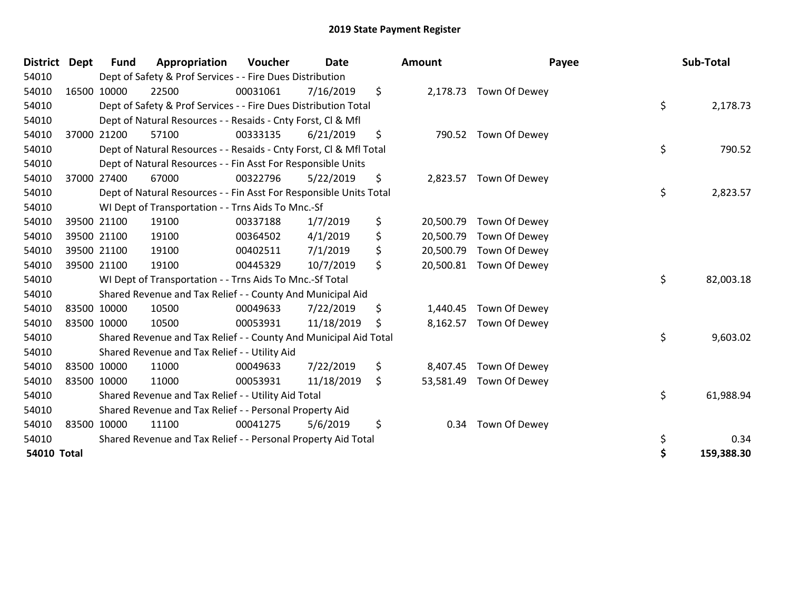| District           | <b>Dept</b> | Fund        | Appropriation                                                      | <b>Voucher</b> | <b>Date</b> | <b>Amount</b>   | Payee                   | Sub-Total        |
|--------------------|-------------|-------------|--------------------------------------------------------------------|----------------|-------------|-----------------|-------------------------|------------------|
| 54010              |             |             | Dept of Safety & Prof Services - - Fire Dues Distribution          |                |             |                 |                         |                  |
| 54010              | 16500 10000 |             | 22500                                                              | 00031061       | 7/16/2019   | \$              | 2,178.73 Town Of Dewey  |                  |
| 54010              |             |             | Dept of Safety & Prof Services - - Fire Dues Distribution Total    |                |             |                 |                         | \$<br>2,178.73   |
| 54010              |             |             | Dept of Natural Resources - - Resaids - Cnty Forst, CI & Mfl       |                |             |                 |                         |                  |
| 54010              |             | 37000 21200 | 57100                                                              | 00333135       | 6/21/2019   | \$<br>790.52    | Town Of Dewey           |                  |
| 54010              |             |             | Dept of Natural Resources - - Resaids - Cnty Forst, Cl & Mfl Total |                |             |                 |                         | \$<br>790.52     |
| 54010              |             |             | Dept of Natural Resources - - Fin Asst For Responsible Units       |                |             |                 |                         |                  |
| 54010              |             | 37000 27400 | 67000                                                              | 00322796       | 5/22/2019   | \$              | 2,823.57 Town Of Dewey  |                  |
| 54010              |             |             | Dept of Natural Resources - - Fin Asst For Responsible Units Total |                |             |                 |                         | \$<br>2,823.57   |
| 54010              |             |             | WI Dept of Transportation - - Trns Aids To Mnc.-Sf                 |                |             |                 |                         |                  |
| 54010              |             | 39500 21100 | 19100                                                              | 00337188       | 1/7/2019    | \$<br>20,500.79 | Town Of Dewey           |                  |
| 54010              |             | 39500 21100 | 19100                                                              | 00364502       | 4/1/2019    | \$<br>20,500.79 | Town Of Dewey           |                  |
| 54010              | 39500 21100 |             | 19100                                                              | 00402511       | 7/1/2019    | \$<br>20,500.79 | Town Of Dewey           |                  |
| 54010              | 39500 21100 |             | 19100                                                              | 00445329       | 10/7/2019   | \$              | 20,500.81 Town Of Dewey |                  |
| 54010              |             |             | WI Dept of Transportation - - Trns Aids To Mnc.-Sf Total           |                |             |                 |                         | \$<br>82,003.18  |
| 54010              |             |             | Shared Revenue and Tax Relief - - County And Municipal Aid         |                |             |                 |                         |                  |
| 54010              | 83500 10000 |             | 10500                                                              | 00049633       | 7/22/2019   | \$<br>1,440.45  | Town Of Dewey           |                  |
| 54010              | 83500 10000 |             | 10500                                                              | 00053931       | 11/18/2019  | \$<br>8,162.57  | Town Of Dewey           |                  |
| 54010              |             |             | Shared Revenue and Tax Relief - - County And Municipal Aid Total   |                |             |                 |                         | \$<br>9,603.02   |
| 54010              |             |             | Shared Revenue and Tax Relief - - Utility Aid                      |                |             |                 |                         |                  |
| 54010              | 83500 10000 |             | 11000                                                              | 00049633       | 7/22/2019   | \$<br>8,407.45  | Town Of Dewey           |                  |
| 54010              | 83500 10000 |             | 11000                                                              | 00053931       | 11/18/2019  | \$<br>53,581.49 | Town Of Dewey           |                  |
| 54010              |             |             | Shared Revenue and Tax Relief - - Utility Aid Total                |                |             |                 |                         | \$<br>61,988.94  |
| 54010              |             |             | Shared Revenue and Tax Relief - - Personal Property Aid            |                |             |                 |                         |                  |
| 54010              | 83500 10000 |             | 11100                                                              | 00041275       | 5/6/2019    | \$<br>0.34      | Town Of Dewey           |                  |
| 54010              |             |             | Shared Revenue and Tax Relief - - Personal Property Aid Total      |                |             |                 |                         | \$<br>0.34       |
| <b>54010 Total</b> |             |             |                                                                    |                |             |                 |                         | \$<br>159,388.30 |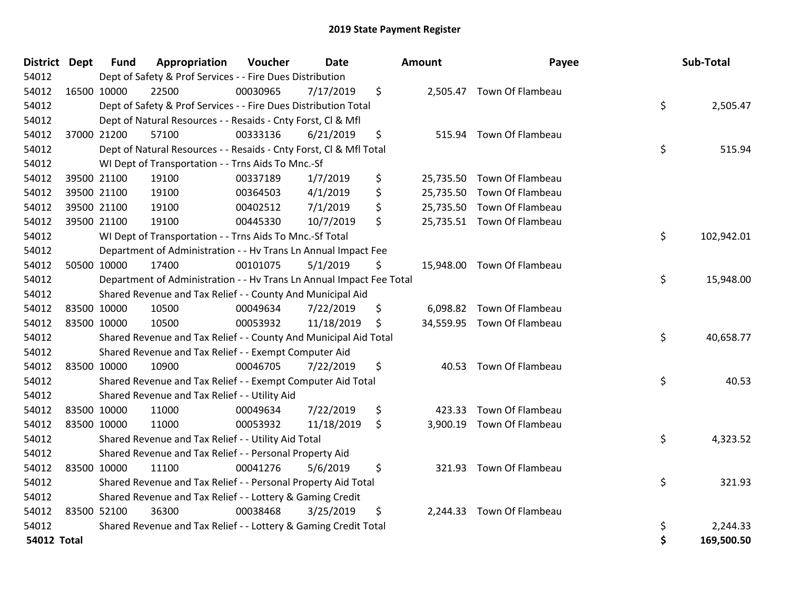| District Dept      |             | <b>Fund</b> | Appropriation                                                        | Voucher  | <b>Date</b> | Amount       | Payee                      | Sub-Total        |
|--------------------|-------------|-------------|----------------------------------------------------------------------|----------|-------------|--------------|----------------------------|------------------|
| 54012              |             |             | Dept of Safety & Prof Services - - Fire Dues Distribution            |          |             |              |                            |                  |
| 54012              |             | 16500 10000 | 22500                                                                | 00030965 | 7/17/2019   | \$           | 2,505.47 Town Of Flambeau  |                  |
| 54012              |             |             | Dept of Safety & Prof Services - - Fire Dues Distribution Total      |          |             |              |                            | \$<br>2,505.47   |
| 54012              |             |             | Dept of Natural Resources - - Resaids - Cnty Forst, CI & Mfl         |          |             |              |                            |                  |
| 54012              |             | 37000 21200 | 57100                                                                | 00333136 | 6/21/2019   | \$<br>515.94 | Town Of Flambeau           |                  |
| 54012              |             |             | Dept of Natural Resources - - Resaids - Cnty Forst, Cl & Mfl Total   |          |             |              |                            | \$<br>515.94     |
| 54012              |             |             | WI Dept of Transportation - - Trns Aids To Mnc.-Sf                   |          |             |              |                            |                  |
| 54012              |             | 39500 21100 | 19100                                                                | 00337189 | 1/7/2019    | \$           | 25,735.50 Town Of Flambeau |                  |
| 54012              |             | 39500 21100 | 19100                                                                | 00364503 | 4/1/2019    | \$           | 25,735.50 Town Of Flambeau |                  |
| 54012              |             | 39500 21100 | 19100                                                                | 00402512 | 7/1/2019    | \$           | 25,735.50 Town Of Flambeau |                  |
| 54012              |             | 39500 21100 | 19100                                                                | 00445330 | 10/7/2019   | \$           | 25,735.51 Town Of Flambeau |                  |
| 54012              |             |             | WI Dept of Transportation - - Trns Aids To Mnc.-Sf Total             |          |             |              |                            | \$<br>102,942.01 |
| 54012              |             |             | Department of Administration - - Hv Trans Ln Annual Impact Fee       |          |             |              |                            |                  |
| 54012              |             | 50500 10000 | 17400                                                                | 00101075 | 5/1/2019    | \$           | 15,948.00 Town Of Flambeau |                  |
| 54012              |             |             | Department of Administration - - Hv Trans Ln Annual Impact Fee Total |          |             |              |                            | \$<br>15,948.00  |
| 54012              |             |             | Shared Revenue and Tax Relief - - County And Municipal Aid           |          |             |              |                            |                  |
| 54012              |             | 83500 10000 | 10500                                                                | 00049634 | 7/22/2019   | \$           | 6,098.82 Town Of Flambeau  |                  |
| 54012              | 83500 10000 |             | 10500                                                                | 00053932 | 11/18/2019  | \$           | 34,559.95 Town Of Flambeau |                  |
| 54012              |             |             | Shared Revenue and Tax Relief - - County And Municipal Aid Total     |          |             |              |                            | \$<br>40,658.77  |
| 54012              |             |             | Shared Revenue and Tax Relief - - Exempt Computer Aid                |          |             |              |                            |                  |
| 54012              |             | 83500 10000 | 10900                                                                | 00046705 | 7/22/2019   | \$           | 40.53 Town Of Flambeau     |                  |
| 54012              |             |             | Shared Revenue and Tax Relief - - Exempt Computer Aid Total          |          |             |              |                            | \$<br>40.53      |
| 54012              |             |             | Shared Revenue and Tax Relief - - Utility Aid                        |          |             |              |                            |                  |
| 54012              |             | 83500 10000 | 11000                                                                | 00049634 | 7/22/2019   | \$<br>423.33 | Town Of Flambeau           |                  |
| 54012              |             | 83500 10000 | 11000                                                                | 00053932 | 11/18/2019  | \$           | 3,900.19 Town Of Flambeau  |                  |
| 54012              |             |             | Shared Revenue and Tax Relief - - Utility Aid Total                  |          |             |              |                            | \$<br>4,323.52   |
| 54012              |             |             | Shared Revenue and Tax Relief - - Personal Property Aid              |          |             |              |                            |                  |
| 54012              | 83500 10000 |             | 11100                                                                | 00041276 | 5/6/2019    | \$           | 321.93 Town Of Flambeau    |                  |
| 54012              |             |             | Shared Revenue and Tax Relief - - Personal Property Aid Total        |          |             |              |                            | \$<br>321.93     |
| 54012              |             |             | Shared Revenue and Tax Relief - - Lottery & Gaming Credit            |          |             |              |                            |                  |
| 54012              |             | 83500 52100 | 36300                                                                | 00038468 | 3/25/2019   | \$           | 2,244.33 Town Of Flambeau  |                  |
| 54012              |             |             | Shared Revenue and Tax Relief - - Lottery & Gaming Credit Total      |          |             |              |                            | \$<br>2,244.33   |
| <b>54012 Total</b> |             |             |                                                                      |          |             |              |                            | \$<br>169,500.50 |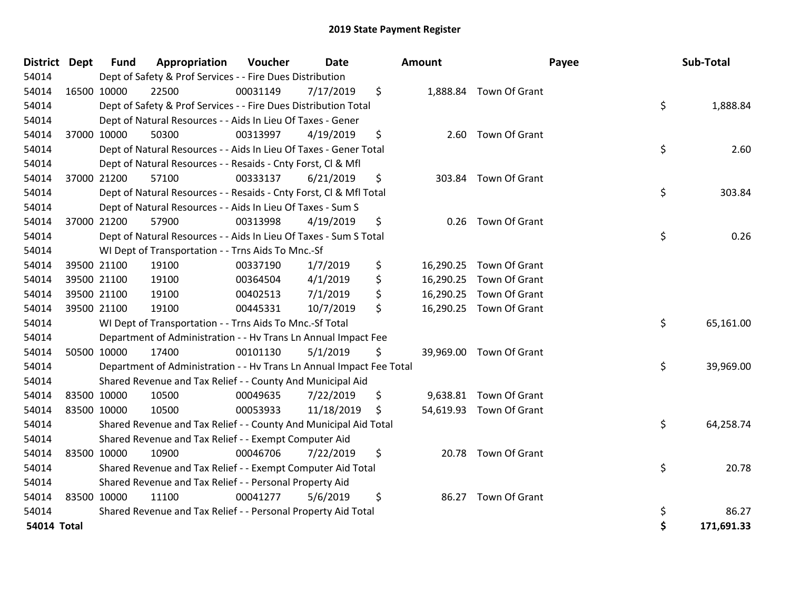| District Dept      |             | <b>Fund</b> | Appropriation                                                        | Voucher  | <b>Date</b> | Amount     |                         | Payee | Sub-Total  |
|--------------------|-------------|-------------|----------------------------------------------------------------------|----------|-------------|------------|-------------------------|-------|------------|
| 54014              |             |             | Dept of Safety & Prof Services - - Fire Dues Distribution            |          |             |            |                         |       |            |
| 54014              |             | 16500 10000 | 22500                                                                | 00031149 | 7/17/2019   | \$         | 1,888.84 Town Of Grant  |       |            |
| 54014              |             |             | Dept of Safety & Prof Services - - Fire Dues Distribution Total      |          |             |            |                         | \$    | 1,888.84   |
| 54014              |             |             | Dept of Natural Resources - - Aids In Lieu Of Taxes - Gener          |          |             |            |                         |       |            |
| 54014              |             | 37000 10000 | 50300                                                                | 00313997 | 4/19/2019   | \$         | 2.60 Town Of Grant      |       |            |
| 54014              |             |             | Dept of Natural Resources - - Aids In Lieu Of Taxes - Gener Total    |          |             |            |                         | \$    | 2.60       |
| 54014              |             |             | Dept of Natural Resources - - Resaids - Cnty Forst, CI & Mfl         |          |             |            |                         |       |            |
| 54014              | 37000 21200 |             | 57100                                                                | 00333137 | 6/21/2019   | \$         | 303.84 Town Of Grant    |       |            |
| 54014              |             |             | Dept of Natural Resources - - Resaids - Cnty Forst, CI & Mfl Total   |          |             |            |                         | \$    | 303.84     |
| 54014              |             |             | Dept of Natural Resources - - Aids In Lieu Of Taxes - Sum S          |          |             |            |                         |       |            |
| 54014              | 37000 21200 |             | 57900                                                                | 00313998 | 4/19/2019   | \$<br>0.26 | Town Of Grant           |       |            |
| 54014              |             |             | Dept of Natural Resources - - Aids In Lieu Of Taxes - Sum S Total    |          |             |            |                         | \$    | 0.26       |
| 54014              |             |             | WI Dept of Transportation - - Trns Aids To Mnc.-Sf                   |          |             |            |                         |       |            |
| 54014              | 39500 21100 |             | 19100                                                                | 00337190 | 1/7/2019    | \$         | 16,290.25 Town Of Grant |       |            |
| 54014              | 39500 21100 |             | 19100                                                                | 00364504 | 4/1/2019    | \$         | 16,290.25 Town Of Grant |       |            |
| 54014              | 39500 21100 |             | 19100                                                                | 00402513 | 7/1/2019    | \$         | 16,290.25 Town Of Grant |       |            |
| 54014              | 39500 21100 |             | 19100                                                                | 00445331 | 10/7/2019   | \$         | 16,290.25 Town Of Grant |       |            |
| 54014              |             |             | WI Dept of Transportation - - Trns Aids To Mnc.-Sf Total             |          |             |            |                         | \$    | 65,161.00  |
| 54014              |             |             | Department of Administration - - Hv Trans Ln Annual Impact Fee       |          |             |            |                         |       |            |
| 54014              | 50500 10000 |             | 17400                                                                | 00101130 | 5/1/2019    | \$         | 39,969.00 Town Of Grant |       |            |
| 54014              |             |             | Department of Administration - - Hv Trans Ln Annual Impact Fee Total |          |             |            |                         | \$    | 39,969.00  |
| 54014              |             |             | Shared Revenue and Tax Relief - - County And Municipal Aid           |          |             |            |                         |       |            |
| 54014              | 83500 10000 |             | 10500                                                                | 00049635 | 7/22/2019   | \$         | 9,638.81 Town Of Grant  |       |            |
| 54014              | 83500 10000 |             | 10500                                                                | 00053933 | 11/18/2019  | \$         | 54,619.93 Town Of Grant |       |            |
| 54014              |             |             | Shared Revenue and Tax Relief - - County And Municipal Aid Total     |          |             |            |                         | \$    | 64,258.74  |
| 54014              |             |             | Shared Revenue and Tax Relief - - Exempt Computer Aid                |          |             |            |                         |       |            |
| 54014              | 83500 10000 |             | 10900                                                                | 00046706 | 7/22/2019   | \$         | 20.78 Town Of Grant     |       |            |
| 54014              |             |             | Shared Revenue and Tax Relief - - Exempt Computer Aid Total          |          |             |            |                         | \$    | 20.78      |
| 54014              |             |             | Shared Revenue and Tax Relief - - Personal Property Aid              |          |             |            |                         |       |            |
| 54014              | 83500 10000 |             | 11100                                                                | 00041277 | 5/6/2019    | \$         | 86.27 Town Of Grant     |       |            |
| 54014              |             |             | Shared Revenue and Tax Relief - - Personal Property Aid Total        |          |             |            |                         | \$    | 86.27      |
| <b>54014 Total</b> |             |             |                                                                      |          |             |            |                         | \$    | 171,691.33 |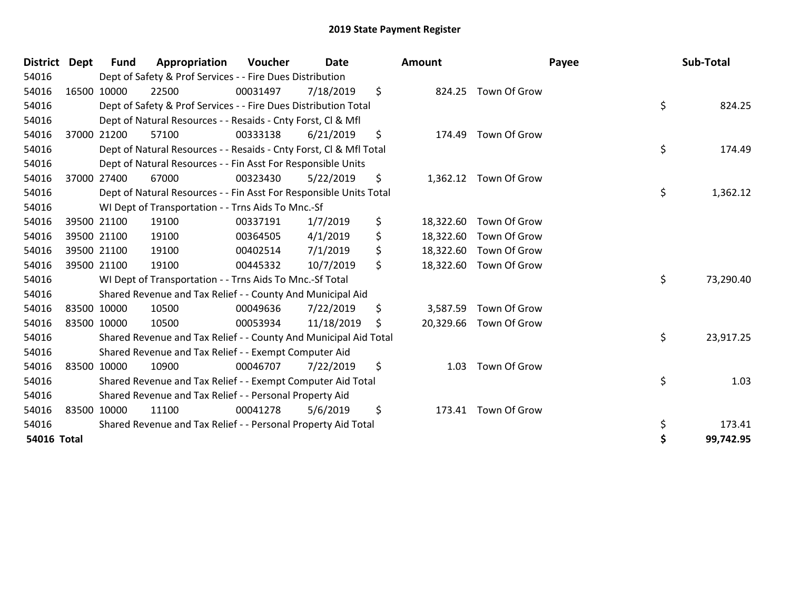| District           | Dept        | Fund | Appropriation                                                      | <b>Voucher</b> | Date       | <b>Amount</b>   |                        | Payee | Sub-Total |
|--------------------|-------------|------|--------------------------------------------------------------------|----------------|------------|-----------------|------------------------|-------|-----------|
| 54016              |             |      | Dept of Safety & Prof Services - - Fire Dues Distribution          |                |            |                 |                        |       |           |
| 54016              | 16500 10000 |      | 22500                                                              | 00031497       | 7/18/2019  | \$              | 824.25 Town Of Grow    |       |           |
| 54016              |             |      | Dept of Safety & Prof Services - - Fire Dues Distribution Total    |                |            |                 |                        | \$    | 824.25    |
| 54016              |             |      | Dept of Natural Resources - - Resaids - Cnty Forst, CI & Mfl       |                |            |                 |                        |       |           |
| 54016              | 37000 21200 |      | 57100                                                              | 00333138       | 6/21/2019  | \$<br>174.49    | Town Of Grow           |       |           |
| 54016              |             |      | Dept of Natural Resources - - Resaids - Cnty Forst, Cl & Mfl Total |                |            |                 |                        | \$    | 174.49    |
| 54016              |             |      | Dept of Natural Resources - - Fin Asst For Responsible Units       |                |            |                 |                        |       |           |
| 54016              | 37000 27400 |      | 67000                                                              | 00323430       | 5/22/2019  | \$              | 1,362.12 Town Of Grow  |       |           |
| 54016              |             |      | Dept of Natural Resources - - Fin Asst For Responsible Units Total |                |            |                 |                        | \$    | 1,362.12  |
| 54016              |             |      | WI Dept of Transportation - - Trns Aids To Mnc.-Sf                 |                |            |                 |                        |       |           |
| 54016              | 39500 21100 |      | 19100                                                              | 00337191       | 1/7/2019   | \$<br>18,322.60 | Town Of Grow           |       |           |
| 54016              | 39500 21100 |      | 19100                                                              | 00364505       | 4/1/2019   | \$<br>18,322.60 | Town Of Grow           |       |           |
| 54016              | 39500 21100 |      | 19100                                                              | 00402514       | 7/1/2019   | \$<br>18,322.60 | Town Of Grow           |       |           |
| 54016              | 39500 21100 |      | 19100                                                              | 00445332       | 10/7/2019  | \$<br>18,322.60 | Town Of Grow           |       |           |
| 54016              |             |      | WI Dept of Transportation - - Trns Aids To Mnc.-Sf Total           |                |            |                 |                        | \$    | 73,290.40 |
| 54016              |             |      | Shared Revenue and Tax Relief - - County And Municipal Aid         |                |            |                 |                        |       |           |
| 54016              | 83500 10000 |      | 10500                                                              | 00049636       | 7/22/2019  | \$<br>3,587.59  | Town Of Grow           |       |           |
| 54016              | 83500 10000 |      | 10500                                                              | 00053934       | 11/18/2019 | \$              | 20,329.66 Town Of Grow |       |           |
| 54016              |             |      | Shared Revenue and Tax Relief - - County And Municipal Aid Total   |                |            |                 |                        | \$    | 23,917.25 |
| 54016              |             |      | Shared Revenue and Tax Relief - - Exempt Computer Aid              |                |            |                 |                        |       |           |
| 54016              | 83500 10000 |      | 10900                                                              | 00046707       | 7/22/2019  | \$<br>1.03      | Town Of Grow           |       |           |
| 54016              |             |      | Shared Revenue and Tax Relief - - Exempt Computer Aid Total        |                |            |                 |                        | \$    | 1.03      |
| 54016              |             |      | Shared Revenue and Tax Relief - - Personal Property Aid            |                |            |                 |                        |       |           |
| 54016              | 83500 10000 |      | 11100                                                              | 00041278       | 5/6/2019   | \$<br>173.41    | Town Of Grow           |       |           |
| 54016              |             |      | Shared Revenue and Tax Relief - - Personal Property Aid Total      |                |            |                 |                        | \$    | 173.41    |
| <b>54016 Total</b> |             |      |                                                                    |                |            |                 |                        | \$    | 99,742.95 |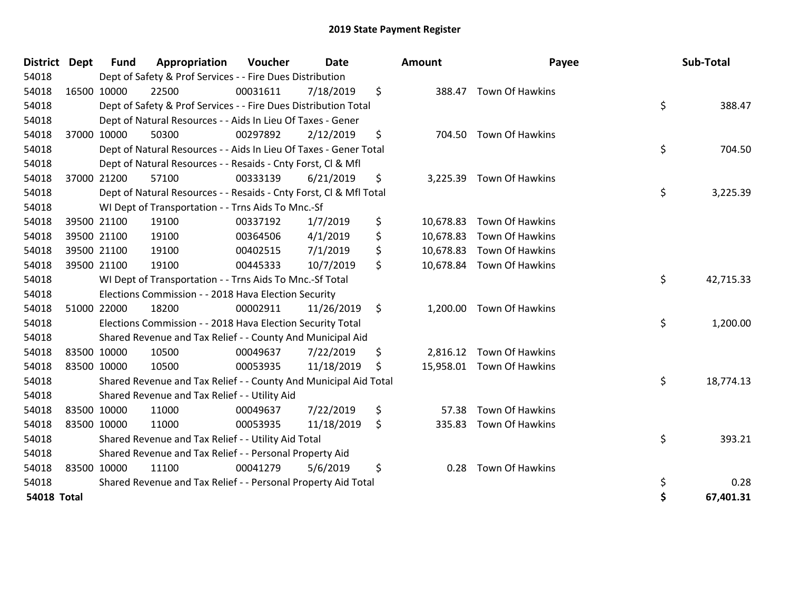| <b>District</b>    | <b>Dept</b> | <b>Fund</b> | Appropriation                                                      | Voucher  | Date       | <b>Amount</b>   | Payee                     | Sub-Total       |
|--------------------|-------------|-------------|--------------------------------------------------------------------|----------|------------|-----------------|---------------------------|-----------------|
| 54018              |             |             | Dept of Safety & Prof Services - - Fire Dues Distribution          |          |            |                 |                           |                 |
| 54018              | 16500 10000 |             | 22500                                                              | 00031611 | 7/18/2019  | \$              | 388.47 Town Of Hawkins    |                 |
| 54018              |             |             | Dept of Safety & Prof Services - - Fire Dues Distribution Total    |          |            |                 |                           | \$<br>388.47    |
| 54018              |             |             | Dept of Natural Resources - - Aids In Lieu Of Taxes - Gener        |          |            |                 |                           |                 |
| 54018              |             | 37000 10000 | 50300                                                              | 00297892 | 2/12/2019  | \$              | 704.50 Town Of Hawkins    |                 |
| 54018              |             |             | Dept of Natural Resources - - Aids In Lieu Of Taxes - Gener Total  |          |            |                 |                           | \$<br>704.50    |
| 54018              |             |             | Dept of Natural Resources - - Resaids - Cnty Forst, CI & Mfl       |          |            |                 |                           |                 |
| 54018              | 37000 21200 |             | 57100                                                              | 00333139 | 6/21/2019  | \$<br>3,225.39  | Town Of Hawkins           |                 |
| 54018              |             |             | Dept of Natural Resources - - Resaids - Cnty Forst, CI & Mfl Total |          |            |                 |                           | \$<br>3,225.39  |
| 54018              |             |             | WI Dept of Transportation - - Trns Aids To Mnc.-Sf                 |          |            |                 |                           |                 |
| 54018              |             | 39500 21100 | 19100                                                              | 00337192 | 1/7/2019   | \$<br>10,678.83 | <b>Town Of Hawkins</b>    |                 |
| 54018              |             | 39500 21100 | 19100                                                              | 00364506 | 4/1/2019   | \$<br>10,678.83 | Town Of Hawkins           |                 |
| 54018              |             | 39500 21100 | 19100                                                              | 00402515 | 7/1/2019   | \$<br>10,678.83 | <b>Town Of Hawkins</b>    |                 |
| 54018              |             | 39500 21100 | 19100                                                              | 00445333 | 10/7/2019  | \$              | 10,678.84 Town Of Hawkins |                 |
| 54018              |             |             | WI Dept of Transportation - - Trns Aids To Mnc.-Sf Total           |          |            |                 |                           | \$<br>42,715.33 |
| 54018              |             |             | Elections Commission - - 2018 Hava Election Security               |          |            |                 |                           |                 |
| 54018              | 51000 22000 |             | 18200                                                              | 00002911 | 11/26/2019 | \$              | 1,200.00 Town Of Hawkins  |                 |
| 54018              |             |             | Elections Commission - - 2018 Hava Election Security Total         |          |            |                 |                           | \$<br>1,200.00  |
| 54018              |             |             | Shared Revenue and Tax Relief - - County And Municipal Aid         |          |            |                 |                           |                 |
| 54018              | 83500 10000 |             | 10500                                                              | 00049637 | 7/22/2019  | \$              | 2,816.12 Town Of Hawkins  |                 |
| 54018              | 83500 10000 |             | 10500                                                              | 00053935 | 11/18/2019 | \$              | 15,958.01 Town Of Hawkins |                 |
| 54018              |             |             | Shared Revenue and Tax Relief - - County And Municipal Aid Total   |          |            |                 |                           | \$<br>18,774.13 |
| 54018              |             |             | Shared Revenue and Tax Relief - - Utility Aid                      |          |            |                 |                           |                 |
| 54018              | 83500 10000 |             | 11000                                                              | 00049637 | 7/22/2019  | \$<br>57.38     | Town Of Hawkins           |                 |
| 54018              | 83500 10000 |             | 11000                                                              | 00053935 | 11/18/2019 | \$<br>335.83    | Town Of Hawkins           |                 |
| 54018              |             |             | Shared Revenue and Tax Relief - - Utility Aid Total                |          |            |                 |                           | \$<br>393.21    |
| 54018              |             |             | Shared Revenue and Tax Relief - - Personal Property Aid            |          |            |                 |                           |                 |
| 54018              | 83500 10000 |             | 11100                                                              | 00041279 | 5/6/2019   | \$<br>0.28      | Town Of Hawkins           |                 |
| 54018              |             |             | Shared Revenue and Tax Relief - - Personal Property Aid Total      |          |            |                 |                           | \$<br>0.28      |
| <b>54018 Total</b> |             |             |                                                                    |          |            |                 |                           | \$<br>67,401.31 |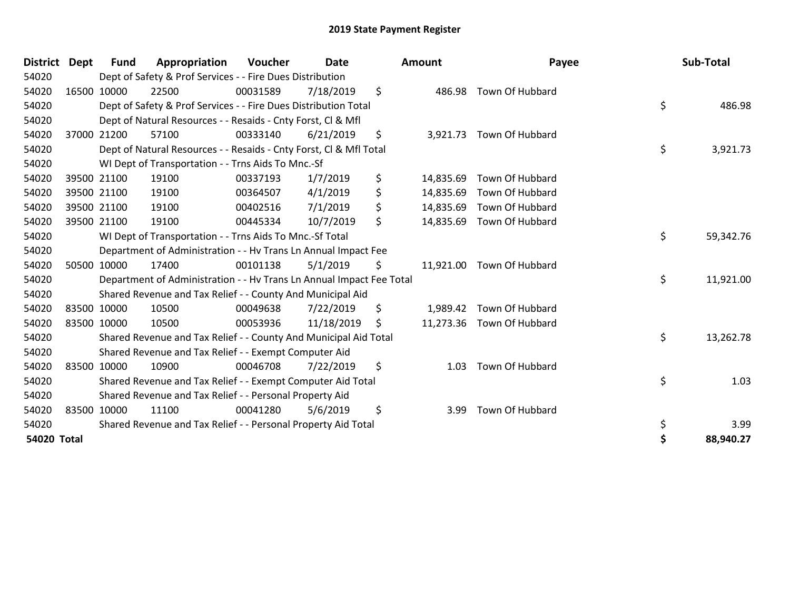| District Dept      |             | <b>Fund</b> | Appropriation                                                        | Voucher  | <b>Date</b> | <b>Amount</b>   | Payee                     | Sub-Total       |
|--------------------|-------------|-------------|----------------------------------------------------------------------|----------|-------------|-----------------|---------------------------|-----------------|
| 54020              |             |             | Dept of Safety & Prof Services - - Fire Dues Distribution            |          |             |                 |                           |                 |
| 54020              |             | 16500 10000 | 22500                                                                | 00031589 | 7/18/2019   | \$              | 486.98 Town Of Hubbard    |                 |
| 54020              |             |             | Dept of Safety & Prof Services - - Fire Dues Distribution Total      |          |             |                 |                           | \$<br>486.98    |
| 54020              |             |             | Dept of Natural Resources - - Resaids - Cnty Forst, CI & Mfl         |          |             |                 |                           |                 |
| 54020              |             | 37000 21200 | 57100                                                                | 00333140 | 6/21/2019   | \$<br>3,921.73  | Town Of Hubbard           |                 |
| 54020              |             |             | Dept of Natural Resources - - Resaids - Cnty Forst, CI & Mfl Total   |          |             |                 |                           | \$<br>3,921.73  |
| 54020              |             |             | WI Dept of Transportation - - Trns Aids To Mnc.-Sf                   |          |             |                 |                           |                 |
| 54020              |             | 39500 21100 | 19100                                                                | 00337193 | 1/7/2019    | \$<br>14,835.69 | Town Of Hubbard           |                 |
| 54020              |             | 39500 21100 | 19100                                                                | 00364507 | 4/1/2019    | \$<br>14,835.69 | Town Of Hubbard           |                 |
| 54020              |             | 39500 21100 | 19100                                                                | 00402516 | 7/1/2019    | \$              | 14,835.69 Town Of Hubbard |                 |
| 54020              |             | 39500 21100 | 19100                                                                | 00445334 | 10/7/2019   | \$              | 14,835.69 Town Of Hubbard |                 |
| 54020              |             |             | WI Dept of Transportation - - Trns Aids To Mnc.-Sf Total             |          |             |                 |                           | \$<br>59,342.76 |
| 54020              |             |             | Department of Administration - - Hv Trans Ln Annual Impact Fee       |          |             |                 |                           |                 |
| 54020              |             | 50500 10000 | 17400                                                                | 00101138 | 5/1/2019    | \$              | 11,921.00 Town Of Hubbard |                 |
| 54020              |             |             | Department of Administration - - Hv Trans Ln Annual Impact Fee Total |          |             |                 |                           | \$<br>11,921.00 |
| 54020              |             |             | Shared Revenue and Tax Relief - - County And Municipal Aid           |          |             |                 |                           |                 |
| 54020              |             | 83500 10000 | 10500                                                                | 00049638 | 7/22/2019   | \$<br>1,989.42  | Town Of Hubbard           |                 |
| 54020              | 83500 10000 |             | 10500                                                                | 00053936 | 11/18/2019  | \$              | 11,273.36 Town Of Hubbard |                 |
| 54020              |             |             | Shared Revenue and Tax Relief - - County And Municipal Aid Total     |          |             |                 |                           | \$<br>13,262.78 |
| 54020              |             |             | Shared Revenue and Tax Relief - - Exempt Computer Aid                |          |             |                 |                           |                 |
| 54020              |             | 83500 10000 | 10900                                                                | 00046708 | 7/22/2019   | \$<br>1.03      | Town Of Hubbard           |                 |
| 54020              |             |             | Shared Revenue and Tax Relief - - Exempt Computer Aid Total          |          |             |                 |                           | \$<br>1.03      |
| 54020              |             |             | Shared Revenue and Tax Relief - - Personal Property Aid              |          |             |                 |                           |                 |
| 54020              |             | 83500 10000 | 11100                                                                | 00041280 | 5/6/2019    | \$<br>3.99      | Town Of Hubbard           |                 |
| 54020              |             |             | Shared Revenue and Tax Relief - - Personal Property Aid Total        |          |             |                 |                           | \$<br>3.99      |
| <b>54020 Total</b> |             |             |                                                                      |          |             |                 |                           | 88,940.27       |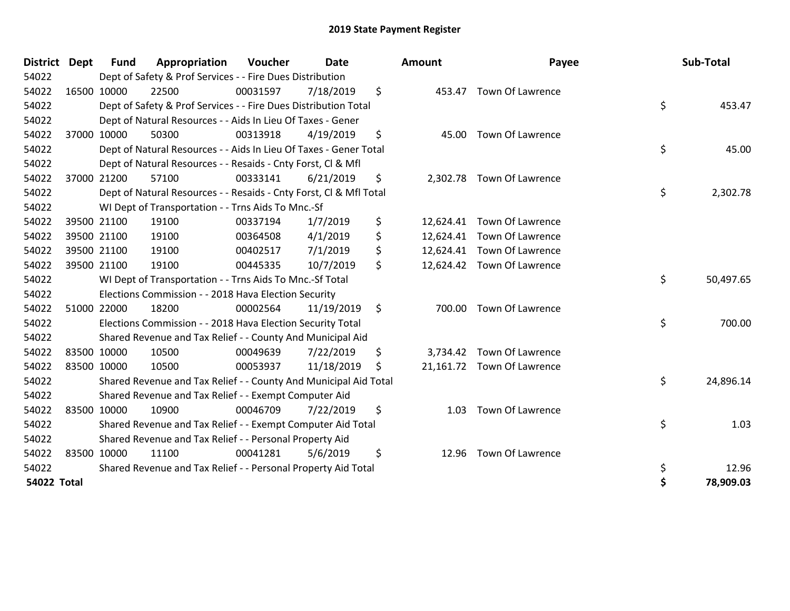| <b>District</b>    | <b>Dept</b> | <b>Fund</b> | Appropriation                                                      | Voucher  | <b>Date</b> |     | Amount    | Payee                      |    | Sub-Total |
|--------------------|-------------|-------------|--------------------------------------------------------------------|----------|-------------|-----|-----------|----------------------------|----|-----------|
| 54022              |             |             | Dept of Safety & Prof Services - - Fire Dues Distribution          |          |             |     |           |                            |    |           |
| 54022              | 16500 10000 |             | 22500                                                              | 00031597 | 7/18/2019   | \$  |           | 453.47 Town Of Lawrence    |    |           |
| 54022              |             |             | Dept of Safety & Prof Services - - Fire Dues Distribution Total    |          |             |     |           |                            | \$ | 453.47    |
| 54022              |             |             | Dept of Natural Resources - - Aids In Lieu Of Taxes - Gener        |          |             |     |           |                            |    |           |
| 54022              |             | 37000 10000 | 50300                                                              | 00313918 | 4/19/2019   | \$  |           | 45.00 Town Of Lawrence     |    |           |
| 54022              |             |             | Dept of Natural Resources - - Aids In Lieu Of Taxes - Gener Total  |          |             |     |           |                            | \$ | 45.00     |
| 54022              |             |             | Dept of Natural Resources - - Resaids - Cnty Forst, Cl & Mfl       |          |             |     |           |                            |    |           |
| 54022              |             | 37000 21200 | 57100                                                              | 00333141 | 6/21/2019   | \$  |           | 2,302.78 Town Of Lawrence  |    |           |
| 54022              |             |             | Dept of Natural Resources - - Resaids - Cnty Forst, CI & Mfl Total |          |             |     |           |                            | \$ | 2,302.78  |
| 54022              |             |             | WI Dept of Transportation - - Trns Aids To Mnc.-Sf                 |          |             |     |           |                            |    |           |
| 54022              |             | 39500 21100 | 19100                                                              | 00337194 | 1/7/2019    | \$  | 12,624.41 | <b>Town Of Lawrence</b>    |    |           |
| 54022              |             | 39500 21100 | 19100                                                              | 00364508 | 4/1/2019    | \$  |           | 12,624.41 Town Of Lawrence |    |           |
| 54022              |             | 39500 21100 | 19100                                                              | 00402517 | 7/1/2019    | \$  |           | 12,624.41 Town Of Lawrence |    |           |
| 54022              | 39500 21100 |             | 19100                                                              | 00445335 | 10/7/2019   | \$  |           | 12,624.42 Town Of Lawrence |    |           |
| 54022              |             |             | WI Dept of Transportation - - Trns Aids To Mnc.-Sf Total           |          |             |     |           |                            | \$ | 50,497.65 |
| 54022              |             |             | Elections Commission - - 2018 Hava Election Security               |          |             |     |           |                            |    |           |
| 54022              | 51000 22000 |             | 18200                                                              | 00002564 | 11/19/2019  | \$  |           | 700.00 Town Of Lawrence    |    |           |
| 54022              |             |             | Elections Commission - - 2018 Hava Election Security Total         |          |             |     |           |                            | \$ | 700.00    |
| 54022              |             |             | Shared Revenue and Tax Relief - - County And Municipal Aid         |          |             |     |           |                            |    |           |
| 54022              | 83500 10000 |             | 10500                                                              | 00049639 | 7/22/2019   | \$  |           | 3,734.42 Town Of Lawrence  |    |           |
| 54022              | 83500 10000 |             | 10500                                                              | 00053937 | 11/18/2019  | \$. |           | 21,161.72 Town Of Lawrence |    |           |
| 54022              |             |             | Shared Revenue and Tax Relief - - County And Municipal Aid Total   |          |             |     |           |                            | \$ | 24,896.14 |
| 54022              |             |             | Shared Revenue and Tax Relief - - Exempt Computer Aid              |          |             |     |           |                            |    |           |
| 54022              | 83500 10000 |             | 10900                                                              | 00046709 | 7/22/2019   | \$  | 1.03      | <b>Town Of Lawrence</b>    |    |           |
| 54022              |             |             | Shared Revenue and Tax Relief - - Exempt Computer Aid Total        |          |             |     |           |                            | \$ | 1.03      |
| 54022              |             |             | Shared Revenue and Tax Relief - - Personal Property Aid            |          |             |     |           |                            |    |           |
| 54022              | 83500 10000 |             | 11100                                                              | 00041281 | 5/6/2019    | \$  | 12.96     | <b>Town Of Lawrence</b>    |    |           |
| 54022              |             |             | Shared Revenue and Tax Relief - - Personal Property Aid Total      |          |             |     |           |                            | \$ | 12.96     |
| <b>54022 Total</b> |             |             |                                                                    |          |             |     |           |                            | Ś  | 78,909.03 |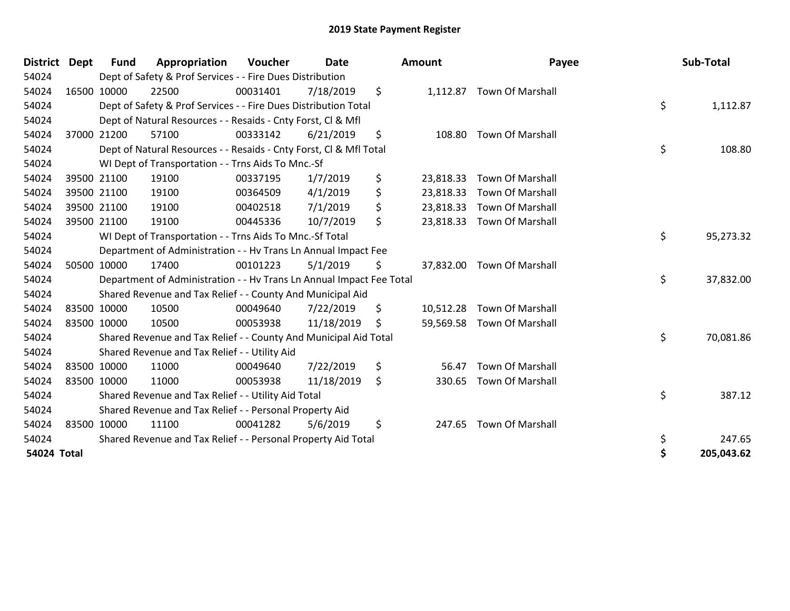| <b>District</b> | <b>Dept</b> | <b>Fund</b> | Appropriation                                                        | Voucher  | <b>Date</b> | Amount          | Payee                      | Sub-Total        |
|-----------------|-------------|-------------|----------------------------------------------------------------------|----------|-------------|-----------------|----------------------------|------------------|
| 54024           |             |             | Dept of Safety & Prof Services - - Fire Dues Distribution            |          |             |                 |                            |                  |
| 54024           | 16500 10000 |             | 22500                                                                | 00031401 | 7/18/2019   | \$              | 1,112.87 Town Of Marshall  |                  |
| 54024           |             |             | Dept of Safety & Prof Services - - Fire Dues Distribution Total      |          |             |                 |                            | \$<br>1,112.87   |
| 54024           |             |             | Dept of Natural Resources - - Resaids - Cnty Forst, CI & Mfl         |          |             |                 |                            |                  |
| 54024           |             | 37000 21200 | 57100                                                                | 00333142 | 6/21/2019   | \$<br>108.80    | <b>Town Of Marshall</b>    |                  |
| 54024           |             |             | Dept of Natural Resources - - Resaids - Cnty Forst, CI & Mfl Total   |          |             |                 |                            | \$<br>108.80     |
| 54024           |             |             | WI Dept of Transportation - - Trns Aids To Mnc.-Sf                   |          |             |                 |                            |                  |
| 54024           |             | 39500 21100 | 19100                                                                | 00337195 | 1/7/2019    | \$<br>23,818.33 | <b>Town Of Marshall</b>    |                  |
| 54024           |             | 39500 21100 | 19100                                                                | 00364509 | 4/1/2019    | \$<br>23,818.33 | <b>Town Of Marshall</b>    |                  |
| 54024           |             | 39500 21100 | 19100                                                                | 00402518 | 7/1/2019    | \$<br>23,818.33 | <b>Town Of Marshall</b>    |                  |
| 54024           | 39500 21100 |             | 19100                                                                | 00445336 | 10/7/2019   | \$              | 23,818.33 Town Of Marshall |                  |
| 54024           |             |             | WI Dept of Transportation - - Trns Aids To Mnc.-Sf Total             |          |             |                 |                            | \$<br>95,273.32  |
| 54024           |             |             | Department of Administration - - Hv Trans Ln Annual Impact Fee       |          |             |                 |                            |                  |
| 54024           |             | 50500 10000 | 17400                                                                | 00101223 | 5/1/2019    | \$              | 37,832.00 Town Of Marshall |                  |
| 54024           |             |             | Department of Administration - - Hv Trans Ln Annual Impact Fee Total |          |             |                 |                            | \$<br>37,832.00  |
| 54024           |             |             | Shared Revenue and Tax Relief - - County And Municipal Aid           |          |             |                 |                            |                  |
| 54024           | 83500 10000 |             | 10500                                                                | 00049640 | 7/22/2019   | \$<br>10,512.28 | <b>Town Of Marshall</b>    |                  |
| 54024           | 83500 10000 |             | 10500                                                                | 00053938 | 11/18/2019  | \$              | 59,569.58 Town Of Marshall |                  |
| 54024           |             |             | Shared Revenue and Tax Relief - - County And Municipal Aid Total     |          |             |                 |                            | \$<br>70,081.86  |
| 54024           |             |             | Shared Revenue and Tax Relief - - Utility Aid                        |          |             |                 |                            |                  |
| 54024           | 83500 10000 |             | 11000                                                                | 00049640 | 7/22/2019   | \$<br>56.47     | <b>Town Of Marshall</b>    |                  |
| 54024           | 83500 10000 |             | 11000                                                                | 00053938 | 11/18/2019  | \$<br>330.65    | <b>Town Of Marshall</b>    |                  |
| 54024           |             |             | Shared Revenue and Tax Relief - - Utility Aid Total                  |          |             |                 |                            | \$<br>387.12     |
| 54024           |             |             | Shared Revenue and Tax Relief - - Personal Property Aid              |          |             |                 |                            |                  |
| 54024           | 83500 10000 |             | 11100                                                                | 00041282 | 5/6/2019    | \$<br>247.65    | <b>Town Of Marshall</b>    |                  |
| 54024           |             |             | Shared Revenue and Tax Relief - - Personal Property Aid Total        |          |             |                 |                            | \$<br>247.65     |
| 54024 Total     |             |             |                                                                      |          |             |                 |                            | \$<br>205,043.62 |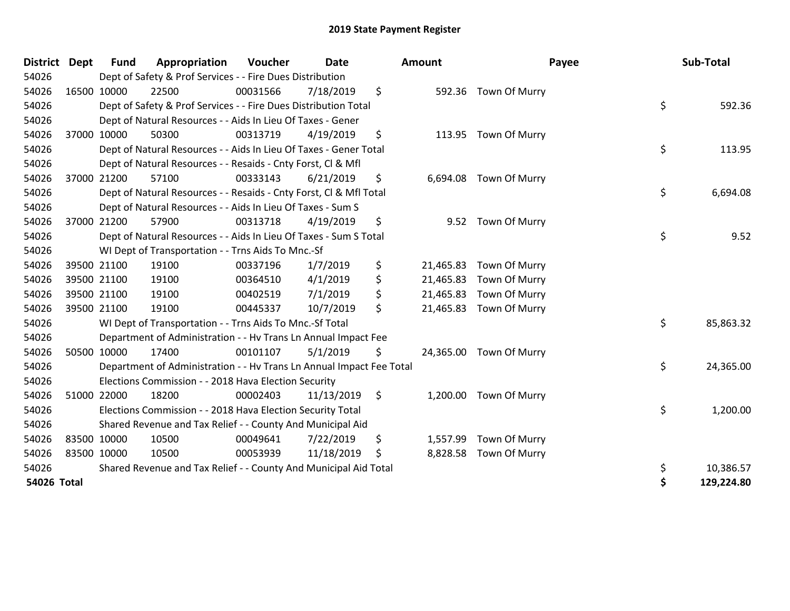| <b>District Dept</b> |             | <b>Fund</b> | Appropriation                                                        | <b>Voucher</b> | <b>Date</b> |                    | Amount    | Payee                   | Sub-Total        |
|----------------------|-------------|-------------|----------------------------------------------------------------------|----------------|-------------|--------------------|-----------|-------------------------|------------------|
| 54026                |             |             | Dept of Safety & Prof Services - - Fire Dues Distribution            |                |             |                    |           |                         |                  |
| 54026                | 16500 10000 |             | 22500                                                                | 00031566       | 7/18/2019   | \$                 | 592.36    | Town Of Murry           |                  |
| 54026                |             |             | Dept of Safety & Prof Services - - Fire Dues Distribution Total      |                |             |                    |           |                         | \$<br>592.36     |
| 54026                |             |             | Dept of Natural Resources - - Aids In Lieu Of Taxes - Gener          |                |             |                    |           |                         |                  |
| 54026                | 37000 10000 |             | 50300                                                                | 00313719       | 4/19/2019   | \$                 |           | 113.95 Town Of Murry    |                  |
| 54026                |             |             | Dept of Natural Resources - - Aids In Lieu Of Taxes - Gener Total    |                |             |                    |           |                         | \$<br>113.95     |
| 54026                |             |             | Dept of Natural Resources - - Resaids - Cnty Forst, CI & Mfl         |                |             |                    |           |                         |                  |
| 54026                | 37000 21200 |             | 57100                                                                | 00333143       | 6/21/2019   | \$                 |           | 6,694.08 Town Of Murry  |                  |
| 54026                |             |             | Dept of Natural Resources - - Resaids - Cnty Forst, Cl & Mfl Total   |                |             |                    |           |                         | \$<br>6,694.08   |
| 54026                |             |             | Dept of Natural Resources - - Aids In Lieu Of Taxes - Sum S          |                |             |                    |           |                         |                  |
| 54026                | 37000 21200 |             | 57900                                                                | 00313718       | 4/19/2019   | \$                 | 9.52      | Town Of Murry           |                  |
| 54026                |             |             | Dept of Natural Resources - - Aids In Lieu Of Taxes - Sum S Total    |                |             |                    |           |                         | \$<br>9.52       |
| 54026                |             |             | WI Dept of Transportation - - Trns Aids To Mnc.-Sf                   |                |             |                    |           |                         |                  |
| 54026                |             | 39500 21100 | 19100                                                                | 00337196       | 1/7/2019    | \$                 | 21,465.83 | Town Of Murry           |                  |
| 54026                | 39500 21100 |             | 19100                                                                | 00364510       | 4/1/2019    | \$                 | 21,465.83 | Town Of Murry           |                  |
| 54026                | 39500 21100 |             | 19100                                                                | 00402519       | 7/1/2019    | \$                 | 21,465.83 | Town Of Murry           |                  |
| 54026                | 39500 21100 |             | 19100                                                                | 00445337       | 10/7/2019   | \$                 |           | 21,465.83 Town Of Murry |                  |
| 54026                |             |             | WI Dept of Transportation - - Trns Aids To Mnc.-Sf Total             |                |             |                    |           |                         | \$<br>85,863.32  |
| 54026                |             |             | Department of Administration - - Hv Trans Ln Annual Impact Fee       |                |             |                    |           |                         |                  |
| 54026                | 50500 10000 |             | 17400                                                                | 00101107       | 5/1/2019    | \$                 |           | 24,365.00 Town Of Murry |                  |
| 54026                |             |             | Department of Administration - - Hv Trans Ln Annual Impact Fee Total |                |             |                    |           |                         | \$<br>24,365.00  |
| 54026                |             |             | Elections Commission - - 2018 Hava Election Security                 |                |             |                    |           |                         |                  |
| 54026                | 51000 22000 |             | 18200                                                                | 00002403       | 11/13/2019  | $\ddot{\varsigma}$ | 1,200.00  | Town Of Murry           |                  |
| 54026                |             |             | Elections Commission - - 2018 Hava Election Security Total           |                |             |                    |           |                         | \$<br>1,200.00   |
| 54026                |             |             | Shared Revenue and Tax Relief - - County And Municipal Aid           |                |             |                    |           |                         |                  |
| 54026                | 83500 10000 |             | 10500                                                                | 00049641       | 7/22/2019   | \$                 | 1,557.99  | Town Of Murry           |                  |
| 54026                | 83500 10000 |             | 10500                                                                | 00053939       | 11/18/2019  | \$                 | 8,828.58  | Town Of Murry           |                  |
| 54026                |             |             | Shared Revenue and Tax Relief - - County And Municipal Aid Total     |                |             |                    |           |                         | \$<br>10,386.57  |
| 54026 Total          |             |             |                                                                      |                |             |                    |           |                         | \$<br>129,224.80 |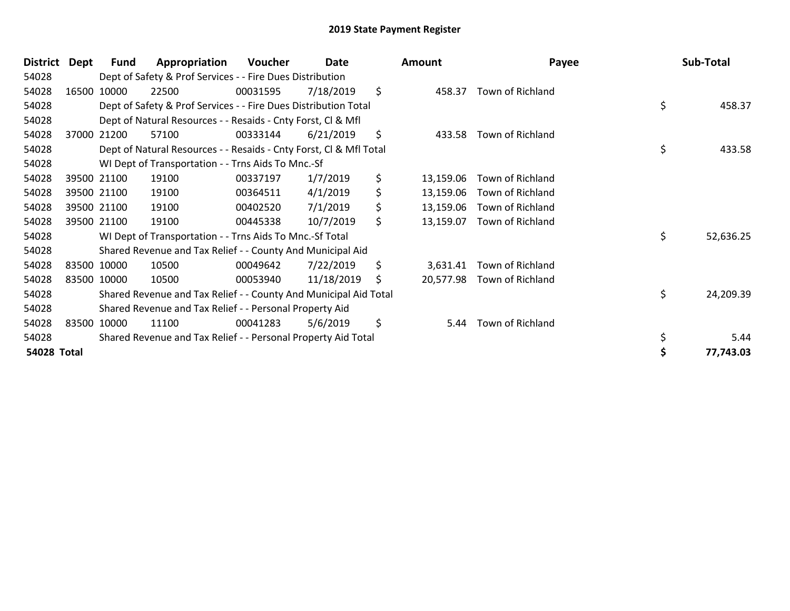| <b>District</b> | Dept | <b>Fund</b> | Appropriation                                                      | Voucher  | Date       | <b>Amount</b>   | Payee            | Sub-Total       |
|-----------------|------|-------------|--------------------------------------------------------------------|----------|------------|-----------------|------------------|-----------------|
| 54028           |      |             | Dept of Safety & Prof Services - - Fire Dues Distribution          |          |            |                 |                  |                 |
| 54028           |      | 16500 10000 | 22500                                                              | 00031595 | 7/18/2019  | \$<br>458.37    | Town of Richland |                 |
| 54028           |      |             | Dept of Safety & Prof Services - - Fire Dues Distribution Total    |          |            |                 |                  | \$<br>458.37    |
| 54028           |      |             | Dept of Natural Resources - - Resaids - Cnty Forst, CI & Mfl       |          |            |                 |                  |                 |
| 54028           |      | 37000 21200 | 57100                                                              | 00333144 | 6/21/2019  | \$<br>433.58    | Town of Richland |                 |
| 54028           |      |             | Dept of Natural Resources - - Resaids - Cnty Forst, CI & Mfl Total |          |            |                 |                  | \$<br>433.58    |
| 54028           |      |             | WI Dept of Transportation - - Trns Aids To Mnc.-Sf                 |          |            |                 |                  |                 |
| 54028           |      | 39500 21100 | 19100                                                              | 00337197 | 1/7/2019   | \$<br>13,159.06 | Town of Richland |                 |
| 54028           |      | 39500 21100 | 19100                                                              | 00364511 | 4/1/2019   | \$<br>13,159.06 | Town of Richland |                 |
| 54028           |      | 39500 21100 | 19100                                                              | 00402520 | 7/1/2019   | \$<br>13,159.06 | Town of Richland |                 |
| 54028           |      | 39500 21100 | 19100                                                              | 00445338 | 10/7/2019  | \$<br>13,159.07 | Town of Richland |                 |
| 54028           |      |             | WI Dept of Transportation - - Trns Aids To Mnc.-Sf Total           |          |            |                 |                  | \$<br>52,636.25 |
| 54028           |      |             | Shared Revenue and Tax Relief - - County And Municipal Aid         |          |            |                 |                  |                 |
| 54028           |      | 83500 10000 | 10500                                                              | 00049642 | 7/22/2019  | \$<br>3,631.41  | Town of Richland |                 |
| 54028           |      | 83500 10000 | 10500                                                              | 00053940 | 11/18/2019 | \$<br>20,577.98 | Town of Richland |                 |
| 54028           |      |             | Shared Revenue and Tax Relief - - County And Municipal Aid Total   |          |            |                 |                  | \$<br>24,209.39 |
| 54028           |      |             | Shared Revenue and Tax Relief - - Personal Property Aid            |          |            |                 |                  |                 |
| 54028           |      | 83500 10000 | 11100                                                              | 00041283 | 5/6/2019   | \$<br>5.44      | Town of Richland |                 |
| 54028           |      |             | Shared Revenue and Tax Relief - - Personal Property Aid Total      |          |            |                 |                  | 5.44            |
| 54028 Total     |      |             |                                                                    |          |            |                 |                  | 77,743.03       |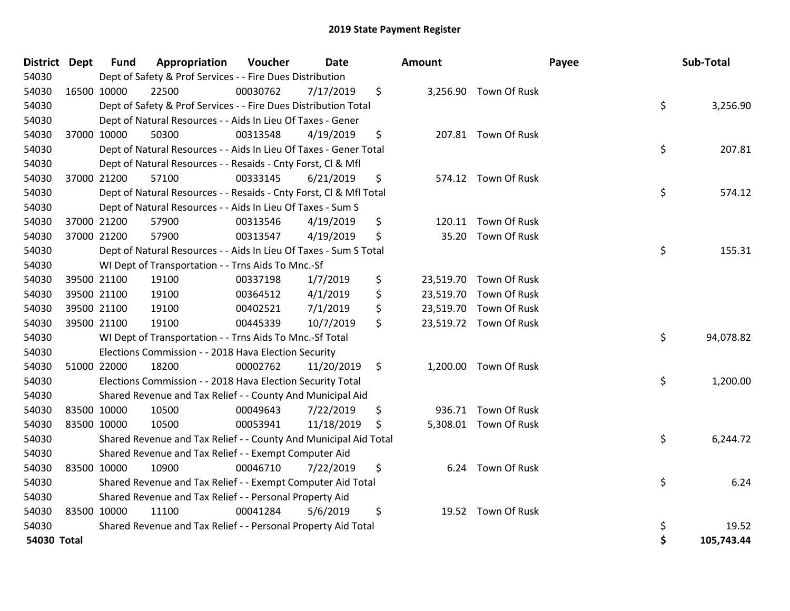| District           | Dept | <b>Fund</b> | Appropriation                                                      | Voucher  | Date       | <b>Amount</b> |                        | Payee | Sub-Total  |
|--------------------|------|-------------|--------------------------------------------------------------------|----------|------------|---------------|------------------------|-------|------------|
| 54030              |      |             | Dept of Safety & Prof Services - - Fire Dues Distribution          |          |            |               |                        |       |            |
| 54030              |      | 16500 10000 | 22500                                                              | 00030762 | 7/17/2019  | \$            | 3,256.90 Town Of Rusk  |       |            |
| 54030              |      |             | Dept of Safety & Prof Services - - Fire Dues Distribution Total    |          |            |               |                        | \$    | 3,256.90   |
| 54030              |      |             | Dept of Natural Resources - - Aids In Lieu Of Taxes - Gener        |          |            |               |                        |       |            |
| 54030              |      | 37000 10000 | 50300                                                              | 00313548 | 4/19/2019  | \$            | 207.81 Town Of Rusk    |       |            |
| 54030              |      |             | Dept of Natural Resources - - Aids In Lieu Of Taxes - Gener Total  |          |            |               |                        | \$    | 207.81     |
| 54030              |      |             | Dept of Natural Resources - - Resaids - Cnty Forst, Cl & Mfl       |          |            |               |                        |       |            |
| 54030              |      | 37000 21200 | 57100                                                              | 00333145 | 6/21/2019  | \$            | 574.12 Town Of Rusk    |       |            |
| 54030              |      |             | Dept of Natural Resources - - Resaids - Cnty Forst, Cl & Mfl Total |          |            |               |                        | \$    | 574.12     |
| 54030              |      |             | Dept of Natural Resources - - Aids In Lieu Of Taxes - Sum S        |          |            |               |                        |       |            |
| 54030              |      | 37000 21200 | 57900                                                              | 00313546 | 4/19/2019  | \$<br>120.11  | <b>Town Of Rusk</b>    |       |            |
| 54030              |      | 37000 21200 | 57900                                                              | 00313547 | 4/19/2019  | \$<br>35.20   | <b>Town Of Rusk</b>    |       |            |
| 54030              |      |             | Dept of Natural Resources - - Aids In Lieu Of Taxes - Sum S Total  |          |            |               |                        | \$    | 155.31     |
| 54030              |      |             | WI Dept of Transportation - - Trns Aids To Mnc.-Sf                 |          |            |               |                        |       |            |
| 54030              |      | 39500 21100 | 19100                                                              | 00337198 | 1/7/2019   | \$            | 23,519.70 Town Of Rusk |       |            |
| 54030              |      | 39500 21100 | 19100                                                              | 00364512 | 4/1/2019   | \$            | 23,519.70 Town Of Rusk |       |            |
| 54030              |      | 39500 21100 | 19100                                                              | 00402521 | 7/1/2019   | \$            | 23,519.70 Town Of Rusk |       |            |
| 54030              |      | 39500 21100 | 19100                                                              | 00445339 | 10/7/2019  | \$            | 23,519.72 Town Of Rusk |       |            |
| 54030              |      |             | WI Dept of Transportation - - Trns Aids To Mnc.-Sf Total           |          |            |               |                        | \$    | 94,078.82  |
| 54030              |      |             | Elections Commission - - 2018 Hava Election Security               |          |            |               |                        |       |            |
| 54030              |      | 51000 22000 | 18200                                                              | 00002762 | 11/20/2019 | \$            | 1,200.00 Town Of Rusk  |       |            |
| 54030              |      |             | Elections Commission - - 2018 Hava Election Security Total         |          |            |               |                        | \$    | 1,200.00   |
| 54030              |      |             | Shared Revenue and Tax Relief - - County And Municipal Aid         |          |            |               |                        |       |            |
| 54030              |      | 83500 10000 | 10500                                                              | 00049643 | 7/22/2019  | \$<br>936.71  | <b>Town Of Rusk</b>    |       |            |
| 54030              |      | 83500 10000 | 10500                                                              | 00053941 | 11/18/2019 | \$            | 5,308.01 Town Of Rusk  |       |            |
| 54030              |      |             | Shared Revenue and Tax Relief - - County And Municipal Aid Total   |          |            |               |                        | \$    | 6,244.72   |
| 54030              |      |             | Shared Revenue and Tax Relief - - Exempt Computer Aid              |          |            |               |                        |       |            |
| 54030              |      | 83500 10000 | 10900                                                              | 00046710 | 7/22/2019  | \$            | 6.24 Town Of Rusk      |       |            |
| 54030              |      |             | Shared Revenue and Tax Relief - - Exempt Computer Aid Total        |          |            |               |                        | \$    | 6.24       |
| 54030              |      |             | Shared Revenue and Tax Relief - - Personal Property Aid            |          |            |               |                        |       |            |
| 54030              |      | 83500 10000 | 11100                                                              | 00041284 | 5/6/2019   | \$            | 19.52 Town Of Rusk     |       |            |
| 54030              |      |             | Shared Revenue and Tax Relief - - Personal Property Aid Total      |          |            |               |                        | \$    | 19.52      |
| <b>54030 Total</b> |      |             |                                                                    |          |            |               |                        | \$    | 105,743.44 |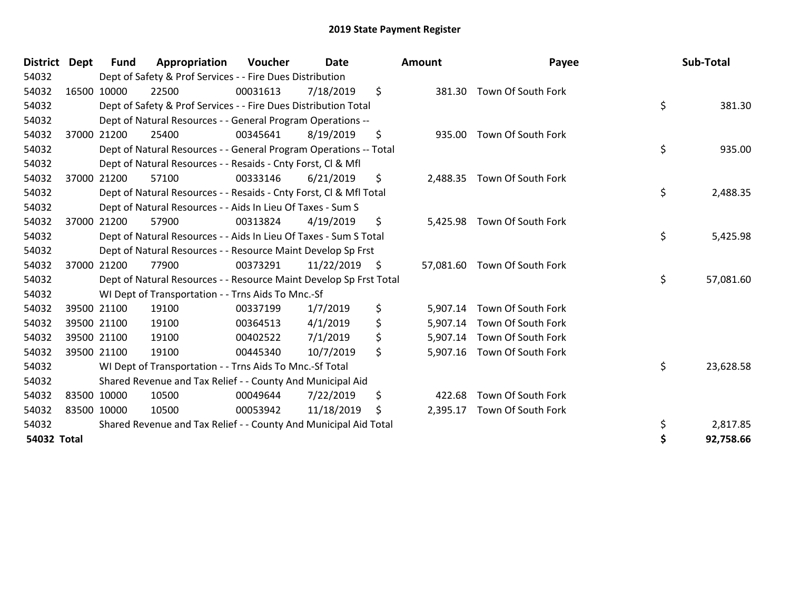| <b>District</b> | <b>Dept</b> | <b>Fund</b> | Appropriation                                                      | <b>Voucher</b> | Date            | <b>Amount</b> | Payee                        | Sub-Total       |
|-----------------|-------------|-------------|--------------------------------------------------------------------|----------------|-----------------|---------------|------------------------------|-----------------|
| 54032           |             |             | Dept of Safety & Prof Services - - Fire Dues Distribution          |                |                 |               |                              |                 |
| 54032           |             | 16500 10000 | 22500                                                              | 00031613       | 7/18/2019       | \$            | 381.30 Town Of South Fork    |                 |
| 54032           |             |             | Dept of Safety & Prof Services - - Fire Dues Distribution Total    |                |                 |               |                              | \$<br>381.30    |
| 54032           |             |             | Dept of Natural Resources - - General Program Operations --        |                |                 |               |                              |                 |
| 54032           |             | 37000 21200 | 25400                                                              | 00345641       | 8/19/2019       | \$<br>935.00  | Town Of South Fork           |                 |
| 54032           |             |             | Dept of Natural Resources - - General Program Operations -- Total  |                |                 |               |                              | \$<br>935.00    |
| 54032           |             |             | Dept of Natural Resources - - Resaids - Cnty Forst, CI & Mfl       |                |                 |               |                              |                 |
| 54032           |             | 37000 21200 | 57100                                                              | 00333146       | 6/21/2019       | \$            | 2,488.35 Town Of South Fork  |                 |
| 54032           |             |             | Dept of Natural Resources - - Resaids - Cnty Forst, CI & Mfl Total |                |                 |               |                              | \$<br>2,488.35  |
| 54032           |             |             | Dept of Natural Resources - - Aids In Lieu Of Taxes - Sum S        |                |                 |               |                              |                 |
| 54032           |             | 37000 21200 | 57900                                                              | 00313824       | 4/19/2019       | \$            | 5,425.98 Town Of South Fork  |                 |
| 54032           |             |             | Dept of Natural Resources - - Aids In Lieu Of Taxes - Sum S Total  |                |                 |               |                              | \$<br>5,425.98  |
| 54032           |             |             | Dept of Natural Resources - - Resource Maint Develop Sp Frst       |                |                 |               |                              |                 |
| 54032           |             | 37000 21200 | 77900                                                              | 00373291       | $11/22/2019$ \$ |               | 57,081.60 Town Of South Fork |                 |
| 54032           |             |             | Dept of Natural Resources - - Resource Maint Develop Sp Frst Total |                |                 |               |                              | \$<br>57,081.60 |
| 54032           |             |             | WI Dept of Transportation - - Trns Aids To Mnc.-Sf                 |                |                 |               |                              |                 |
| 54032           |             | 39500 21100 | 19100                                                              | 00337199       | 1/7/2019        | \$            | 5,907.14 Town Of South Fork  |                 |
| 54032           |             | 39500 21100 | 19100                                                              | 00364513       | 4/1/2019        | \$            | 5,907.14 Town Of South Fork  |                 |
| 54032           |             | 39500 21100 | 19100                                                              | 00402522       | 7/1/2019        | \$            | 5,907.14 Town Of South Fork  |                 |
| 54032           |             | 39500 21100 | 19100                                                              | 00445340       | 10/7/2019       | \$            | 5,907.16 Town Of South Fork  |                 |
| 54032           |             |             | WI Dept of Transportation - - Trns Aids To Mnc.-Sf Total           |                |                 |               |                              | \$<br>23,628.58 |
| 54032           |             |             | Shared Revenue and Tax Relief - - County And Municipal Aid         |                |                 |               |                              |                 |
| 54032           |             | 83500 10000 | 10500                                                              | 00049644       | 7/22/2019       | \$<br>422.68  | Town Of South Fork           |                 |
| 54032           |             | 83500 10000 | 10500                                                              | 00053942       | 11/18/2019      | \$            | 2,395.17 Town Of South Fork  |                 |
| 54032           |             |             | Shared Revenue and Tax Relief - - County And Municipal Aid Total   |                |                 |               |                              | \$<br>2,817.85  |
| 54032 Total     |             |             |                                                                    |                |                 |               |                              | 92,758.66       |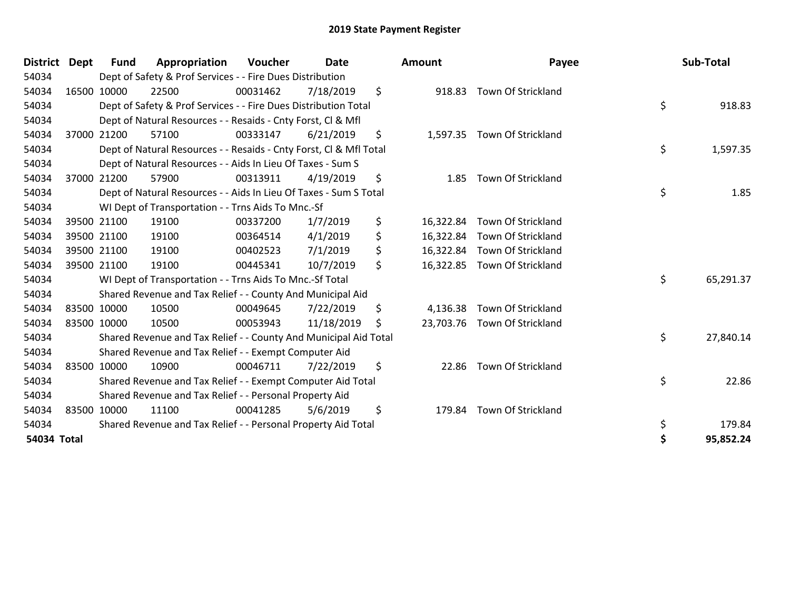| <b>District</b> | <b>Dept</b> | Fund        | Appropriation                                                      | <b>Voucher</b> | <b>Date</b> |         | <b>Amount</b> | Payee                        | Sub-Total       |
|-----------------|-------------|-------------|--------------------------------------------------------------------|----------------|-------------|---------|---------------|------------------------------|-----------------|
| 54034           |             |             | Dept of Safety & Prof Services - - Fire Dues Distribution          |                |             |         |               |                              |                 |
| 54034           |             | 16500 10000 | 22500                                                              | 00031462       | 7/18/2019   | $\zeta$ |               | 918.83 Town Of Strickland    |                 |
| 54034           |             |             | Dept of Safety & Prof Services - - Fire Dues Distribution Total    |                |             |         |               |                              | \$<br>918.83    |
| 54034           |             |             | Dept of Natural Resources - - Resaids - Cnty Forst, CI & Mfl       |                |             |         |               |                              |                 |
| 54034           |             | 37000 21200 | 57100                                                              | 00333147       | 6/21/2019   | \$      |               | 1,597.35 Town Of Strickland  |                 |
| 54034           |             |             | Dept of Natural Resources - - Resaids - Cnty Forst, Cl & Mfl Total |                |             |         |               |                              | \$<br>1,597.35  |
| 54034           |             |             | Dept of Natural Resources - - Aids In Lieu Of Taxes - Sum S        |                |             |         |               |                              |                 |
| 54034           |             | 37000 21200 | 57900                                                              | 00313911       | 4/19/2019   | \$      | 1.85          | Town Of Strickland           |                 |
| 54034           |             |             | Dept of Natural Resources - - Aids In Lieu Of Taxes - Sum S Total  |                |             |         |               |                              | \$<br>1.85      |
| 54034           |             |             | WI Dept of Transportation - - Trns Aids To Mnc.-Sf                 |                |             |         |               |                              |                 |
| 54034           |             | 39500 21100 | 19100                                                              | 00337200       | 1/7/2019    | \$      | 16,322.84     | Town Of Strickland           |                 |
| 54034           |             | 39500 21100 | 19100                                                              | 00364514       | 4/1/2019    | \$      |               | 16,322.84 Town Of Strickland |                 |
| 54034           |             | 39500 21100 | 19100                                                              | 00402523       | 7/1/2019    | \$      |               | 16,322.84 Town Of Strickland |                 |
| 54034           |             | 39500 21100 | 19100                                                              | 00445341       | 10/7/2019   | \$      |               | 16,322.85 Town Of Strickland |                 |
| 54034           |             |             | WI Dept of Transportation - - Trns Aids To Mnc.-Sf Total           |                |             |         |               |                              | \$<br>65,291.37 |
| 54034           |             |             | Shared Revenue and Tax Relief - - County And Municipal Aid         |                |             |         |               |                              |                 |
| 54034           |             | 83500 10000 | 10500                                                              | 00049645       | 7/22/2019   | \$      | 4,136.38      | Town Of Strickland           |                 |
| 54034           |             | 83500 10000 | 10500                                                              | 00053943       | 11/18/2019  | S       |               | 23,703.76 Town Of Strickland |                 |
| 54034           |             |             | Shared Revenue and Tax Relief - - County And Municipal Aid Total   |                |             |         |               |                              | \$<br>27,840.14 |
| 54034           |             |             | Shared Revenue and Tax Relief - - Exempt Computer Aid              |                |             |         |               |                              |                 |
| 54034           |             | 83500 10000 | 10900                                                              | 00046711       | 7/22/2019   | \$      | 22.86         | Town Of Strickland           |                 |
| 54034           |             |             | Shared Revenue and Tax Relief - - Exempt Computer Aid Total        |                |             |         |               |                              | \$<br>22.86     |
| 54034           |             |             | Shared Revenue and Tax Relief - - Personal Property Aid            |                |             |         |               |                              |                 |
| 54034           |             | 83500 10000 | 11100                                                              | 00041285       | 5/6/2019    | \$      | 179.84        | Town Of Strickland           |                 |
| 54034           |             |             | Shared Revenue and Tax Relief - - Personal Property Aid Total      |                |             |         |               |                              | \$<br>179.84    |
| 54034 Total     |             |             |                                                                    |                |             |         |               |                              | 95,852.24       |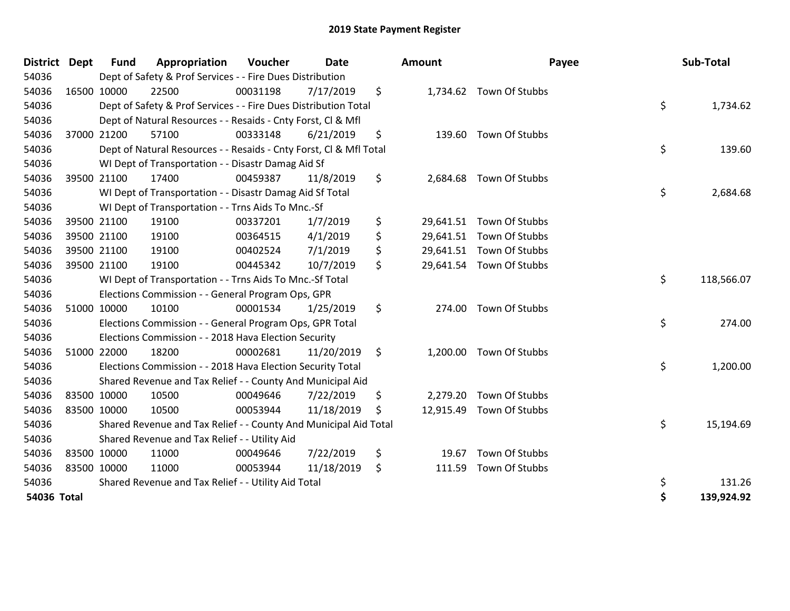| District Dept |             | <b>Fund</b> | Appropriation                                                      | Voucher  | <b>Date</b> | <b>Amount</b>   | Payee                    | Sub-Total        |
|---------------|-------------|-------------|--------------------------------------------------------------------|----------|-------------|-----------------|--------------------------|------------------|
| 54036         |             |             | Dept of Safety & Prof Services - - Fire Dues Distribution          |          |             |                 |                          |                  |
| 54036         | 16500 10000 |             | 22500                                                              | 00031198 | 7/17/2019   | \$              | 1,734.62 Town Of Stubbs  |                  |
| 54036         |             |             | Dept of Safety & Prof Services - - Fire Dues Distribution Total    |          |             |                 |                          | \$<br>1,734.62   |
| 54036         |             |             | Dept of Natural Resources - - Resaids - Cnty Forst, CI & Mfl       |          |             |                 |                          |                  |
| 54036         | 37000 21200 |             | 57100                                                              | 00333148 | 6/21/2019   | \$              | 139.60 Town Of Stubbs    |                  |
| 54036         |             |             | Dept of Natural Resources - - Resaids - Cnty Forst, Cl & Mfl Total |          |             |                 |                          | \$<br>139.60     |
| 54036         |             |             | WI Dept of Transportation - - Disastr Damag Aid Sf                 |          |             |                 |                          |                  |
| 54036         | 39500 21100 |             | 17400                                                              | 00459387 | 11/8/2019   | \$<br>2,684.68  | Town Of Stubbs           |                  |
| 54036         |             |             | WI Dept of Transportation - - Disastr Damag Aid Sf Total           |          |             |                 |                          | \$<br>2,684.68   |
| 54036         |             |             | WI Dept of Transportation - - Trns Aids To Mnc.-Sf                 |          |             |                 |                          |                  |
| 54036         |             | 39500 21100 | 19100                                                              | 00337201 | 1/7/2019    | \$              | 29,641.51 Town Of Stubbs |                  |
| 54036         | 39500 21100 |             | 19100                                                              | 00364515 | 4/1/2019    | \$              | 29,641.51 Town Of Stubbs |                  |
| 54036         | 39500 21100 |             | 19100                                                              | 00402524 | 7/1/2019    | \$              | 29,641.51 Town Of Stubbs |                  |
| 54036         | 39500 21100 |             | 19100                                                              | 00445342 | 10/7/2019   | \$              | 29,641.54 Town Of Stubbs |                  |
| 54036         |             |             | WI Dept of Transportation - - Trns Aids To Mnc.-Sf Total           |          |             |                 |                          | \$<br>118,566.07 |
| 54036         |             |             | Elections Commission - - General Program Ops, GPR                  |          |             |                 |                          |                  |
| 54036         |             | 51000 10000 | 10100                                                              | 00001534 | 1/25/2019   | \$<br>274.00    | Town Of Stubbs           |                  |
| 54036         |             |             | Elections Commission - - General Program Ops, GPR Total            |          |             |                 |                          | \$<br>274.00     |
| 54036         |             |             | Elections Commission - - 2018 Hava Election Security               |          |             |                 |                          |                  |
| 54036         | 51000 22000 |             | 18200                                                              | 00002681 | 11/20/2019  | \$<br>1,200.00  | Town Of Stubbs           |                  |
| 54036         |             |             | Elections Commission - - 2018 Hava Election Security Total         |          |             |                 |                          | \$<br>1,200.00   |
| 54036         |             |             | Shared Revenue and Tax Relief - - County And Municipal Aid         |          |             |                 |                          |                  |
| 54036         |             | 83500 10000 | 10500                                                              | 00049646 | 7/22/2019   | \$<br>2,279.20  | Town Of Stubbs           |                  |
| 54036         | 83500 10000 |             | 10500                                                              | 00053944 | 11/18/2019  | \$<br>12,915.49 | Town Of Stubbs           |                  |
| 54036         |             |             | Shared Revenue and Tax Relief - - County And Municipal Aid Total   |          |             |                 |                          | \$<br>15,194.69  |
| 54036         |             |             | Shared Revenue and Tax Relief - - Utility Aid                      |          |             |                 |                          |                  |
| 54036         | 83500 10000 |             | 11000                                                              | 00049646 | 7/22/2019   | \$<br>19.67     | Town Of Stubbs           |                  |
| 54036         | 83500 10000 |             | 11000                                                              | 00053944 | 11/18/2019  | \$<br>111.59    | Town Of Stubbs           |                  |
| 54036         |             |             | Shared Revenue and Tax Relief - - Utility Aid Total                |          |             |                 |                          | \$<br>131.26     |
| 54036 Total   |             |             |                                                                    |          |             |                 |                          | \$<br>139,924.92 |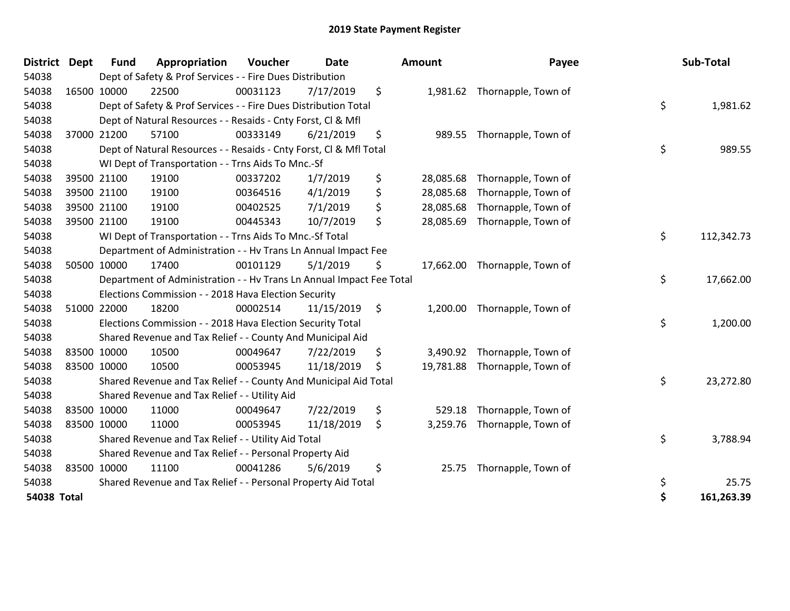| District           | <b>Dept</b> | <b>Fund</b> | Appropriation                                                        | Voucher  | <b>Date</b> |                | Amount    | Payee                         | Sub-Total        |
|--------------------|-------------|-------------|----------------------------------------------------------------------|----------|-------------|----------------|-----------|-------------------------------|------------------|
| 54038              |             |             | Dept of Safety & Prof Services - - Fire Dues Distribution            |          |             |                |           |                               |                  |
| 54038              | 16500 10000 |             | 22500                                                                | 00031123 | 7/17/2019   | \$             |           | 1,981.62 Thornapple, Town of  |                  |
| 54038              |             |             | Dept of Safety & Prof Services - - Fire Dues Distribution Total      |          |             |                |           |                               | \$<br>1,981.62   |
| 54038              |             |             | Dept of Natural Resources - - Resaids - Cnty Forst, CI & Mfl         |          |             |                |           |                               |                  |
| 54038              | 37000 21200 |             | 57100                                                                | 00333149 | 6/21/2019   | \$             | 989.55    | Thornapple, Town of           |                  |
| 54038              |             |             | Dept of Natural Resources - - Resaids - Cnty Forst, Cl & Mfl Total   |          |             |                |           |                               | \$<br>989.55     |
| 54038              |             |             | WI Dept of Transportation - - Trns Aids To Mnc.-Sf                   |          |             |                |           |                               |                  |
| 54038              |             | 39500 21100 | 19100                                                                | 00337202 | 1/7/2019    | \$             | 28,085.68 | Thornapple, Town of           |                  |
| 54038              |             | 39500 21100 | 19100                                                                | 00364516 | 4/1/2019    | \$             | 28,085.68 | Thornapple, Town of           |                  |
| 54038              | 39500 21100 |             | 19100                                                                | 00402525 | 7/1/2019    | \$             | 28,085.68 | Thornapple, Town of           |                  |
| 54038              | 39500 21100 |             | 19100                                                                | 00445343 | 10/7/2019   | \$             | 28,085.69 | Thornapple, Town of           |                  |
| 54038              |             |             | WI Dept of Transportation - - Trns Aids To Mnc.-Sf Total             |          |             |                |           |                               | \$<br>112,342.73 |
| 54038              |             |             | Department of Administration - - Hv Trans Ln Annual Impact Fee       |          |             |                |           |                               |                  |
| 54038              | 50500 10000 |             | 17400                                                                | 00101129 | 5/1/2019    | \$             |           | 17,662.00 Thornapple, Town of |                  |
| 54038              |             |             | Department of Administration - - Hv Trans Ln Annual Impact Fee Total |          |             |                |           |                               | \$<br>17,662.00  |
| 54038              |             |             | Elections Commission - - 2018 Hava Election Security                 |          |             |                |           |                               |                  |
| 54038              |             | 51000 22000 | 18200                                                                | 00002514 | 11/15/2019  | $\ddot{\zeta}$ | 1,200.00  | Thornapple, Town of           |                  |
| 54038              |             |             | Elections Commission - - 2018 Hava Election Security Total           |          |             |                |           |                               | \$<br>1,200.00   |
| 54038              |             |             | Shared Revenue and Tax Relief - - County And Municipal Aid           |          |             |                |           |                               |                  |
| 54038              |             | 83500 10000 | 10500                                                                | 00049647 | 7/22/2019   | \$             | 3,490.92  | Thornapple, Town of           |                  |
| 54038              | 83500 10000 |             | 10500                                                                | 00053945 | 11/18/2019  | \$             |           | 19,781.88 Thornapple, Town of |                  |
| 54038              |             |             | Shared Revenue and Tax Relief - - County And Municipal Aid Total     |          |             |                |           |                               | \$<br>23,272.80  |
| 54038              |             |             | Shared Revenue and Tax Relief - - Utility Aid                        |          |             |                |           |                               |                  |
| 54038              |             | 83500 10000 | 11000                                                                | 00049647 | 7/22/2019   | \$             | 529.18    | Thornapple, Town of           |                  |
| 54038              | 83500 10000 |             | 11000                                                                | 00053945 | 11/18/2019  | \$             | 3,259.76  | Thornapple, Town of           |                  |
| 54038              |             |             | Shared Revenue and Tax Relief - - Utility Aid Total                  |          |             |                |           |                               | \$<br>3,788.94   |
| 54038              |             |             | Shared Revenue and Tax Relief - - Personal Property Aid              |          |             |                |           |                               |                  |
| 54038              |             | 83500 10000 | 11100                                                                | 00041286 | 5/6/2019    | \$             | 25.75     | Thornapple, Town of           |                  |
| 54038              |             |             | Shared Revenue and Tax Relief - - Personal Property Aid Total        |          |             |                |           |                               | \$<br>25.75      |
| <b>54038 Total</b> |             |             |                                                                      |          |             |                |           |                               | \$<br>161,263.39 |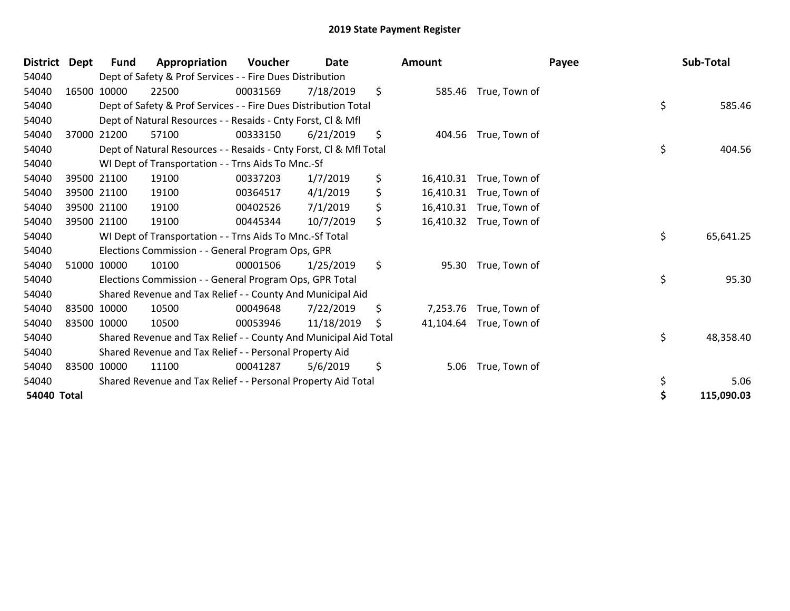| <b>District</b> | Dept | Fund        | Appropriation                                                      | <b>Voucher</b> | <b>Date</b> | <b>Amount</b>   |                         | Payee | Sub-Total  |
|-----------------|------|-------------|--------------------------------------------------------------------|----------------|-------------|-----------------|-------------------------|-------|------------|
| 54040           |      |             | Dept of Safety & Prof Services - - Fire Dues Distribution          |                |             |                 |                         |       |            |
| 54040           |      | 16500 10000 | 22500                                                              | 00031569       | 7/18/2019   | \$              | 585.46 True, Town of    |       |            |
| 54040           |      |             | Dept of Safety & Prof Services - - Fire Dues Distribution Total    |                |             |                 |                         | \$    | 585.46     |
| 54040           |      |             | Dept of Natural Resources - - Resaids - Cnty Forst, CI & Mfl       |                |             |                 |                         |       |            |
| 54040           |      | 37000 21200 | 57100                                                              | 00333150       | 6/21/2019   | \$              | 404.56 True, Town of    |       |            |
| 54040           |      |             | Dept of Natural Resources - - Resaids - Cnty Forst, Cl & Mfl Total |                |             |                 |                         | \$    | 404.56     |
| 54040           |      |             | WI Dept of Transportation - - Trns Aids To Mnc.-Sf                 |                |             |                 |                         |       |            |
| 54040           |      | 39500 21100 | 19100                                                              | 00337203       | 1/7/2019    | \$<br>16,410.31 | True, Town of           |       |            |
| 54040           |      | 39500 21100 | 19100                                                              | 00364517       | 4/1/2019    | \$              | 16,410.31 True, Town of |       |            |
| 54040           |      | 39500 21100 | 19100                                                              | 00402526       | 7/1/2019    | \$              | 16,410.31 True, Town of |       |            |
| 54040           |      | 39500 21100 | 19100                                                              | 00445344       | 10/7/2019   | \$              | 16,410.32 True, Town of |       |            |
| 54040           |      |             | WI Dept of Transportation - - Trns Aids To Mnc.-Sf Total           |                |             |                 |                         | \$    | 65,641.25  |
| 54040           |      |             | Elections Commission - - General Program Ops, GPR                  |                |             |                 |                         |       |            |
| 54040           |      | 51000 10000 | 10100                                                              | 00001506       | 1/25/2019   | \$              | 95.30 True, Town of     |       |            |
| 54040           |      |             | Elections Commission - - General Program Ops, GPR Total            |                |             |                 |                         | \$    | 95.30      |
| 54040           |      |             | Shared Revenue and Tax Relief - - County And Municipal Aid         |                |             |                 |                         |       |            |
| 54040           |      | 83500 10000 | 10500                                                              | 00049648       | 7/22/2019   | \$<br>7,253.76  | True, Town of           |       |            |
| 54040           |      | 83500 10000 | 10500                                                              | 00053946       | 11/18/2019  | \$              | 41,104.64 True, Town of |       |            |
| 54040           |      |             | Shared Revenue and Tax Relief - - County And Municipal Aid Total   |                |             |                 |                         | \$    | 48,358.40  |
| 54040           |      |             | Shared Revenue and Tax Relief - - Personal Property Aid            |                |             |                 |                         |       |            |
| 54040           |      | 83500 10000 | 11100                                                              | 00041287       | 5/6/2019    | \$<br>5.06      | True, Town of           |       |            |
| 54040           |      |             | Shared Revenue and Tax Relief - - Personal Property Aid Total      |                |             |                 |                         | \$    | 5.06       |
| 54040 Total     |      |             |                                                                    |                |             |                 |                         | \$    | 115,090.03 |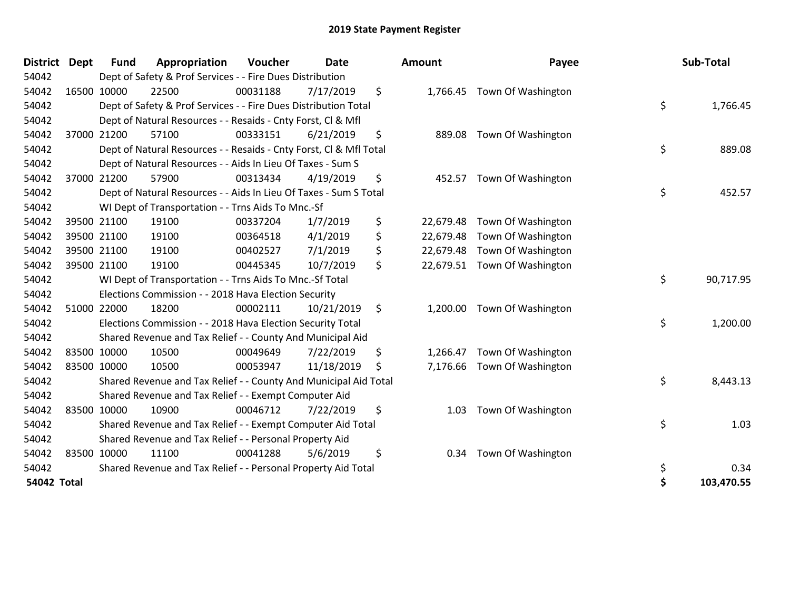| <b>District</b>    | <b>Dept</b> | <b>Fund</b> | Appropriation                                                      | Voucher  | <b>Date</b> |         | Amount    | Payee              | Sub-Total        |
|--------------------|-------------|-------------|--------------------------------------------------------------------|----------|-------------|---------|-----------|--------------------|------------------|
| 54042              |             |             | Dept of Safety & Prof Services - - Fire Dues Distribution          |          |             |         |           |                    |                  |
| 54042              |             | 16500 10000 | 22500                                                              | 00031188 | 7/17/2019   | \$      | 1,766.45  | Town Of Washington |                  |
| 54042              |             |             | Dept of Safety & Prof Services - - Fire Dues Distribution Total    |          |             |         |           |                    | \$<br>1,766.45   |
| 54042              |             |             | Dept of Natural Resources - - Resaids - Cnty Forst, CI & Mfl       |          |             |         |           |                    |                  |
| 54042              |             | 37000 21200 | 57100                                                              | 00333151 | 6/21/2019   | \$      | 889.08    | Town Of Washington |                  |
| 54042              |             |             | Dept of Natural Resources - - Resaids - Cnty Forst, Cl & Mfl Total |          |             |         |           |                    | \$<br>889.08     |
| 54042              |             |             | Dept of Natural Resources - - Aids In Lieu Of Taxes - Sum S        |          |             |         |           |                    |                  |
| 54042              |             | 37000 21200 | 57900                                                              | 00313434 | 4/19/2019   | \$      | 452.57    | Town Of Washington |                  |
| 54042              |             |             | Dept of Natural Resources - - Aids In Lieu Of Taxes - Sum S Total  |          |             |         |           |                    | \$<br>452.57     |
| 54042              |             |             | WI Dept of Transportation - - Trns Aids To Mnc.-Sf                 |          |             |         |           |                    |                  |
| 54042              |             | 39500 21100 | 19100                                                              | 00337204 | 1/7/2019    | \$      | 22,679.48 | Town Of Washington |                  |
| 54042              |             | 39500 21100 | 19100                                                              | 00364518 | 4/1/2019    | \$      | 22,679.48 | Town Of Washington |                  |
| 54042              |             | 39500 21100 | 19100                                                              | 00402527 | 7/1/2019    | \$      | 22,679.48 | Town Of Washington |                  |
| 54042              |             | 39500 21100 | 19100                                                              | 00445345 | 10/7/2019   | \$      | 22,679.51 | Town Of Washington |                  |
| 54042              |             |             | WI Dept of Transportation - - Trns Aids To Mnc.-Sf Total           |          |             |         |           |                    | \$<br>90,717.95  |
| 54042              |             |             | Elections Commission - - 2018 Hava Election Security               |          |             |         |           |                    |                  |
| 54042              |             | 51000 22000 | 18200                                                              | 00002111 | 10/21/2019  | $\zeta$ | 1,200.00  | Town Of Washington |                  |
| 54042              |             |             | Elections Commission - - 2018 Hava Election Security Total         |          |             |         |           |                    | \$<br>1,200.00   |
| 54042              |             |             | Shared Revenue and Tax Relief - - County And Municipal Aid         |          |             |         |           |                    |                  |
| 54042              |             | 83500 10000 | 10500                                                              | 00049649 | 7/22/2019   | \$      | 1,266.47  | Town Of Washington |                  |
| 54042              |             | 83500 10000 | 10500                                                              | 00053947 | 11/18/2019  | \$      | 7,176.66  | Town Of Washington |                  |
| 54042              |             |             | Shared Revenue and Tax Relief - - County And Municipal Aid Total   |          |             |         |           |                    | \$<br>8,443.13   |
| 54042              |             |             | Shared Revenue and Tax Relief - - Exempt Computer Aid              |          |             |         |           |                    |                  |
| 54042              |             | 83500 10000 | 10900                                                              | 00046712 | 7/22/2019   | \$      | 1.03      | Town Of Washington |                  |
| 54042              |             |             | Shared Revenue and Tax Relief - - Exempt Computer Aid Total        |          |             |         |           |                    | \$<br>1.03       |
| 54042              |             |             | Shared Revenue and Tax Relief - - Personal Property Aid            |          |             |         |           |                    |                  |
| 54042              |             | 83500 10000 | 11100                                                              | 00041288 | 5/6/2019    | \$      | 0.34      | Town Of Washington |                  |
| 54042              |             |             | Shared Revenue and Tax Relief - - Personal Property Aid Total      |          |             |         |           |                    | \$<br>0.34       |
| <b>54042 Total</b> |             |             |                                                                    |          |             |         |           |                    | \$<br>103,470.55 |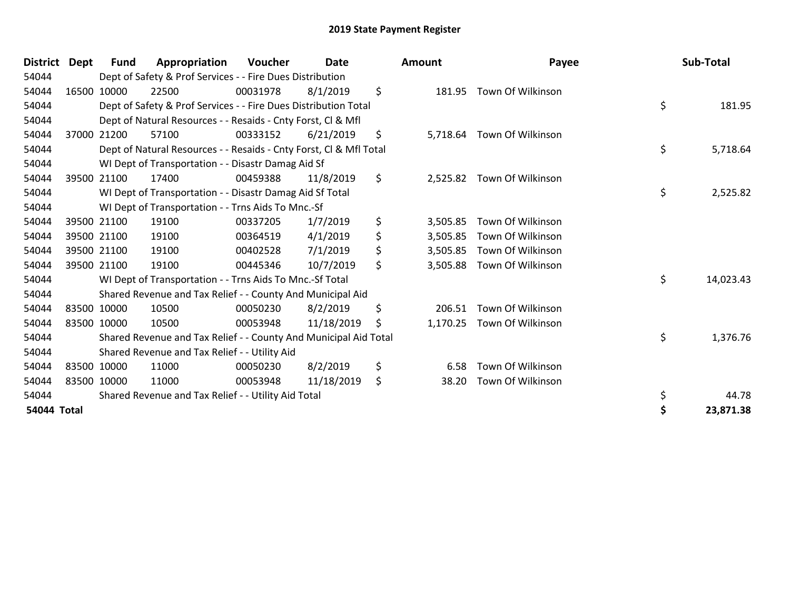| District    | Dept | Fund        | Appropriation                                                      | <b>Voucher</b> | Date       | <b>Amount</b>  | Payee                      | Sub-Total       |
|-------------|------|-------------|--------------------------------------------------------------------|----------------|------------|----------------|----------------------------|-----------------|
| 54044       |      |             | Dept of Safety & Prof Services - - Fire Dues Distribution          |                |            |                |                            |                 |
| 54044       |      | 16500 10000 | 22500                                                              | 00031978       | 8/1/2019   | \$<br>181.95   | Town Of Wilkinson          |                 |
| 54044       |      |             | Dept of Safety & Prof Services - - Fire Dues Distribution Total    |                |            |                |                            | \$<br>181.95    |
| 54044       |      |             | Dept of Natural Resources - - Resaids - Cnty Forst, CI & Mfl       |                |            |                |                            |                 |
| 54044       |      | 37000 21200 | 57100                                                              | 00333152       | 6/21/2019  | \$<br>5,718.64 | Town Of Wilkinson          |                 |
| 54044       |      |             | Dept of Natural Resources - - Resaids - Cnty Forst, Cl & Mfl Total |                |            |                |                            | \$<br>5,718.64  |
| 54044       |      |             | WI Dept of Transportation - - Disastr Damag Aid Sf                 |                |            |                |                            |                 |
| 54044       |      | 39500 21100 | 17400                                                              | 00459388       | 11/8/2019  | \$             | 2,525.82 Town Of Wilkinson |                 |
| 54044       |      |             | WI Dept of Transportation - - Disastr Damag Aid Sf Total           |                |            |                |                            | \$<br>2,525.82  |
| 54044       |      |             | WI Dept of Transportation - - Trns Aids To Mnc.-Sf                 |                |            |                |                            |                 |
| 54044       |      | 39500 21100 | 19100                                                              | 00337205       | 1/7/2019   | \$<br>3,505.85 | Town Of Wilkinson          |                 |
| 54044       |      | 39500 21100 | 19100                                                              | 00364519       | 4/1/2019   | \$<br>3,505.85 | Town Of Wilkinson          |                 |
| 54044       |      | 39500 21100 | 19100                                                              | 00402528       | 7/1/2019   | \$<br>3,505.85 | Town Of Wilkinson          |                 |
| 54044       |      | 39500 21100 | 19100                                                              | 00445346       | 10/7/2019  | \$<br>3,505.88 | Town Of Wilkinson          |                 |
| 54044       |      |             | WI Dept of Transportation - - Trns Aids To Mnc.-Sf Total           |                |            |                |                            | \$<br>14,023.43 |
| 54044       |      |             | Shared Revenue and Tax Relief - - County And Municipal Aid         |                |            |                |                            |                 |
| 54044       |      | 83500 10000 | 10500                                                              | 00050230       | 8/2/2019   | \$<br>206.51   | <b>Town Of Wilkinson</b>   |                 |
| 54044       |      | 83500 10000 | 10500                                                              | 00053948       | 11/18/2019 | \$<br>1,170.25 | Town Of Wilkinson          |                 |
| 54044       |      |             | Shared Revenue and Tax Relief - - County And Municipal Aid Total   |                |            |                |                            | \$<br>1,376.76  |
| 54044       |      |             | Shared Revenue and Tax Relief - - Utility Aid                      |                |            |                |                            |                 |
| 54044       |      | 83500 10000 | 11000                                                              | 00050230       | 8/2/2019   | \$<br>6.58     | Town Of Wilkinson          |                 |
| 54044       |      | 83500 10000 | 11000                                                              | 00053948       | 11/18/2019 | \$<br>38.20    | Town Of Wilkinson          |                 |
| 54044       |      |             | Shared Revenue and Tax Relief - - Utility Aid Total                |                |            |                |                            | 44.78           |
| 54044 Total |      |             |                                                                    |                |            |                |                            | 23,871.38       |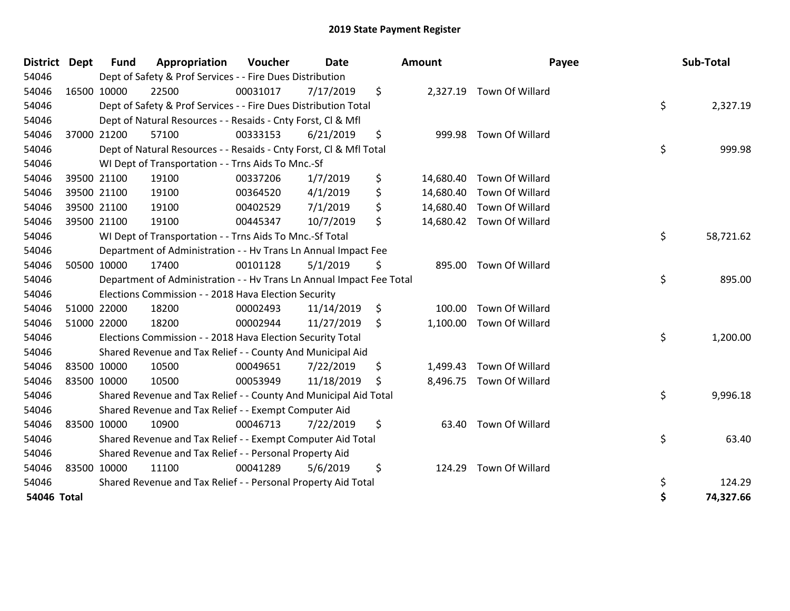| <b>District Dept</b> |             | <b>Fund</b> | Appropriation                                                        | Voucher  | <b>Date</b> |     | <b>Amount</b> | Payee                     | Sub-Total       |
|----------------------|-------------|-------------|----------------------------------------------------------------------|----------|-------------|-----|---------------|---------------------------|-----------------|
| 54046                |             |             | Dept of Safety & Prof Services - - Fire Dues Distribution            |          |             |     |               |                           |                 |
| 54046                | 16500 10000 |             | 22500                                                                | 00031017 | 7/17/2019   | \$  |               | 2,327.19 Town Of Willard  |                 |
| 54046                |             |             | Dept of Safety & Prof Services - - Fire Dues Distribution Total      |          |             |     |               |                           | \$<br>2,327.19  |
| 54046                |             |             | Dept of Natural Resources - - Resaids - Cnty Forst, CI & Mfl         |          |             |     |               |                           |                 |
| 54046                | 37000 21200 |             | 57100                                                                | 00333153 | 6/21/2019   | \$  | 999.98        | Town Of Willard           |                 |
| 54046                |             |             | Dept of Natural Resources - - Resaids - Cnty Forst, CI & Mfl Total   |          |             |     |               |                           | \$<br>999.98    |
| 54046                |             |             | WI Dept of Transportation - - Trns Aids To Mnc.-Sf                   |          |             |     |               |                           |                 |
| 54046                |             | 39500 21100 | 19100                                                                | 00337206 | 1/7/2019    | \$  | 14,680.40     | Town Of Willard           |                 |
| 54046                |             | 39500 21100 | 19100                                                                | 00364520 | 4/1/2019    | \$  |               | 14,680.40 Town Of Willard |                 |
| 54046                | 39500 21100 |             | 19100                                                                | 00402529 | 7/1/2019    | \$  |               | 14,680.40 Town Of Willard |                 |
| 54046                | 39500 21100 |             | 19100                                                                | 00445347 | 10/7/2019   | \$  |               | 14,680.42 Town Of Willard |                 |
| 54046                |             |             | WI Dept of Transportation - - Trns Aids To Mnc.-Sf Total             |          |             |     |               |                           | \$<br>58,721.62 |
| 54046                |             |             | Department of Administration - - Hv Trans Ln Annual Impact Fee       |          |             |     |               |                           |                 |
| 54046                | 50500 10000 |             | 17400                                                                | 00101128 | 5/1/2019    | \$  |               | 895.00 Town Of Willard    |                 |
| 54046                |             |             | Department of Administration - - Hv Trans Ln Annual Impact Fee Total |          |             |     |               |                           | \$<br>895.00    |
| 54046                |             |             | Elections Commission - - 2018 Hava Election Security                 |          |             |     |               |                           |                 |
| 54046                | 51000 22000 |             | 18200                                                                | 00002493 | 11/14/2019  | \$  | 100.00        | Town Of Willard           |                 |
| 54046                | 51000 22000 |             | 18200                                                                | 00002944 | 11/27/2019  | \$  | 1,100.00      | Town Of Willard           |                 |
| 54046                |             |             | Elections Commission - - 2018 Hava Election Security Total           |          |             |     |               |                           | \$<br>1,200.00  |
| 54046                |             |             | Shared Revenue and Tax Relief - - County And Municipal Aid           |          |             |     |               |                           |                 |
| 54046                |             | 83500 10000 | 10500                                                                | 00049651 | 7/22/2019   | \$  | 1,499.43      | Town Of Willard           |                 |
| 54046                | 83500 10000 |             | 10500                                                                | 00053949 | 11/18/2019  | \$. |               | 8,496.75 Town Of Willard  |                 |
| 54046                |             |             | Shared Revenue and Tax Relief - - County And Municipal Aid Total     |          |             |     |               |                           | \$<br>9,996.18  |
| 54046                |             |             | Shared Revenue and Tax Relief - - Exempt Computer Aid                |          |             |     |               |                           |                 |
| 54046                |             | 83500 10000 | 10900                                                                | 00046713 | 7/22/2019   | \$  | 63.40         | Town Of Willard           |                 |
| 54046                |             |             | Shared Revenue and Tax Relief - - Exempt Computer Aid Total          |          |             |     |               |                           | \$<br>63.40     |
| 54046                |             |             | Shared Revenue and Tax Relief - - Personal Property Aid              |          |             |     |               |                           |                 |
| 54046                |             | 83500 10000 | 11100                                                                | 00041289 | 5/6/2019    | \$  | 124.29        | Town Of Willard           |                 |
| 54046                |             |             | Shared Revenue and Tax Relief - - Personal Property Aid Total        |          |             |     |               |                           | \$<br>124.29    |
| <b>54046 Total</b>   |             |             |                                                                      |          |             |     |               |                           | \$<br>74,327.66 |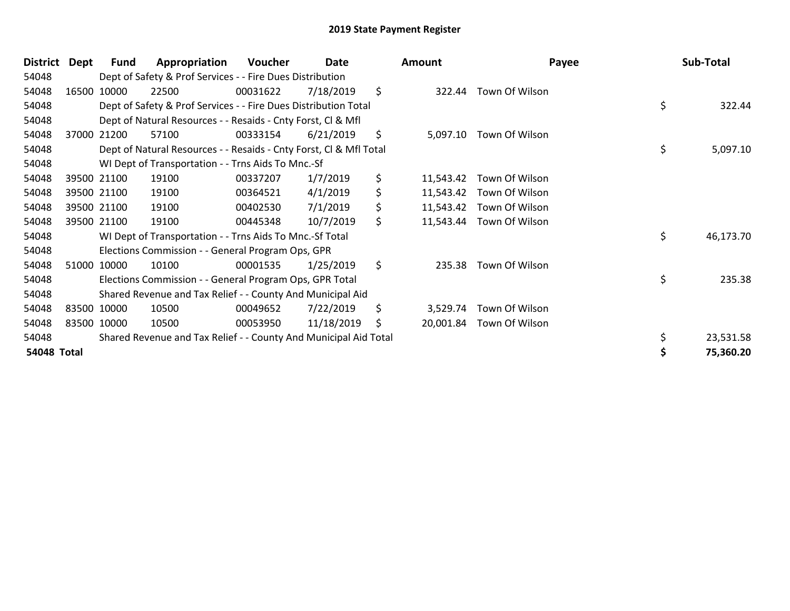| <b>District</b>    | Dept | <b>Fund</b> | Appropriation                                                      | Voucher  | Date       |         | <b>Amount</b> | Payee                    |    | Sub-Total |  |
|--------------------|------|-------------|--------------------------------------------------------------------|----------|------------|---------|---------------|--------------------------|----|-----------|--|
| 54048              |      |             | Dept of Safety & Prof Services - - Fire Dues Distribution          |          |            |         |               |                          |    |           |  |
| 54048              |      | 16500 10000 | 22500                                                              | 00031622 | 7/18/2019  | \$      | 322.44        | Town Of Wilson           |    |           |  |
| 54048              |      |             | Dept of Safety & Prof Services - - Fire Dues Distribution Total    |          |            |         |               |                          | \$ | 322.44    |  |
| 54048              |      |             | Dept of Natural Resources - - Resaids - Cnty Forst, CI & Mfl       |          |            |         |               |                          |    |           |  |
| 54048              |      | 37000 21200 | 57100                                                              | 00333154 | 6/21/2019  | \$      | 5,097.10      | Town Of Wilson           |    |           |  |
| 54048              |      |             | Dept of Natural Resources - - Resaids - Cnty Forst, Cl & Mfl Total |          |            |         |               |                          | \$ | 5,097.10  |  |
| 54048              |      |             | WI Dept of Transportation - - Trns Aids To Mnc.-Sf                 |          |            |         |               |                          |    |           |  |
| 54048              |      | 39500 21100 | 19100                                                              | 00337207 | 1/7/2019   | \$      | 11,543.42     | Town Of Wilson           |    |           |  |
| 54048              |      | 39500 21100 | 19100                                                              | 00364521 | 4/1/2019   | \$      | 11,543.42     | Town Of Wilson           |    |           |  |
| 54048              |      | 39500 21100 | 19100                                                              | 00402530 | 7/1/2019   | \$      |               | 11,543.42 Town Of Wilson |    |           |  |
| 54048              |      | 39500 21100 | 19100                                                              | 00445348 | 10/7/2019  | \$      |               | 11,543.44 Town Of Wilson |    |           |  |
| 54048              |      |             | WI Dept of Transportation - - Trns Aids To Mnc.-Sf Total           |          |            |         |               |                          | \$ | 46,173.70 |  |
| 54048              |      |             | Elections Commission - - General Program Ops, GPR                  |          |            |         |               |                          |    |           |  |
| 54048              |      | 51000 10000 | 10100                                                              | 00001535 | 1/25/2019  | $\zeta$ | 235.38        | Town Of Wilson           |    |           |  |
| 54048              |      |             | Elections Commission - - General Program Ops, GPR Total            |          |            |         |               |                          | \$ | 235.38    |  |
| 54048              |      |             | Shared Revenue and Tax Relief - - County And Municipal Aid         |          |            |         |               |                          |    |           |  |
| 54048              |      | 83500 10000 | 10500                                                              | 00049652 | 7/22/2019  | \$      | 3,529.74      | Town Of Wilson           |    |           |  |
| 54048              |      | 83500 10000 | 10500                                                              | 00053950 | 11/18/2019 | \$.     | 20,001.84     | Town Of Wilson           |    |           |  |
| 54048              |      |             | Shared Revenue and Tax Relief - - County And Municipal Aid Total   |          |            |         |               |                          | \$ | 23,531.58 |  |
| <b>54048 Total</b> |      |             |                                                                    |          |            |         |               |                          | S  | 75,360.20 |  |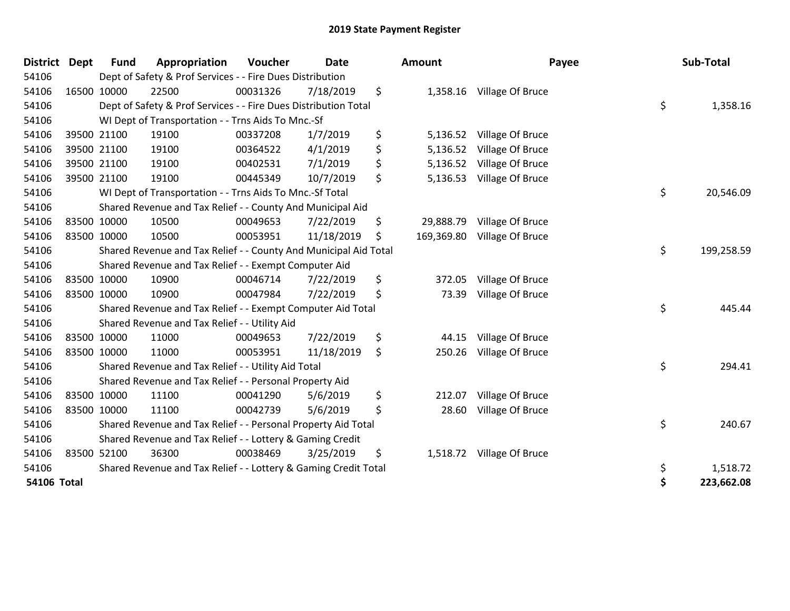| <b>District</b> | <b>Dept</b> | <b>Fund</b> | Appropriation                                                    | Voucher  | <b>Date</b> |     | Amount     |                           | Payee | Sub-Total  |
|-----------------|-------------|-------------|------------------------------------------------------------------|----------|-------------|-----|------------|---------------------------|-------|------------|
| 54106           |             |             | Dept of Safety & Prof Services - - Fire Dues Distribution        |          |             |     |            |                           |       |            |
| 54106           |             | 16500 10000 | 22500                                                            | 00031326 | 7/18/2019   | \$  |            | 1,358.16 Village Of Bruce |       |            |
| 54106           |             |             | Dept of Safety & Prof Services - - Fire Dues Distribution Total  |          |             |     |            |                           | \$    | 1,358.16   |
| 54106           |             |             | WI Dept of Transportation - - Trns Aids To Mnc.-Sf               |          |             |     |            |                           |       |            |
| 54106           |             | 39500 21100 | 19100                                                            | 00337208 | 1/7/2019    | \$  | 5,136.52   | Village Of Bruce          |       |            |
| 54106           |             | 39500 21100 | 19100                                                            | 00364522 | 4/1/2019    | \$  | 5,136.52   | Village Of Bruce          |       |            |
| 54106           |             | 39500 21100 | 19100                                                            | 00402531 | 7/1/2019    | \$  | 5,136.52   | Village Of Bruce          |       |            |
| 54106           |             | 39500 21100 | 19100                                                            | 00445349 | 10/7/2019   | \$  | 5,136.53   | Village Of Bruce          |       |            |
| 54106           |             |             | WI Dept of Transportation - - Trns Aids To Mnc.-Sf Total         |          |             |     |            |                           | \$    | 20,546.09  |
| 54106           |             |             | Shared Revenue and Tax Relief - - County And Municipal Aid       |          |             |     |            |                           |       |            |
| 54106           |             | 83500 10000 | 10500                                                            | 00049653 | 7/22/2019   | \$  | 29,888.79  | Village Of Bruce          |       |            |
| 54106           | 83500 10000 |             | 10500                                                            | 00053951 | 11/18/2019  | \$. | 169,369.80 | Village Of Bruce          |       |            |
| 54106           |             |             | Shared Revenue and Tax Relief - - County And Municipal Aid Total |          |             |     |            |                           | \$    | 199,258.59 |
| 54106           |             |             | Shared Revenue and Tax Relief - - Exempt Computer Aid            |          |             |     |            |                           |       |            |
| 54106           |             | 83500 10000 | 10900                                                            | 00046714 | 7/22/2019   | \$  | 372.05     | Village Of Bruce          |       |            |
| 54106           | 83500 10000 |             | 10900                                                            | 00047984 | 7/22/2019   | \$  | 73.39      | Village Of Bruce          |       |            |
| 54106           |             |             | Shared Revenue and Tax Relief - - Exempt Computer Aid Total      |          |             |     |            |                           | \$    | 445.44     |
| 54106           |             |             | Shared Revenue and Tax Relief - - Utility Aid                    |          |             |     |            |                           |       |            |
| 54106           |             | 83500 10000 | 11000                                                            | 00049653 | 7/22/2019   | \$  | 44.15      | Village Of Bruce          |       |            |
| 54106           | 83500 10000 |             | 11000                                                            | 00053951 | 11/18/2019  | \$  | 250.26     | Village Of Bruce          |       |            |
| 54106           |             |             | Shared Revenue and Tax Relief - - Utility Aid Total              |          |             |     |            |                           | \$    | 294.41     |
| 54106           |             |             | Shared Revenue and Tax Relief - - Personal Property Aid          |          |             |     |            |                           |       |            |
| 54106           |             | 83500 10000 | 11100                                                            | 00041290 | 5/6/2019    | \$  | 212.07     | Village Of Bruce          |       |            |
| 54106           | 83500 10000 |             | 11100                                                            | 00042739 | 5/6/2019    | \$  | 28.60      | Village Of Bruce          |       |            |
| 54106           |             |             | Shared Revenue and Tax Relief - - Personal Property Aid Total    |          |             |     |            |                           | \$    | 240.67     |
| 54106           |             |             | Shared Revenue and Tax Relief - - Lottery & Gaming Credit        |          |             |     |            |                           |       |            |
| 54106           |             | 83500 52100 | 36300                                                            | 00038469 | 3/25/2019   | \$  | 1,518.72   | Village Of Bruce          |       |            |
| 54106           |             |             | Shared Revenue and Tax Relief - - Lottery & Gaming Credit Total  |          |             |     |            |                           | \$    | 1,518.72   |
| 54106 Total     |             |             |                                                                  |          |             |     |            |                           | \$    | 223,662.08 |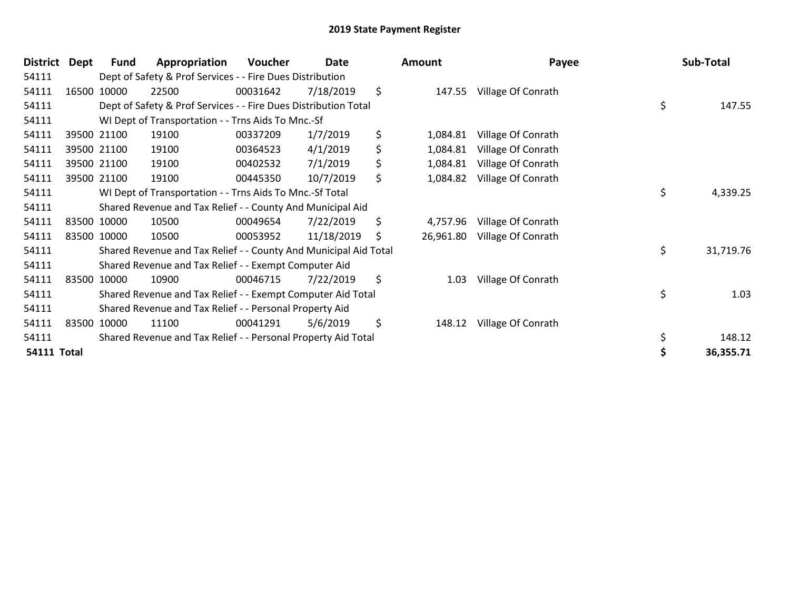| <b>District</b>    | Dept | <b>Fund</b> | Appropriation                                                    | Voucher  | Date       | Amount          | Payee              | Sub-Total       |
|--------------------|------|-------------|------------------------------------------------------------------|----------|------------|-----------------|--------------------|-----------------|
| 54111              |      |             | Dept of Safety & Prof Services - - Fire Dues Distribution        |          |            |                 |                    |                 |
| 54111              |      | 16500 10000 | 22500                                                            | 00031642 | 7/18/2019  | \$<br>147.55    | Village Of Conrath |                 |
| 54111              |      |             | Dept of Safety & Prof Services - - Fire Dues Distribution Total  |          |            |                 |                    | \$<br>147.55    |
| 54111              |      |             | WI Dept of Transportation - - Trns Aids To Mnc.-Sf               |          |            |                 |                    |                 |
| 54111              |      | 39500 21100 | 19100                                                            | 00337209 | 1/7/2019   | \$<br>1,084.81  | Village Of Conrath |                 |
| 54111              |      | 39500 21100 | 19100                                                            | 00364523 | 4/1/2019   | \$<br>1,084.81  | Village Of Conrath |                 |
| 54111              |      | 39500 21100 | 19100                                                            | 00402532 | 7/1/2019   | \$<br>1,084.81  | Village Of Conrath |                 |
| 54111              |      | 39500 21100 | 19100                                                            | 00445350 | 10/7/2019  | \$<br>1,084.82  | Village Of Conrath |                 |
| 54111              |      |             | WI Dept of Transportation - - Trns Aids To Mnc.-Sf Total         |          |            |                 |                    | \$<br>4,339.25  |
| 54111              |      |             | Shared Revenue and Tax Relief - - County And Municipal Aid       |          |            |                 |                    |                 |
| 54111              |      | 83500 10000 | 10500                                                            | 00049654 | 7/22/2019  | \$<br>4,757.96  | Village Of Conrath |                 |
| 54111              |      | 83500 10000 | 10500                                                            | 00053952 | 11/18/2019 | \$<br>26,961.80 | Village Of Conrath |                 |
| 54111              |      |             | Shared Revenue and Tax Relief - - County And Municipal Aid Total |          |            |                 |                    | \$<br>31,719.76 |
| 54111              |      |             | Shared Revenue and Tax Relief - - Exempt Computer Aid            |          |            |                 |                    |                 |
| 54111              |      | 83500 10000 | 10900                                                            | 00046715 | 7/22/2019  | \$<br>1.03      | Village Of Conrath |                 |
| 54111              |      |             | Shared Revenue and Tax Relief - - Exempt Computer Aid Total      |          |            |                 |                    | \$<br>1.03      |
| 54111              |      |             | Shared Revenue and Tax Relief - - Personal Property Aid          |          |            |                 |                    |                 |
| 54111              |      | 83500 10000 | 11100                                                            | 00041291 | 5/6/2019   | \$<br>148.12    | Village Of Conrath |                 |
| 54111              |      |             | Shared Revenue and Tax Relief - - Personal Property Aid Total    |          |            |                 |                    | \$<br>148.12    |
| <b>54111 Total</b> |      |             |                                                                  |          |            |                 |                    | 36,355.71       |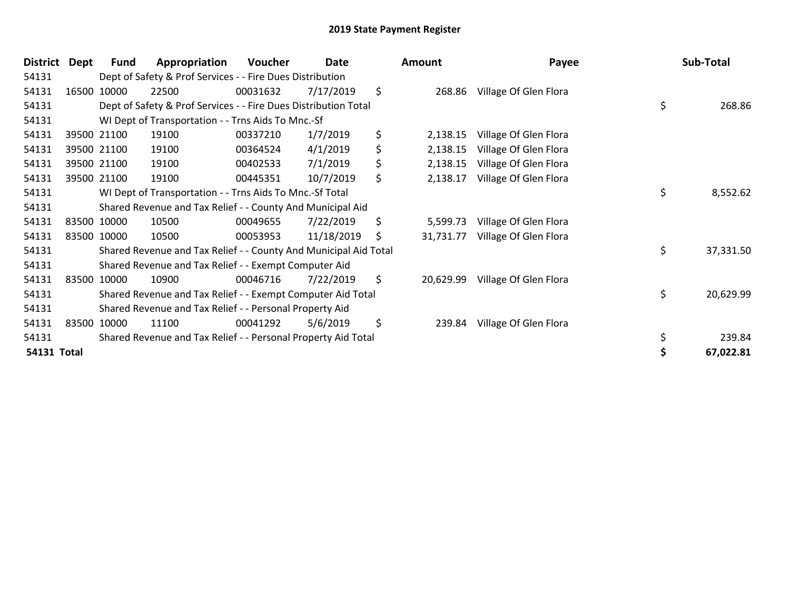| <b>District</b>    | Dept | <b>Fund</b> | Appropriation                                                    | Voucher  | Date       |     | Amount    | Payee                 | Sub-Total       |
|--------------------|------|-------------|------------------------------------------------------------------|----------|------------|-----|-----------|-----------------------|-----------------|
| 54131              |      |             | Dept of Safety & Prof Services - - Fire Dues Distribution        |          |            |     |           |                       |                 |
| 54131              |      | 16500 10000 | 22500                                                            | 00031632 | 7/17/2019  | \$  | 268.86    | Village Of Glen Flora |                 |
| 54131              |      |             | Dept of Safety & Prof Services - - Fire Dues Distribution Total  |          |            |     |           |                       | \$<br>268.86    |
| 54131              |      |             | WI Dept of Transportation - - Trns Aids To Mnc.-Sf               |          |            |     |           |                       |                 |
| 54131              |      | 39500 21100 | 19100                                                            | 00337210 | 1/7/2019   | \$  | 2,138.15  | Village Of Glen Flora |                 |
| 54131              |      | 39500 21100 | 19100                                                            | 00364524 | 4/1/2019   | \$  | 2,138.15  | Village Of Glen Flora |                 |
| 54131              |      | 39500 21100 | 19100                                                            | 00402533 | 7/1/2019   | \$  | 2,138.15  | Village Of Glen Flora |                 |
| 54131              |      | 39500 21100 | 19100                                                            | 00445351 | 10/7/2019  | \$  | 2,138.17  | Village Of Glen Flora |                 |
| 54131              |      |             | WI Dept of Transportation - - Trns Aids To Mnc.-Sf Total         |          |            |     |           |                       | \$<br>8,552.62  |
| 54131              |      |             | Shared Revenue and Tax Relief - - County And Municipal Aid       |          |            |     |           |                       |                 |
| 54131              |      | 83500 10000 | 10500                                                            | 00049655 | 7/22/2019  | \$  | 5,599.73  | Village Of Glen Flora |                 |
| 54131              |      | 83500 10000 | 10500                                                            | 00053953 | 11/18/2019 | \$. | 31,731.77 | Village Of Glen Flora |                 |
| 54131              |      |             | Shared Revenue and Tax Relief - - County And Municipal Aid Total |          |            |     |           |                       | \$<br>37,331.50 |
| 54131              |      |             | Shared Revenue and Tax Relief - - Exempt Computer Aid            |          |            |     |           |                       |                 |
| 54131              |      | 83500 10000 | 10900                                                            | 00046716 | 7/22/2019  | \$  | 20,629.99 | Village Of Glen Flora |                 |
| 54131              |      |             | Shared Revenue and Tax Relief - - Exempt Computer Aid Total      |          |            |     |           |                       | \$<br>20,629.99 |
| 54131              |      |             | Shared Revenue and Tax Relief - - Personal Property Aid          |          |            |     |           |                       |                 |
| 54131              |      | 83500 10000 | 11100                                                            | 00041292 | 5/6/2019   | \$  | 239.84    | Village Of Glen Flora |                 |
| 54131              |      |             | Shared Revenue and Tax Relief - - Personal Property Aid Total    |          |            |     |           |                       | \$<br>239.84    |
| <b>54131 Total</b> |      |             |                                                                  |          |            |     |           |                       | 67,022.81       |

| าount     | Payee                                                                                                                                |          | Sub-Total           |
|-----------|--------------------------------------------------------------------------------------------------------------------------------------|----------|---------------------|
| 268.86    | Village Of Glen Flora                                                                                                                | \$       | 268.86              |
|           | 2,138.15 Village Of Glen Flora<br>2,138.15 Village Of Glen Flora<br>2,138.15 Village Of Glen Flora<br>2,138.17 Village Of Glen Flora |          |                     |
|           |                                                                                                                                      | \$       | 8,552.62            |
|           | 5,599.73 Village Of Glen Flora<br>31,731.77 Village Of Glen Flora                                                                    | \$       | 37,331.50           |
| 20,629.99 | Village Of Glen Flora                                                                                                                | \$       | 20,629.99           |
| 239.84    | Village Of Glen Flora                                                                                                                | \$<br>\$ | 239.84<br>67,022.81 |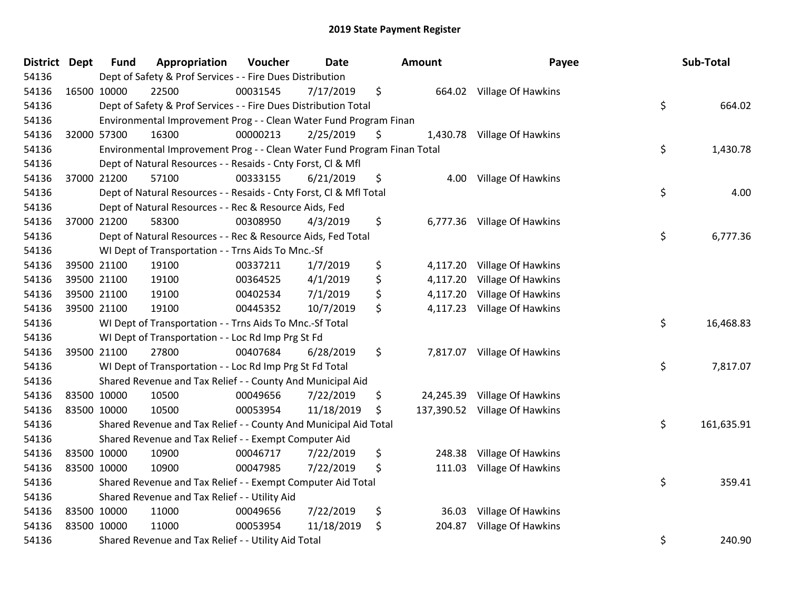| District Dept | <b>Fund</b> | Appropriation                                                           | Voucher  | <b>Date</b> | Amount         | Payee                         | Sub-Total        |
|---------------|-------------|-------------------------------------------------------------------------|----------|-------------|----------------|-------------------------------|------------------|
| 54136         |             | Dept of Safety & Prof Services - - Fire Dues Distribution               |          |             |                |                               |                  |
| 54136         | 16500 10000 | 22500                                                                   | 00031545 | 7/17/2019   | \$             | 664.02 Village Of Hawkins     |                  |
| 54136         |             | Dept of Safety & Prof Services - - Fire Dues Distribution Total         |          |             |                |                               | \$<br>664.02     |
| 54136         |             | Environmental Improvement Prog - - Clean Water Fund Program Finan       |          |             |                |                               |                  |
| 54136         | 32000 57300 | 16300                                                                   | 00000213 | 2/25/2019   | \$             | 1,430.78 Village Of Hawkins   |                  |
| 54136         |             | Environmental Improvement Prog - - Clean Water Fund Program Finan Total |          |             |                |                               | \$<br>1,430.78   |
| 54136         |             | Dept of Natural Resources - - Resaids - Cnty Forst, Cl & Mfl            |          |             |                |                               |                  |
| 54136         | 37000 21200 | 57100                                                                   | 00333155 | 6/21/2019   | \$<br>4.00     | Village Of Hawkins            |                  |
| 54136         |             | Dept of Natural Resources - - Resaids - Cnty Forst, Cl & Mfl Total      |          |             |                |                               | \$<br>4.00       |
| 54136         |             | Dept of Natural Resources - - Rec & Resource Aids, Fed                  |          |             |                |                               |                  |
| 54136         | 37000 21200 | 58300                                                                   | 00308950 | 4/3/2019    | \$             | 6,777.36 Village Of Hawkins   |                  |
| 54136         |             | Dept of Natural Resources - - Rec & Resource Aids, Fed Total            |          |             |                |                               | \$<br>6,777.36   |
| 54136         |             | WI Dept of Transportation - - Trns Aids To Mnc.-Sf                      |          |             |                |                               |                  |
| 54136         | 39500 21100 | 19100                                                                   | 00337211 | 1/7/2019    | \$             | 4,117.20 Village Of Hawkins   |                  |
| 54136         | 39500 21100 | 19100                                                                   | 00364525 | 4/1/2019    | \$<br>4,117.20 | Village Of Hawkins            |                  |
| 54136         | 39500 21100 | 19100                                                                   | 00402534 | 7/1/2019    | \$<br>4,117.20 | Village Of Hawkins            |                  |
| 54136         | 39500 21100 | 19100                                                                   | 00445352 | 10/7/2019   | \$             | 4,117.23 Village Of Hawkins   |                  |
| 54136         |             | WI Dept of Transportation - - Trns Aids To Mnc.-Sf Total                |          |             |                |                               | \$<br>16,468.83  |
| 54136         |             | WI Dept of Transportation - - Loc Rd Imp Prg St Fd                      |          |             |                |                               |                  |
| 54136         | 39500 21100 | 27800                                                                   | 00407684 | 6/28/2019   | \$             | 7,817.07 Village Of Hawkins   |                  |
| 54136         |             | WI Dept of Transportation - - Loc Rd Imp Prg St Fd Total                |          |             |                |                               | \$<br>7,817.07   |
| 54136         |             | Shared Revenue and Tax Relief - - County And Municipal Aid              |          |             |                |                               |                  |
| 54136         | 83500 10000 | 10500                                                                   | 00049656 | 7/22/2019   | \$             | 24,245.39 Village Of Hawkins  |                  |
| 54136         | 83500 10000 | 10500                                                                   | 00053954 | 11/18/2019  | \$             | 137,390.52 Village Of Hawkins |                  |
| 54136         |             | Shared Revenue and Tax Relief - - County And Municipal Aid Total        |          |             |                |                               | \$<br>161,635.91 |
| 54136         |             | Shared Revenue and Tax Relief - - Exempt Computer Aid                   |          |             |                |                               |                  |
| 54136         | 83500 10000 | 10900                                                                   | 00046717 | 7/22/2019   | \$<br>248.38   | Village Of Hawkins            |                  |
| 54136         | 83500 10000 | 10900                                                                   | 00047985 | 7/22/2019   | \$<br>111.03   | Village Of Hawkins            |                  |
| 54136         |             | Shared Revenue and Tax Relief - - Exempt Computer Aid Total             |          |             |                |                               | \$<br>359.41     |
| 54136         |             | Shared Revenue and Tax Relief - - Utility Aid                           |          |             |                |                               |                  |
| 54136         | 83500 10000 | 11000                                                                   | 00049656 | 7/22/2019   | \$<br>36.03    | Village Of Hawkins            |                  |
| 54136         | 83500 10000 | 11000                                                                   | 00053954 | 11/18/2019  | \$<br>204.87   | Village Of Hawkins            |                  |
| 54136         |             | Shared Revenue and Tax Relief - - Utility Aid Total                     |          |             |                |                               | \$<br>240.90     |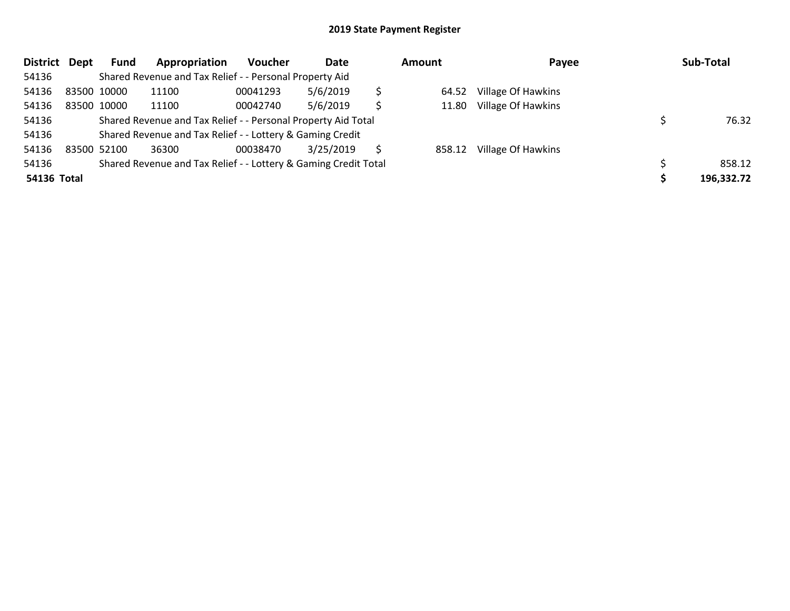| <b>District</b> | Dept | Fund        | Appropriation                                                   | Voucher  | Date      | <b>Amount</b> |        | Payee              |  | Sub-Total  |
|-----------------|------|-------------|-----------------------------------------------------------------|----------|-----------|---------------|--------|--------------------|--|------------|
| 54136           |      |             | Shared Revenue and Tax Relief - - Personal Property Aid         |          |           |               |        |                    |  |            |
| 54136           |      | 83500 10000 | 11100                                                           | 00041293 | 5/6/2019  | \$            | 64.52  | Village Of Hawkins |  |            |
| 54136           |      | 83500 10000 | 11100                                                           | 00042740 | 5/6/2019  | \$            | 11.80  | Village Of Hawkins |  |            |
| 54136           |      |             | Shared Revenue and Tax Relief - - Personal Property Aid Total   |          |           |               |        |                    |  | 76.32      |
| 54136           |      |             | Shared Revenue and Tax Relief - - Lottery & Gaming Credit       |          |           |               |        |                    |  |            |
| 54136           |      | 83500 52100 | 36300                                                           | 00038470 | 3/25/2019 | Ŝ             | 858.12 | Village Of Hawkins |  |            |
| 54136           |      |             | Shared Revenue and Tax Relief - - Lottery & Gaming Credit Total |          |           |               |        |                    |  | 858.12     |
| 54136 Total     |      |             |                                                                 |          |           |               |        |                    |  | 196,332.72 |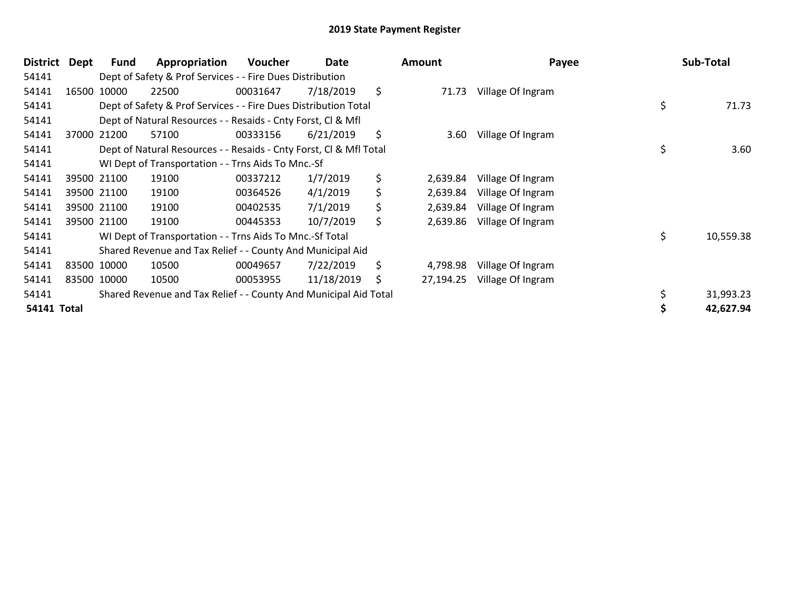| <b>District</b>    | Dept | <b>Fund</b> | Appropriation                                                      | Voucher  | Date       | <b>Amount</b>   | Payee             | Sub-Total       |
|--------------------|------|-------------|--------------------------------------------------------------------|----------|------------|-----------------|-------------------|-----------------|
| 54141              |      |             | Dept of Safety & Prof Services - - Fire Dues Distribution          |          |            |                 |                   |                 |
| 54141              |      | 16500 10000 | 22500                                                              | 00031647 | 7/18/2019  | \$<br>71.73     | Village Of Ingram |                 |
| 54141              |      |             | Dept of Safety & Prof Services - - Fire Dues Distribution Total    |          |            |                 |                   | \$<br>71.73     |
| 54141              |      |             | Dept of Natural Resources - - Resaids - Cnty Forst, CI & Mfl       |          |            |                 |                   |                 |
| 54141              |      | 37000 21200 | 57100                                                              | 00333156 | 6/21/2019  | \$<br>3.60      | Village Of Ingram |                 |
| 54141              |      |             | Dept of Natural Resources - - Resaids - Cnty Forst, CI & Mfl Total |          |            |                 |                   | \$<br>3.60      |
| 54141              |      |             | WI Dept of Transportation - - Trns Aids To Mnc.-Sf                 |          |            |                 |                   |                 |
| 54141              |      | 39500 21100 | 19100                                                              | 00337212 | 1/7/2019   | \$<br>2,639.84  | Village Of Ingram |                 |
| 54141              |      | 39500 21100 | 19100                                                              | 00364526 | 4/1/2019   | \$<br>2,639.84  | Village Of Ingram |                 |
| 54141              |      | 39500 21100 | 19100                                                              | 00402535 | 7/1/2019   | \$<br>2,639.84  | Village Of Ingram |                 |
| 54141              |      | 39500 21100 | 19100                                                              | 00445353 | 10/7/2019  | \$<br>2,639.86  | Village Of Ingram |                 |
| 54141              |      |             | WI Dept of Transportation - - Trns Aids To Mnc.-Sf Total           |          |            |                 |                   | \$<br>10,559.38 |
| 54141              |      |             | Shared Revenue and Tax Relief - - County And Municipal Aid         |          |            |                 |                   |                 |
| 54141              |      | 83500 10000 | 10500                                                              | 00049657 | 7/22/2019  | \$<br>4,798.98  | Village Of Ingram |                 |
| 54141              |      | 83500 10000 | 10500                                                              | 00053955 | 11/18/2019 | \$<br>27,194.25 | Village Of Ingram |                 |
| 54141              |      |             | Shared Revenue and Tax Relief - - County And Municipal Aid Total   |          |            |                 |                   | 31,993.23       |
| <b>54141 Total</b> |      |             |                                                                    |          |            |                 |                   | 42,627.94       |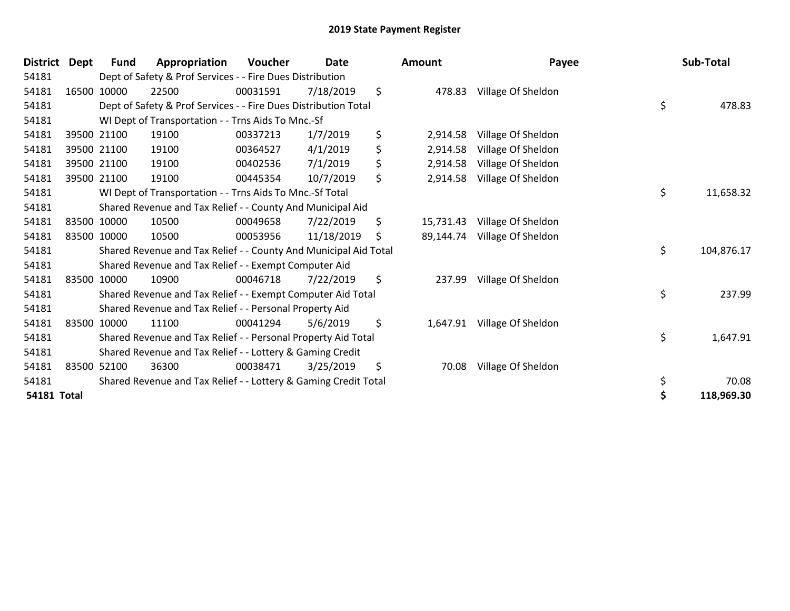| District Dept      | <b>Fund</b> | Appropriation                                                    | Voucher  | <b>Date</b> | <b>Amount</b>    | Payee              | Sub-Total        |
|--------------------|-------------|------------------------------------------------------------------|----------|-------------|------------------|--------------------|------------------|
| 54181              |             | Dept of Safety & Prof Services - - Fire Dues Distribution        |          |             |                  |                    |                  |
| 54181              | 16500 10000 | 22500                                                            | 00031591 | 7/18/2019   | \$<br>478.83     | Village Of Sheldon |                  |
| 54181              |             | Dept of Safety & Prof Services - - Fire Dues Distribution Total  |          |             |                  |                    | \$<br>478.83     |
| 54181              |             | WI Dept of Transportation - - Trns Aids To Mnc.-Sf               |          |             |                  |                    |                  |
| 54181              | 39500 21100 | 19100                                                            | 00337213 | 1/7/2019    | \$<br>2,914.58   | Village Of Sheldon |                  |
| 54181              | 39500 21100 | 19100                                                            | 00364527 | 4/1/2019    | \$<br>2,914.58   | Village Of Sheldon |                  |
| 54181              | 39500 21100 | 19100                                                            | 00402536 | 7/1/2019    | \$<br>2,914.58   | Village Of Sheldon |                  |
| 54181              | 39500 21100 | 19100                                                            | 00445354 | 10/7/2019   | \$<br>2,914.58   | Village Of Sheldon |                  |
| 54181              |             | WI Dept of Transportation - - Trns Aids To Mnc.-Sf Total         |          |             |                  |                    | \$<br>11,658.32  |
| 54181              |             | Shared Revenue and Tax Relief - - County And Municipal Aid       |          |             |                  |                    |                  |
| 54181              | 83500 10000 | 10500                                                            | 00049658 | 7/22/2019   | \$<br>15,731.43  | Village Of Sheldon |                  |
| 54181              | 83500 10000 | 10500                                                            | 00053956 | 11/18/2019  | \$<br>89,144.74  | Village Of Sheldon |                  |
| 54181              |             | Shared Revenue and Tax Relief - - County And Municipal Aid Total |          |             |                  |                    | \$<br>104,876.17 |
| 54181              |             | Shared Revenue and Tax Relief - - Exempt Computer Aid            |          |             |                  |                    |                  |
| 54181              | 83500 10000 | 10900                                                            | 00046718 | 7/22/2019   | \$<br>237.99     | Village Of Sheldon |                  |
| 54181              |             | Shared Revenue and Tax Relief - - Exempt Computer Aid Total      |          |             |                  |                    | \$<br>237.99     |
| 54181              |             | Shared Revenue and Tax Relief - - Personal Property Aid          |          |             |                  |                    |                  |
| 54181              | 83500 10000 | 11100                                                            | 00041294 | 5/6/2019    | \$<br>1,647.91   | Village Of Sheldon |                  |
| 54181              |             | Shared Revenue and Tax Relief - - Personal Property Aid Total    |          |             |                  |                    | \$<br>1,647.91   |
| 54181              |             | Shared Revenue and Tax Relief - - Lottery & Gaming Credit        |          |             |                  |                    |                  |
| 54181              | 83500 52100 | 36300                                                            | 00038471 | 3/25/2019   | \$<br>70.08      | Village Of Sheldon |                  |
| 54181              |             | Shared Revenue and Tax Relief - - Lottery & Gaming Credit Total  |          |             |                  |                    | \$<br>70.08      |
| <b>54181 Total</b> |             |                                                                  |          |             | \$<br>118,969.30 |                    |                  |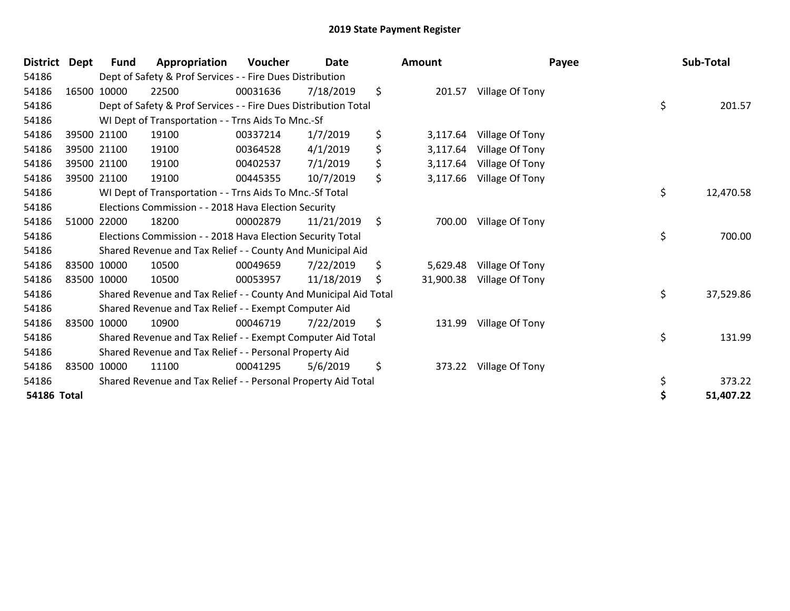| <b>District</b> | Dept | Fund        | Appropriation                                                    | <b>Voucher</b> | <b>Date</b> | Amount          | Payee           | Sub-Total       |
|-----------------|------|-------------|------------------------------------------------------------------|----------------|-------------|-----------------|-----------------|-----------------|
| 54186           |      |             | Dept of Safety & Prof Services - - Fire Dues Distribution        |                |             |                 |                 |                 |
| 54186           |      | 16500 10000 | 22500                                                            | 00031636       | 7/18/2019   | \$<br>201.57    | Village Of Tony |                 |
| 54186           |      |             | Dept of Safety & Prof Services - - Fire Dues Distribution Total  |                |             |                 |                 | \$<br>201.57    |
| 54186           |      |             | WI Dept of Transportation - - Trns Aids To Mnc.-Sf               |                |             |                 |                 |                 |
| 54186           |      | 39500 21100 | 19100                                                            | 00337214       | 1/7/2019    | \$<br>3,117.64  | Village Of Tony |                 |
| 54186           |      | 39500 21100 | 19100                                                            | 00364528       | 4/1/2019    | \$<br>3,117.64  | Village Of Tony |                 |
| 54186           |      | 39500 21100 | 19100                                                            | 00402537       | 7/1/2019    | \$<br>3,117.64  | Village Of Tony |                 |
| 54186           |      | 39500 21100 | 19100                                                            | 00445355       | 10/7/2019   | \$<br>3,117.66  | Village Of Tony |                 |
| 54186           |      |             | WI Dept of Transportation - - Trns Aids To Mnc.-Sf Total         |                |             |                 |                 | \$<br>12,470.58 |
| 54186           |      |             | Elections Commission - - 2018 Hava Election Security             |                |             |                 |                 |                 |
| 54186           |      | 51000 22000 | 18200                                                            | 00002879       | 11/21/2019  | \$<br>700.00    | Village Of Tony |                 |
| 54186           |      |             | Elections Commission - - 2018 Hava Election Security Total       |                |             |                 |                 | \$<br>700.00    |
| 54186           |      |             | Shared Revenue and Tax Relief - - County And Municipal Aid       |                |             |                 |                 |                 |
| 54186           |      | 83500 10000 | 10500                                                            | 00049659       | 7/22/2019   | \$<br>5,629.48  | Village Of Tony |                 |
| 54186           |      | 83500 10000 | 10500                                                            | 00053957       | 11/18/2019  | \$<br>31,900.38 | Village Of Tony |                 |
| 54186           |      |             | Shared Revenue and Tax Relief - - County And Municipal Aid Total |                |             |                 |                 | \$<br>37,529.86 |
| 54186           |      |             | Shared Revenue and Tax Relief - - Exempt Computer Aid            |                |             |                 |                 |                 |
| 54186           |      | 83500 10000 | 10900                                                            | 00046719       | 7/22/2019   | \$<br>131.99    | Village Of Tony |                 |
| 54186           |      |             | Shared Revenue and Tax Relief - - Exempt Computer Aid Total      |                |             |                 |                 | \$<br>131.99    |
| 54186           |      |             | Shared Revenue and Tax Relief - - Personal Property Aid          |                |             |                 |                 |                 |
| 54186           |      | 83500 10000 | 11100                                                            | 00041295       | 5/6/2019    | \$<br>373.22    | Village Of Tony |                 |
| 54186           |      |             | Shared Revenue and Tax Relief - - Personal Property Aid Total    |                |             |                 |                 | \$<br>373.22    |
| 54186 Total     |      |             |                                                                  |                |             |                 |                 | \$<br>51,407.22 |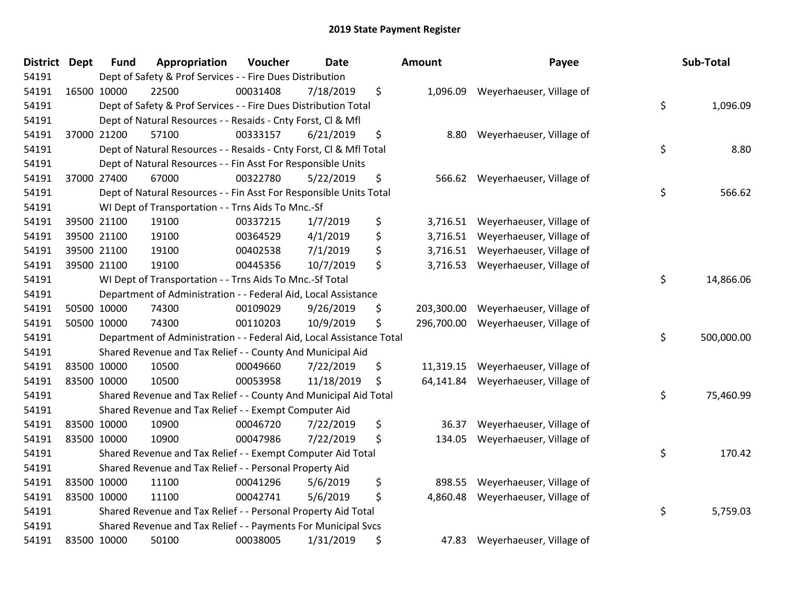| <b>District Dept</b> | <b>Fund</b> | Appropriation                                                        | Voucher  | <b>Date</b> | Amount           | Payee                    | Sub-Total        |
|----------------------|-------------|----------------------------------------------------------------------|----------|-------------|------------------|--------------------------|------------------|
| 54191                |             | Dept of Safety & Prof Services - - Fire Dues Distribution            |          |             |                  |                          |                  |
| 54191                | 16500 10000 | 22500                                                                | 00031408 | 7/18/2019   | \$<br>1,096.09   | Weyerhaeuser, Village of |                  |
| 54191                |             | Dept of Safety & Prof Services - - Fire Dues Distribution Total      |          |             |                  |                          | \$<br>1,096.09   |
| 54191                |             | Dept of Natural Resources - - Resaids - Cnty Forst, Cl & Mfl         |          |             |                  |                          |                  |
| 54191                | 37000 21200 | 57100                                                                | 00333157 | 6/21/2019   | \$<br>8.80       | Weyerhaeuser, Village of |                  |
| 54191                |             | Dept of Natural Resources - - Resaids - Cnty Forst, Cl & Mfl Total   |          |             |                  |                          | \$<br>8.80       |
| 54191                |             | Dept of Natural Resources - - Fin Asst For Responsible Units         |          |             |                  |                          |                  |
| 54191                | 37000 27400 | 67000                                                                | 00322780 | 5/22/2019   | \$<br>566.62     | Weyerhaeuser, Village of |                  |
| 54191                |             | Dept of Natural Resources - - Fin Asst For Responsible Units Total   |          |             |                  |                          | \$<br>566.62     |
| 54191                |             | WI Dept of Transportation - - Trns Aids To Mnc.-Sf                   |          |             |                  |                          |                  |
| 54191                | 39500 21100 | 19100                                                                | 00337215 | 1/7/2019    | \$<br>3,716.51   | Weyerhaeuser, Village of |                  |
| 54191                | 39500 21100 | 19100                                                                | 00364529 | 4/1/2019    | \$<br>3,716.51   | Weyerhaeuser, Village of |                  |
| 54191                | 39500 21100 | 19100                                                                | 00402538 | 7/1/2019    | \$<br>3,716.51   | Weyerhaeuser, Village of |                  |
| 54191                | 39500 21100 | 19100                                                                | 00445356 | 10/7/2019   | \$<br>3,716.53   | Weyerhaeuser, Village of |                  |
| 54191                |             | WI Dept of Transportation - - Trns Aids To Mnc.-Sf Total             |          |             |                  |                          | \$<br>14,866.06  |
| 54191                |             | Department of Administration - - Federal Aid, Local Assistance       |          |             |                  |                          |                  |
| 54191                | 50500 10000 | 74300                                                                | 00109029 | 9/26/2019   | \$<br>203,300.00 | Weyerhaeuser, Village of |                  |
| 54191                | 50500 10000 | 74300                                                                | 00110203 | 10/9/2019   | \$<br>296,700.00 | Weyerhaeuser, Village of |                  |
| 54191                |             | Department of Administration - - Federal Aid, Local Assistance Total |          |             |                  |                          | \$<br>500,000.00 |
| 54191                |             | Shared Revenue and Tax Relief - - County And Municipal Aid           |          |             |                  |                          |                  |
| 54191                | 83500 10000 | 10500                                                                | 00049660 | 7/22/2019   | \$<br>11,319.15  | Weyerhaeuser, Village of |                  |
| 54191                | 83500 10000 | 10500                                                                | 00053958 | 11/18/2019  | \$<br>64,141.84  | Weyerhaeuser, Village of |                  |
| 54191                |             | Shared Revenue and Tax Relief - - County And Municipal Aid Total     |          |             |                  |                          | \$<br>75,460.99  |
| 54191                |             | Shared Revenue and Tax Relief - - Exempt Computer Aid                |          |             |                  |                          |                  |
| 54191                | 83500 10000 | 10900                                                                | 00046720 | 7/22/2019   | \$<br>36.37      | Weyerhaeuser, Village of |                  |
| 54191                | 83500 10000 | 10900                                                                | 00047986 | 7/22/2019   | \$<br>134.05     | Weyerhaeuser, Village of |                  |
| 54191                |             | Shared Revenue and Tax Relief - - Exempt Computer Aid Total          |          |             |                  |                          | \$<br>170.42     |
| 54191                |             | Shared Revenue and Tax Relief - - Personal Property Aid              |          |             |                  |                          |                  |
| 54191                | 83500 10000 | 11100                                                                | 00041296 | 5/6/2019    | \$<br>898.55     | Weyerhaeuser, Village of |                  |
| 54191                | 83500 10000 | 11100                                                                | 00042741 | 5/6/2019    | \$<br>4,860.48   | Weyerhaeuser, Village of |                  |
| 54191                |             | Shared Revenue and Tax Relief - - Personal Property Aid Total        |          |             |                  |                          | \$<br>5,759.03   |
| 54191                |             | Shared Revenue and Tax Relief - - Payments For Municipal Svcs        |          |             |                  |                          |                  |
| 54191                | 83500 10000 | 50100                                                                | 00038005 | 1/31/2019   | \$<br>47.83      | Weyerhaeuser, Village of |                  |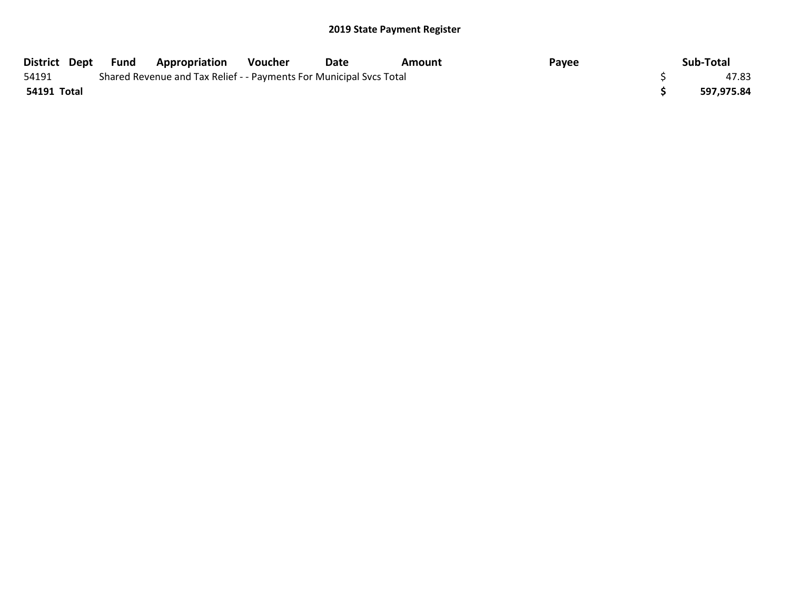|             |                                                                     | District Dept Fund Appropriation | Voucher | Date | Amount | Payee | Sub-Total  |
|-------------|---------------------------------------------------------------------|----------------------------------|---------|------|--------|-------|------------|
| 54191       | Shared Revenue and Tax Relief - - Payments For Municipal Svcs Total |                                  |         |      |        |       | 47.83      |
| 54191 Total |                                                                     |                                  |         |      |        |       | 597,975.84 |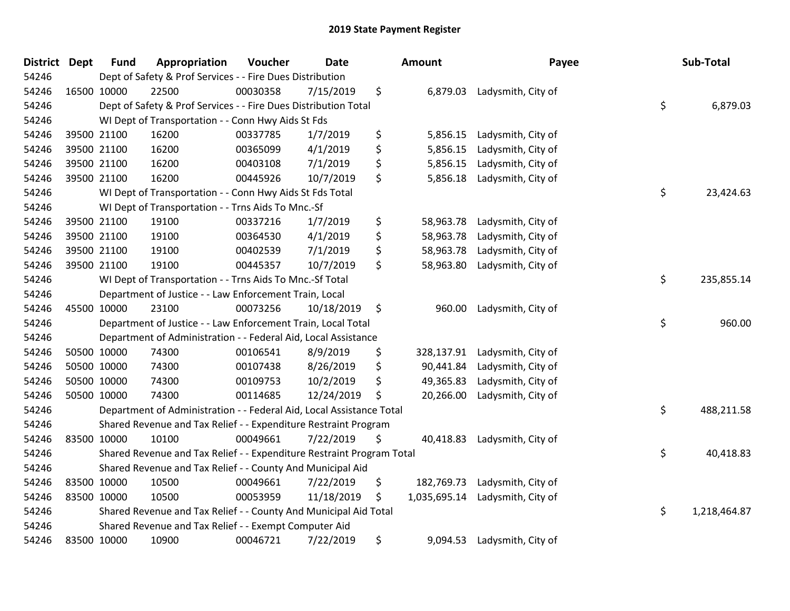| District Dept | <b>Fund</b>                                                                       | Appropriation                                                        | Voucher  | <b>Date</b> |    | Amount       | Payee              |    | Sub-Total    |
|---------------|-----------------------------------------------------------------------------------|----------------------------------------------------------------------|----------|-------------|----|--------------|--------------------|----|--------------|
| 54246         | Dept of Safety & Prof Services - - Fire Dues Distribution                         |                                                                      |          |             |    |              |                    |    |              |
| 54246         | 16500 10000                                                                       | 22500                                                                | 00030358 | 7/15/2019   | \$ | 6,879.03     | Ladysmith, City of |    |              |
| 54246         | \$<br>Dept of Safety & Prof Services - - Fire Dues Distribution Total<br>6,879.03 |                                                                      |          |             |    |              |                    |    |              |
| 54246         | WI Dept of Transportation - - Conn Hwy Aids St Fds                                |                                                                      |          |             |    |              |                    |    |              |
| 54246         | 39500 21100                                                                       | 16200                                                                | 00337785 | 1/7/2019    | \$ | 5,856.15     | Ladysmith, City of |    |              |
| 54246         | 39500 21100                                                                       | 16200                                                                | 00365099 | 4/1/2019    | \$ | 5,856.15     | Ladysmith, City of |    |              |
| 54246         | 39500 21100                                                                       | 16200                                                                | 00403108 | 7/1/2019    | \$ | 5,856.15     | Ladysmith, City of |    |              |
| 54246         | 39500 21100                                                                       | 16200                                                                | 00445926 | 10/7/2019   | \$ | 5,856.18     | Ladysmith, City of |    |              |
| 54246         |                                                                                   | WI Dept of Transportation - - Conn Hwy Aids St Fds Total             |          |             |    |              |                    | \$ | 23,424.63    |
| 54246         |                                                                                   | WI Dept of Transportation - - Trns Aids To Mnc.-Sf                   |          |             |    |              |                    |    |              |
| 54246         | 39500 21100                                                                       | 19100                                                                | 00337216 | 1/7/2019    | \$ | 58,963.78    | Ladysmith, City of |    |              |
| 54246         | 39500 21100                                                                       | 19100                                                                | 00364530 | 4/1/2019    | \$ | 58,963.78    | Ladysmith, City of |    |              |
| 54246         | 39500 21100                                                                       | 19100                                                                | 00402539 | 7/1/2019    | \$ | 58,963.78    | Ladysmith, City of |    |              |
| 54246         | 39500 21100                                                                       | 19100                                                                | 00445357 | 10/7/2019   | \$ | 58,963.80    | Ladysmith, City of |    |              |
| 54246         | WI Dept of Transportation - - Trns Aids To Mnc.-Sf Total                          |                                                                      |          |             |    |              |                    |    | 235,855.14   |
| 54246         |                                                                                   | Department of Justice - - Law Enforcement Train, Local               |          |             |    |              |                    |    |              |
| 54246         | 45500 10000                                                                       | 23100                                                                | 00073256 | 10/18/2019  | \$ | 960.00       | Ladysmith, City of |    |              |
| 54246         |                                                                                   | Department of Justice - - Law Enforcement Train, Local Total         |          |             |    |              |                    | \$ | 960.00       |
| 54246         |                                                                                   | Department of Administration - - Federal Aid, Local Assistance       |          |             |    |              |                    |    |              |
| 54246         | 50500 10000                                                                       | 74300                                                                | 00106541 | 8/9/2019    | \$ | 328,137.91   | Ladysmith, City of |    |              |
| 54246         | 50500 10000                                                                       | 74300                                                                | 00107438 | 8/26/2019   | \$ | 90,441.84    | Ladysmith, City of |    |              |
| 54246         | 50500 10000                                                                       | 74300                                                                | 00109753 | 10/2/2019   | \$ | 49,365.83    | Ladysmith, City of |    |              |
| 54246         | 50500 10000                                                                       | 74300                                                                | 00114685 | 12/24/2019  | \$ | 20,266.00    | Ladysmith, City of |    |              |
| 54246         |                                                                                   | Department of Administration - - Federal Aid, Local Assistance Total |          |             |    |              |                    | \$ | 488,211.58   |
| 54246         |                                                                                   | Shared Revenue and Tax Relief - - Expenditure Restraint Program      |          |             |    |              |                    |    |              |
| 54246         | 83500 10000                                                                       | 10100                                                                | 00049661 | 7/22/2019   | \$ | 40,418.83    | Ladysmith, City of |    |              |
| 54246         | Shared Revenue and Tax Relief - - Expenditure Restraint Program Total             |                                                                      |          |             |    |              |                    | \$ | 40,418.83    |
| 54246         | Shared Revenue and Tax Relief - - County And Municipal Aid                        |                                                                      |          |             |    |              |                    |    |              |
| 54246         | 83500 10000                                                                       | 10500                                                                | 00049661 | 7/22/2019   | \$ | 182,769.73   | Ladysmith, City of |    |              |
| 54246         | 83500 10000                                                                       | 10500                                                                | 00053959 | 11/18/2019  | \$ | 1,035,695.14 | Ladysmith, City of |    |              |
| 54246         | Shared Revenue and Tax Relief - - County And Municipal Aid Total                  |                                                                      |          |             |    |              |                    | \$ | 1,218,464.87 |
| 54246         | Shared Revenue and Tax Relief - - Exempt Computer Aid                             |                                                                      |          |             |    |              |                    |    |              |
| 54246         | 83500 10000                                                                       | 10900                                                                | 00046721 | 7/22/2019   | \$ | 9,094.53     | Ladysmith, City of |    |              |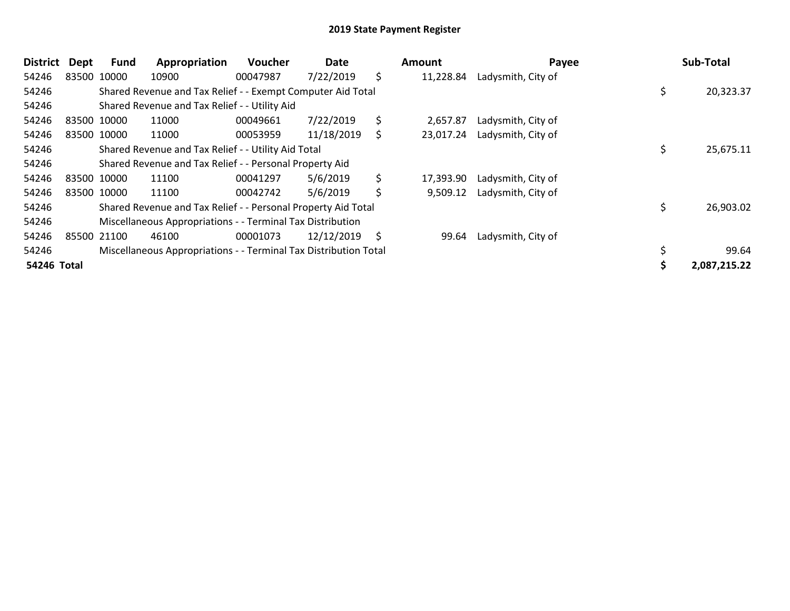| District    | <b>Dept</b> | <b>Fund</b>                                                | Appropriation                                                    | Voucher  | Date       |    | <b>Amount</b> | Payee              |    | Sub-Total    |
|-------------|-------------|------------------------------------------------------------|------------------------------------------------------------------|----------|------------|----|---------------|--------------------|----|--------------|
| 54246       |             | 83500 10000                                                | 10900                                                            | 00047987 | 7/22/2019  | \$ | 11,228.84     | Ladysmith, City of |    |              |
| 54246       |             |                                                            | Shared Revenue and Tax Relief - - Exempt Computer Aid Total      |          |            |    |               |                    | \$ | 20,323.37    |
| 54246       |             |                                                            | Shared Revenue and Tax Relief - - Utility Aid                    |          |            |    |               |                    |    |              |
| 54246       |             | 83500 10000                                                | 11000                                                            | 00049661 | 7/22/2019  | \$ | 2,657.87      | Ladysmith, City of |    |              |
| 54246       |             | 83500 10000                                                | 11000                                                            | 00053959 | 11/18/2019 | \$ | 23,017.24     | Ladysmith, City of |    |              |
| 54246       |             |                                                            | Shared Revenue and Tax Relief - - Utility Aid Total              |          |            |    |               |                    |    | 25,675.11    |
| 54246       |             |                                                            | Shared Revenue and Tax Relief - - Personal Property Aid          |          |            |    |               |                    |    |              |
| 54246       |             | 83500 10000                                                | 11100                                                            | 00041297 | 5/6/2019   | \$ | 17,393.90     | Ladysmith, City of |    |              |
| 54246       |             | 83500 10000                                                | 11100                                                            | 00042742 | 5/6/2019   | \$ | 9,509.12      | Ladysmith, City of |    |              |
| 54246       |             |                                                            | Shared Revenue and Tax Relief - - Personal Property Aid Total    |          |            |    |               |                    |    | 26,903.02    |
| 54246       |             | Miscellaneous Appropriations - - Terminal Tax Distribution |                                                                  |          |            |    |               |                    |    |              |
| 54246       |             | 85500 21100                                                | 46100                                                            | 00001073 | 12/12/2019 | \$ | 99.64         | Ladysmith, City of |    |              |
| 54246       |             |                                                            | Miscellaneous Appropriations - - Terminal Tax Distribution Total |          |            |    |               |                    |    | 99.64        |
| 54246 Total |             |                                                            |                                                                  |          |            |    |               |                    |    | 2,087,215.22 |